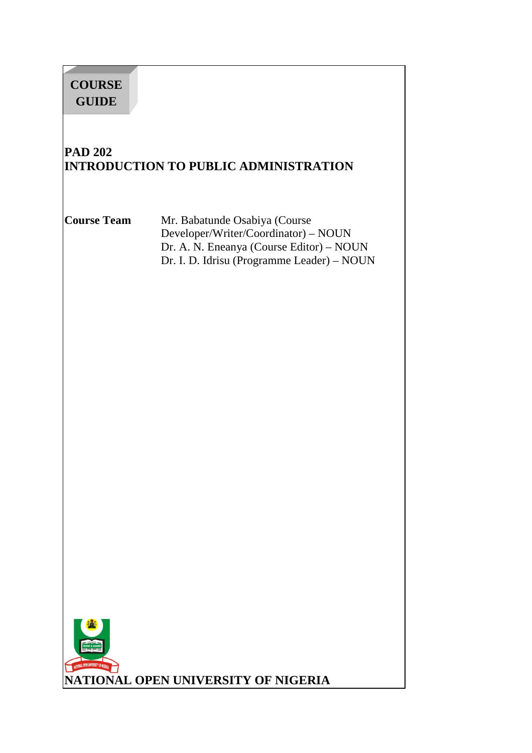# **COURSE GUIDE**

# **PAD 202 INTRODUCTION TO PUBLIC ADMINISTRATION**

**Course Team** Mr. Babatunde Osabiya (Course Developer/Writer/Coordinator) – NOUN Dr. A. N. Eneanya (Course Editor) – NOUN Dr. I. D. Idrisu (Programme Leader) – NOUN

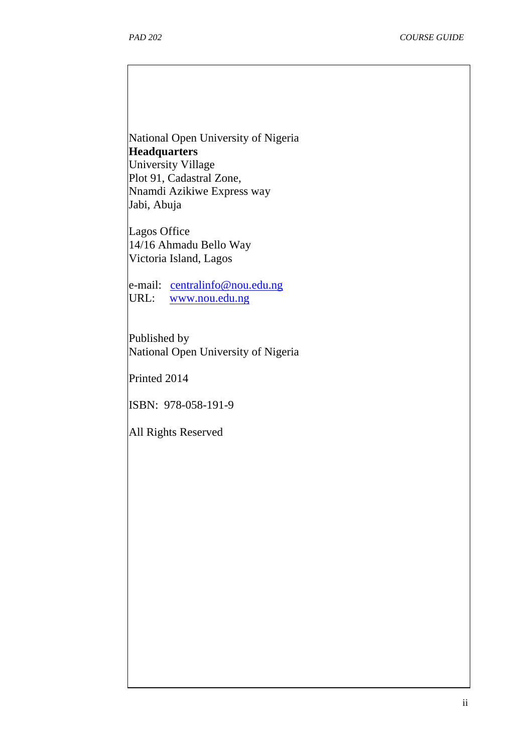National Open University of Nigeria **Headquarters**  University Village Plot 91, Cadastral Zone, Nnamdi Azikiwe Express way Jabi, Abuja

Lagos Office 14/16 Ahmadu Bello Way Victoria Island, Lagos

e-mail: centralinfo@nou.edu.ng URL: www.nou.edu.ng

Published by National Open University of Nigeria

Printed 2014

ISBN: 978-058-191-9

All Rights Reserved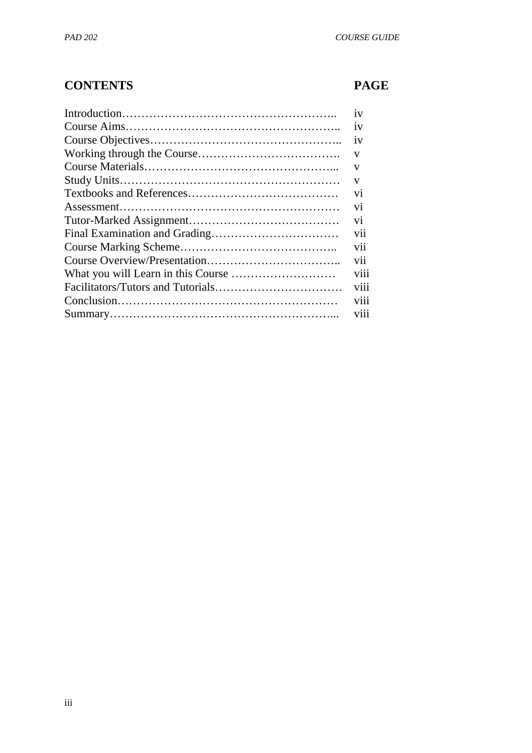# **CONTENTS PAGE**

| 1V             |
|----------------|
| 1V             |
| 1V             |
| V              |
| V              |
| V              |
| V <sub>1</sub> |
| V <sub>1</sub> |
| V <sub>1</sub> |
| V11            |
| V11            |
| vii            |
| viii           |
| viii           |
| V111           |
| <b>V111</b>    |
|                |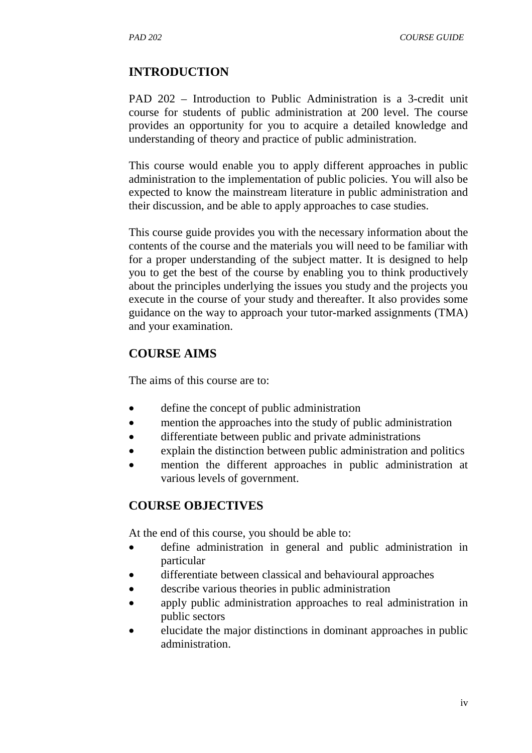*PAD 202 COURSE GUIDE* 

#### **INTRODUCTION**

PAD 202 – Introduction to Public Administration is a 3-credit unit course for students of public administration at 200 level. The course provides an opportunity for you to acquire a detailed knowledge and understanding of theory and practice of public administration.

This course would enable you to apply different approaches in public administration to the implementation of public policies. You will also be expected to know the mainstream literature in public administration and their discussion, and be able to apply approaches to case studies.

This course guide provides you with the necessary information about the contents of the course and the materials you will need to be familiar with for a proper understanding of the subject matter. It is designed to help you to get the best of the course by enabling you to think productively about the principles underlying the issues you study and the projects you execute in the course of your study and thereafter. It also provides some guidance on the way to approach your tutor-marked assignments (TMA) and your examination.

#### **COURSE AIMS**

The aims of this course are to:

- define the concept of public administration
- mention the approaches into the study of public administration
- differentiate between public and private administrations
- explain the distinction between public administration and politics
- mention the different approaches in public administration at various levels of government.

#### **COURSE OBJECTIVES**

At the end of this course, you should be able to:

- define administration in general and public administration in particular
- differentiate between classical and behavioural approaches
- describe various theories in public administration
- apply public administration approaches to real administration in public sectors
- elucidate the major distinctions in dominant approaches in public administration.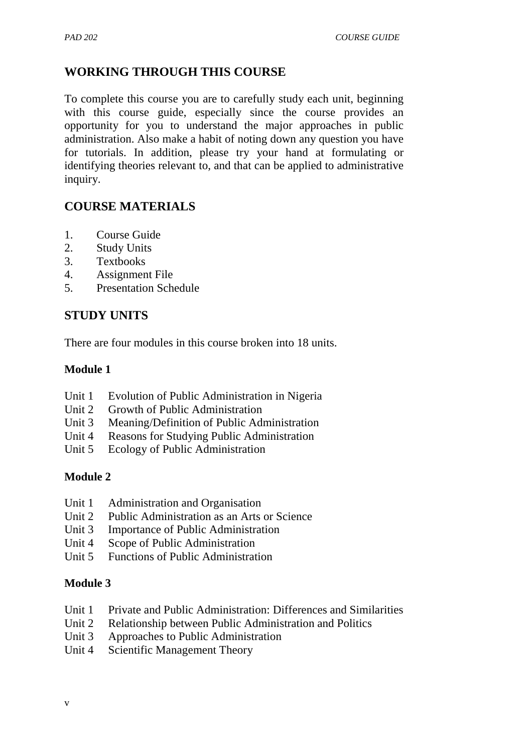# **WORKING THROUGH THIS COURSE**

To complete this course you are to carefully study each unit, beginning with this course guide, especially since the course provides an opportunity for you to understand the major approaches in public administration. Also make a habit of noting down any question you have for tutorials. In addition, please try your hand at formulating or identifying theories relevant to, and that can be applied to administrative inquiry.

# **COURSE MATERIALS**

- 1. Course Guide
- 2. Study Units
- 3. Textbooks
- 4. Assignment File
- 5. Presentation Schedule

# **STUDY UNITS**

There are four modules in this course broken into 18 units.

#### **Module 1**

- Unit 1 Evolution of Public Administration in Nigeria
- Unit 2 Growth of Public Administration
- Unit 3 Meaning/Definition of Public Administration
- Unit 4 Reasons for Studying Public Administration
- Unit 5 Ecology of Public Administration

#### **Module 2**

- Unit 1 Administration and Organisation
- Unit 2 Public Administration as an Arts or Science
- Unit 3 Importance of Public Administration
- Unit 4 Scope of Public Administration
- Unit 5 Functions of Public Administration

#### **Module 3**

- Unit 1 Private and Public Administration: Differences and Similarities
- Unit 2 Relationship between Public Administration and Politics
- Unit 3 Approaches to Public Administration
- Unit 4 Scientific Management Theory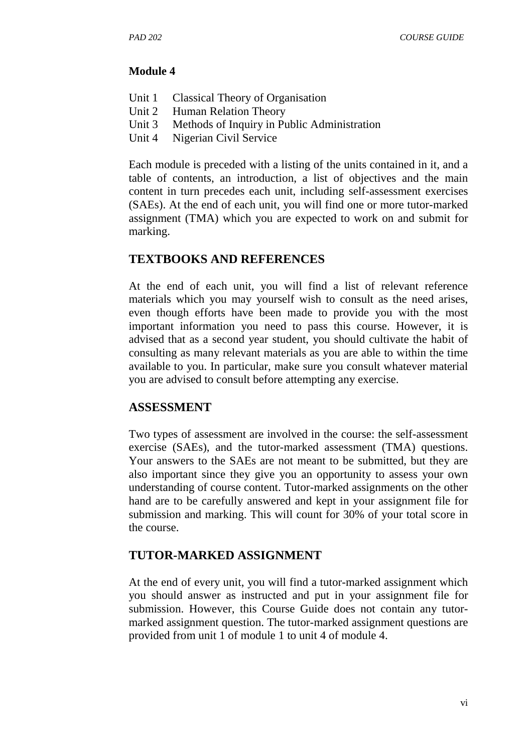#### **Module 4**

- Unit 1 Classical Theory of Organisation
- Unit 2 Human Relation Theory
- Unit 3 Methods of Inquiry in Public Administration
- Unit 4 Nigerian Civil Service

Each module is preceded with a listing of the units contained in it, and a table of contents, an introduction, a list of objectives and the main content in turn precedes each unit, including self-assessment exercises (SAEs). At the end of each unit, you will find one or more tutor-marked assignment (TMA) which you are expected to work on and submit for marking.

#### **TEXTBOOKS AND REFERENCES**

At the end of each unit, you will find a list of relevant reference materials which you may yourself wish to consult as the need arises, even though efforts have been made to provide you with the most important information you need to pass this course. However, it is advised that as a second year student, you should cultivate the habit of consulting as many relevant materials as you are able to within the time available to you. In particular, make sure you consult whatever material you are advised to consult before attempting any exercise.

#### **ASSESSMENT**

Two types of assessment are involved in the course: the self-assessment exercise (SAEs), and the tutor-marked assessment (TMA) questions. Your answers to the SAEs are not meant to be submitted, but they are also important since they give you an opportunity to assess your own understanding of course content. Tutor-marked assignments on the other hand are to be carefully answered and kept in your assignment file for submission and marking. This will count for 30% of your total score in the course.

#### **TUTOR-MARKED ASSIGNMENT**

At the end of every unit, you will find a tutor-marked assignment which you should answer as instructed and put in your assignment file for submission. However, this Course Guide does not contain any tutormarked assignment question. The tutor-marked assignment questions are provided from unit 1 of module 1 to unit 4 of module 4.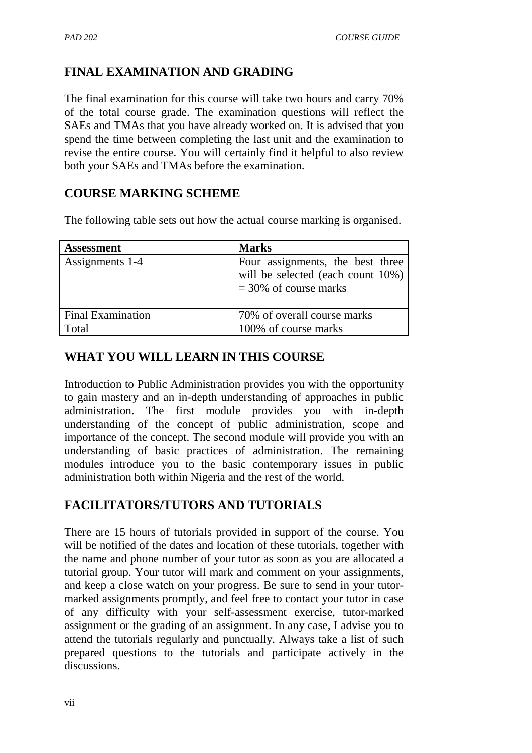# **FINAL EXAMINATION AND GRADING**

The final examination for this course will take two hours and carry 70% of the total course grade. The examination questions will reflect the SAEs and TMAs that you have already worked on. It is advised that you spend the time between completing the last unit and the examination to revise the entire course. You will certainly find it helpful to also review both your SAEs and TMAs before the examination.

## **COURSE MARKING SCHEME**

The following table sets out how the actual course marking is organised.

| <b>Assessment</b>        | <b>Marks</b>                                                                                         |
|--------------------------|------------------------------------------------------------------------------------------------------|
| Assignments 1-4          | Four assignments, the best three<br>will be selected (each count $10\%$ )<br>$=$ 30% of course marks |
| <b>Final Examination</b> | 70% of overall course marks                                                                          |
| Total                    | 100% of course marks                                                                                 |

## **WHAT YOU WILL LEARN IN THIS COURSE**

Introduction to Public Administration provides you with the opportunity to gain mastery and an in-depth understanding of approaches in public administration. The first module provides you with in-depth understanding of the concept of public administration, scope and importance of the concept. The second module will provide you with an understanding of basic practices of administration. The remaining modules introduce you to the basic contemporary issues in public administration both within Nigeria and the rest of the world.

## **FACILITATORS/TUTORS AND TUTORIALS**

There are 15 hours of tutorials provided in support of the course. You will be notified of the dates and location of these tutorials, together with the name and phone number of your tutor as soon as you are allocated a tutorial group. Your tutor will mark and comment on your assignments, and keep a close watch on your progress. Be sure to send in your tutormarked assignments promptly, and feel free to contact your tutor in case of any difficulty with your self-assessment exercise, tutor-marked assignment or the grading of an assignment. In any case, I advise you to attend the tutorials regularly and punctually. Always take a list of such prepared questions to the tutorials and participate actively in the discussions.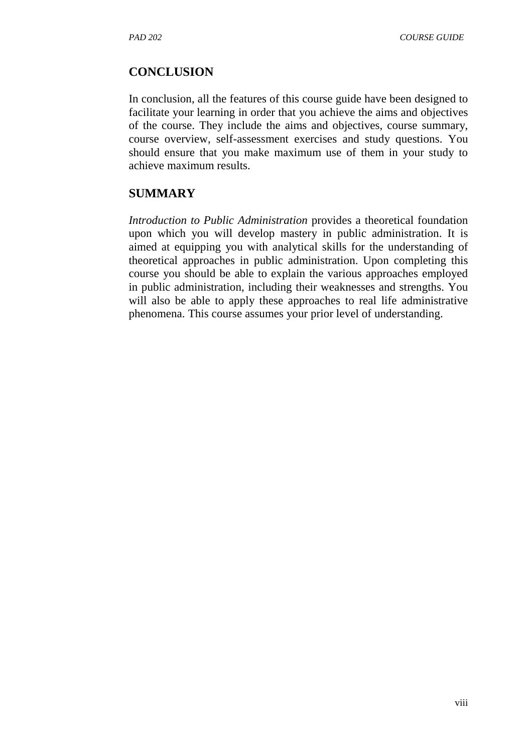#### **CONCLUSION**

In conclusion, all the features of this course guide have been designed to facilitate your learning in order that you achieve the aims and objectives of the course. They include the aims and objectives, course summary, course overview, self-assessment exercises and study questions. You should ensure that you make maximum use of them in your study to achieve maximum results.

#### **SUMMARY**

*Introduction to Public Administration* provides a theoretical foundation upon which you will develop mastery in public administration. It is aimed at equipping you with analytical skills for the understanding of theoretical approaches in public administration. Upon completing this course you should be able to explain the various approaches employed in public administration, including their weaknesses and strengths. You will also be able to apply these approaches to real life administrative phenomena. This course assumes your prior level of understanding.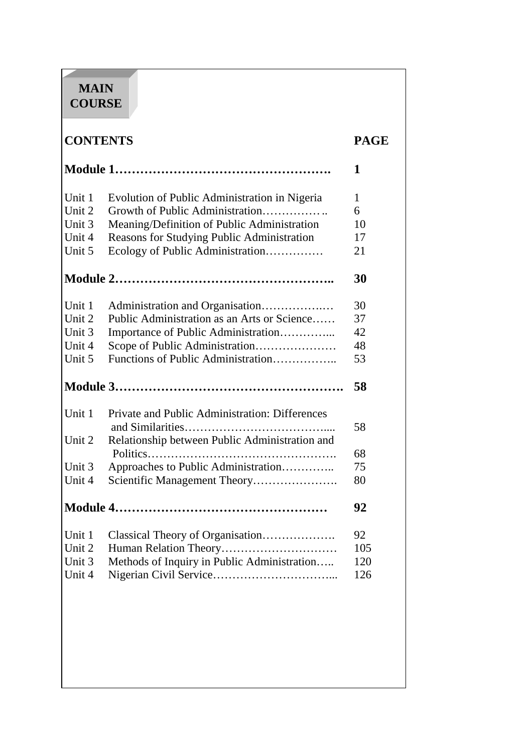# **MAIN COURSE**

# **CONTENTS PAGE**

|        |                                                | 1   |
|--------|------------------------------------------------|-----|
| Unit 1 | Evolution of Public Administration in Nigeria  | 1   |
| Unit 2 | Growth of Public Administration                | 6   |
| Unit 3 | Meaning/Definition of Public Administration    | 10  |
| Unit 4 | Reasons for Studying Public Administration     | 17  |
| Unit 5 | Ecology of Public Administration               | 21  |
|        |                                                | 30  |
| Unit 1 | Administration and Organisation                | 30  |
| Unit 2 | Public Administration as an Arts or Science    | 37  |
| Unit 3 | Importance of Public Administration            | 42  |
| Unit 4 | Scope of Public Administration                 | 48  |
| Unit 5 | Functions of Public Administration             | 53  |
|        |                                                | 58  |
| Unit 1 | Private and Public Administration: Differences | 58  |
| Unit 2 | Relationship between Public Administration and | 68  |
| Unit 3 | Approaches to Public Administration            | 75  |
| Unit 4 | Scientific Management Theory                   | 80  |
|        |                                                | 92  |
| Unit 1 | Classical Theory of Organisation               | 92  |
| Unit 2 | Human Relation Theory                          | 105 |
| Unit 3 | Methods of Inquiry in Public Administration    | 120 |
| Unit 4 |                                                | 126 |
|        |                                                |     |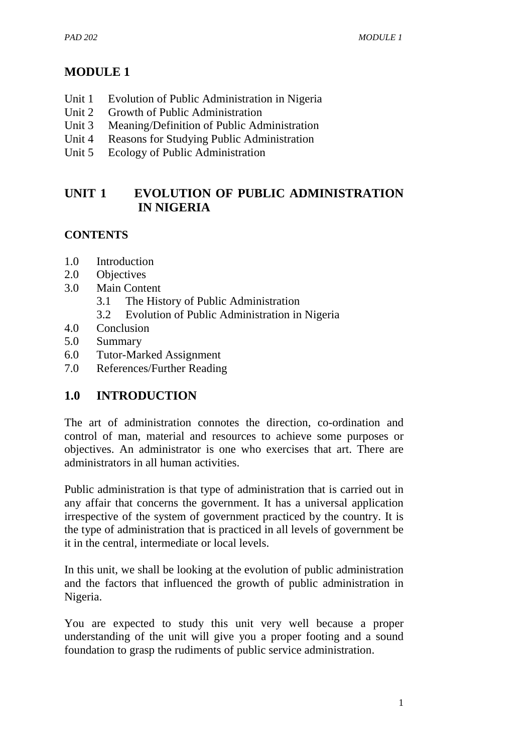# **MODULE 1**

- Unit 1 Evolution of Public Administration in Nigeria
- Unit 2 Growth of Public Administration
- Unit 3 Meaning/Definition of Public Administration
- Unit 4 Reasons for Studying Public Administration
- Unit 5 Ecology of Public Administration

# **UNIT 1 EVOLUTION OF PUBLIC ADMINISTRATION IN NIGERIA**

# **CONTENTS**

- 1.0 Introduction
- 2.0 Objectives
- 3.0 Main Content
	- 3.1 The History of Public Administration
	- 3.2 Evolution of Public Administration in Nigeria
- 4.0 Conclusion
- 5.0 Summary
- 6.0 Tutor-Marked Assignment
- 7.0 References/Further Reading

# **1.0 INTRODUCTION**

The art of administration connotes the direction, co-ordination and control of man, material and resources to achieve some purposes or objectives. An administrator is one who exercises that art. There are administrators in all human activities.

Public administration is that type of administration that is carried out in any affair that concerns the government. It has a universal application irrespective of the system of government practiced by the country. It is the type of administration that is practiced in all levels of government be it in the central, intermediate or local levels.

In this unit, we shall be looking at the evolution of public administration and the factors that influenced the growth of public administration in Nigeria.

You are expected to study this unit very well because a proper understanding of the unit will give you a proper footing and a sound foundation to grasp the rudiments of public service administration.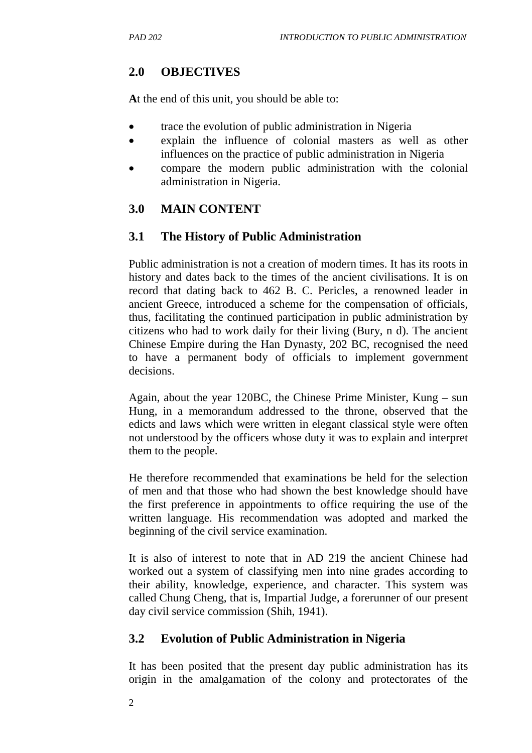# **2.0 OBJECTIVES**

**A**t the end of this unit, you should be able to:

- trace the evolution of public administration in Nigeria
- explain the influence of colonial masters as well as other influences on the practice of public administration in Nigeria
- compare the modern public administration with the colonial administration in Nigeria.

# **3.0 MAIN CONTENT**

# **3.1 The History of Public Administration**

Public administration is not a creation of modern times. It has its roots in history and dates back to the times of the ancient civilisations. It is on record that dating back to 462 B. C. Pericles, a renowned leader in ancient Greece, introduced a scheme for the compensation of officials, thus, facilitating the continued participation in public administration by citizens who had to work daily for their living (Bury, n d). The ancient Chinese Empire during the Han Dynasty, 202 BC, recognised the need to have a permanent body of officials to implement government decisions.

Again, about the year 120BC, the Chinese Prime Minister, Kung – sun Hung, in a memorandum addressed to the throne, observed that the edicts and laws which were written in elegant classical style were often not understood by the officers whose duty it was to explain and interpret them to the people.

He therefore recommended that examinations be held for the selection of men and that those who had shown the best knowledge should have the first preference in appointments to office requiring the use of the written language. His recommendation was adopted and marked the beginning of the civil service examination.

It is also of interest to note that in AD 219 the ancient Chinese had worked out a system of classifying men into nine grades according to their ability, knowledge, experience, and character. This system was called Chung Cheng, that is, Impartial Judge, a forerunner of our present day civil service commission (Shih, 1941).

# **3.2 Evolution of Public Administration in Nigeria**

It has been posited that the present day public administration has its origin in the amalgamation of the colony and protectorates of the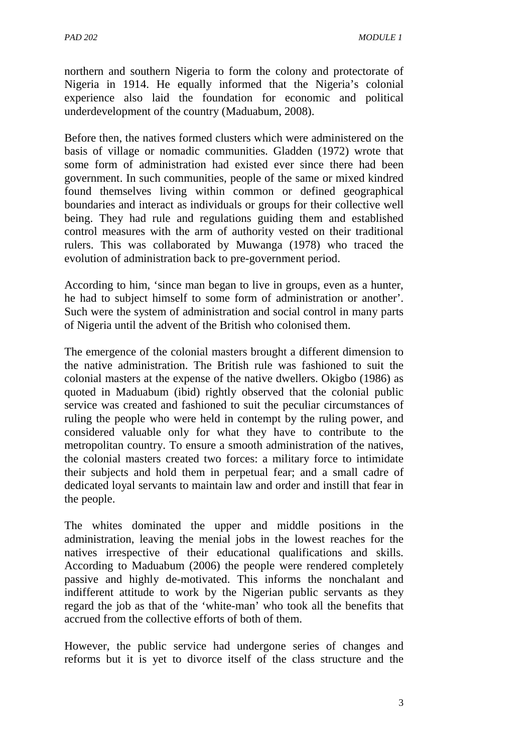northern and southern Nigeria to form the colony and protectorate of Nigeria in 1914. He equally informed that the Nigeria's colonial experience also laid the foundation for economic and political underdevelopment of the country (Maduabum, 2008).

Before then, the natives formed clusters which were administered on the basis of village or nomadic communities. Gladden (1972) wrote that some form of administration had existed ever since there had been government. In such communities, people of the same or mixed kindred found themselves living within common or defined geographical boundaries and interact as individuals or groups for their collective well being. They had rule and regulations guiding them and established control measures with the arm of authority vested on their traditional rulers. This was collaborated by Muwanga (1978) who traced the evolution of administration back to pre-government period.

According to him, 'since man began to live in groups, even as a hunter, he had to subject himself to some form of administration or another'. Such were the system of administration and social control in many parts of Nigeria until the advent of the British who colonised them.

The emergence of the colonial masters brought a different dimension to the native administration. The British rule was fashioned to suit the colonial masters at the expense of the native dwellers. Okigbo (1986) as quoted in Maduabum (ibid) rightly observed that the colonial public service was created and fashioned to suit the peculiar circumstances of ruling the people who were held in contempt by the ruling power, and considered valuable only for what they have to contribute to the metropolitan country. To ensure a smooth administration of the natives, the colonial masters created two forces: a military force to intimidate their subjects and hold them in perpetual fear; and a small cadre of dedicated loyal servants to maintain law and order and instill that fear in the people.

The whites dominated the upper and middle positions in the administration, leaving the menial jobs in the lowest reaches for the natives irrespective of their educational qualifications and skills. According to Maduabum (2006) the people were rendered completely passive and highly de-motivated. This informs the nonchalant and indifferent attitude to work by the Nigerian public servants as they regard the job as that of the 'white-man' who took all the benefits that accrued from the collective efforts of both of them.

However, the public service had undergone series of changes and reforms but it is yet to divorce itself of the class structure and the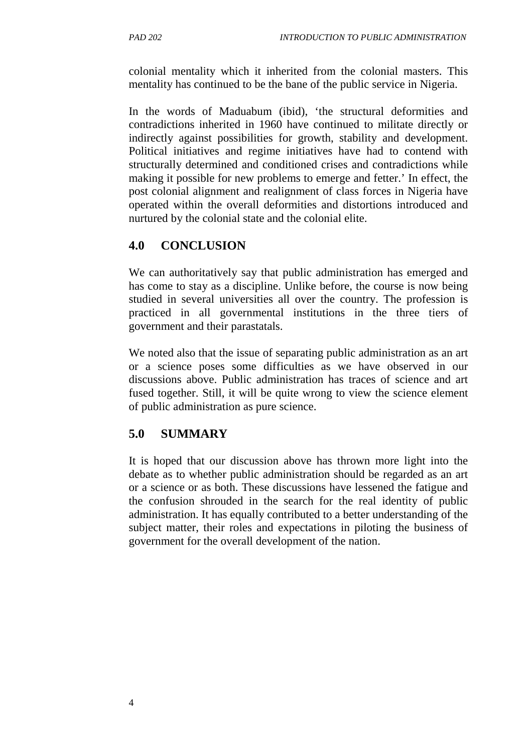colonial mentality which it inherited from the colonial masters. This mentality has continued to be the bane of the public service in Nigeria.

In the words of Maduabum (ibid), 'the structural deformities and contradictions inherited in 1960 have continued to militate directly or indirectly against possibilities for growth, stability and development. Political initiatives and regime initiatives have had to contend with structurally determined and conditioned crises and contradictions while making it possible for new problems to emerge and fetter.' In effect, the post colonial alignment and realignment of class forces in Nigeria have operated within the overall deformities and distortions introduced and nurtured by the colonial state and the colonial elite.

# **4.0 CONCLUSION**

We can authoritatively say that public administration has emerged and has come to stay as a discipline. Unlike before, the course is now being studied in several universities all over the country. The profession is practiced in all governmental institutions in the three tiers of government and their parastatals.

We noted also that the issue of separating public administration as an art or a science poses some difficulties as we have observed in our discussions above. Public administration has traces of science and art fused together. Still, it will be quite wrong to view the science element of public administration as pure science.

## **5.0 SUMMARY**

It is hoped that our discussion above has thrown more light into the debate as to whether public administration should be regarded as an art or a science or as both. These discussions have lessened the fatigue and the confusion shrouded in the search for the real identity of public administration. It has equally contributed to a better understanding of the subject matter, their roles and expectations in piloting the business of government for the overall development of the nation.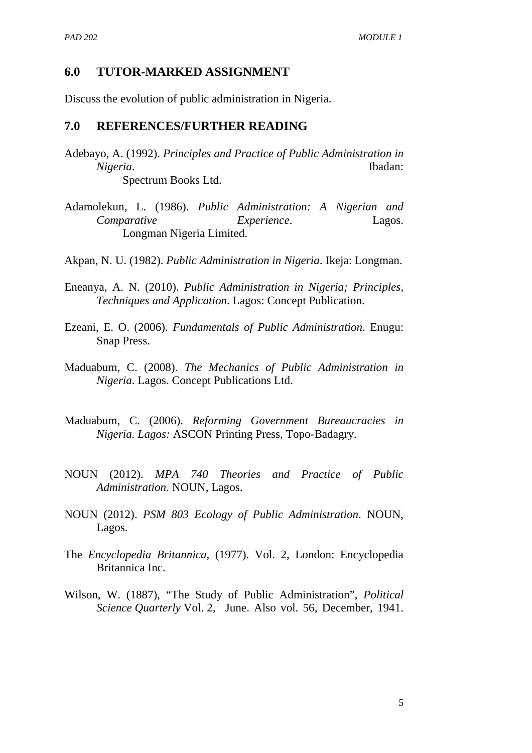#### **6.0 TUTOR-MARKED ASSIGNMENT**

Discuss the evolution of public administration in Nigeria.

#### **7.0 REFERENCES/FURTHER READING**

- Adebayo, A. (1992). *Principles and Practice of Public Administration in Nigeria*. Ibadan: Spectrum Books Ltd.
- Adamolekun, L. (1986). *Public Administration: A Nigerian and Comparative Experience*. Lagos. Longman Nigeria Limited.

Akpan, N. U. (1982). *Public Administration in Nigeria*. Ikeja: Longman.

- Eneanya, A. N. (2010). *Public Administration in Nigeria; Principles, Techniques and Application*. Lagos: Concept Publication.
- Ezeani, E. O. (2006). *Fundamentals of Public Administration*. Enugu: Snap Press.
- Maduabum, C. (2008). *The Mechanics of Public Administration in Nigeria*. Lagos. Concept Publications Ltd.
- Maduabum, C. (2006). *Reforming Government Bureaucracies in Nigeria. Lagos:* ASCON Printing Press, Topo-Badagry.
- NOUN (2012). *MPA 740 Theories and Practice of Public Administration*. NOUN, Lagos.
- NOUN (2012). *PSM 803 Ecology of Public Administration*. NOUN, Lagos.
- The *Encyclopedia Britannica*, (1977). Vol. 2, London: Encyclopedia Britannica Inc.
- Wilson, W. (1887), "The Study of Public Administration", *Political Science Quarterly* Vol. 2, June. Also vol. 56, December, 1941.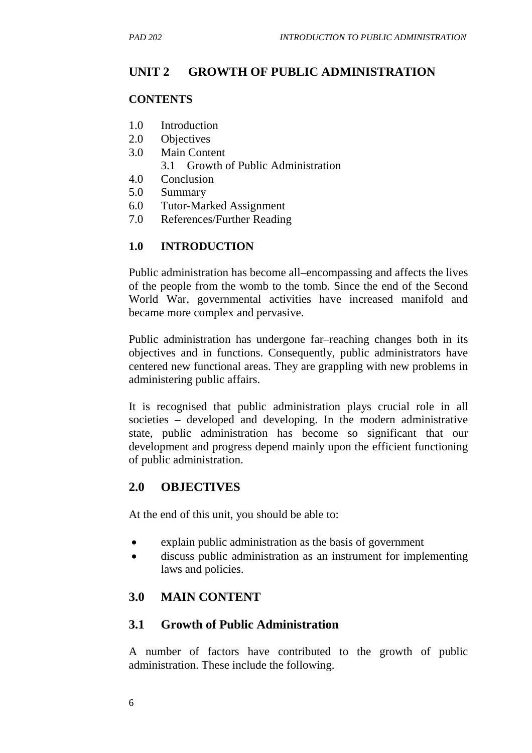# **UNIT 2 GROWTH OF PUBLIC ADMINISTRATION**

### **CONTENTS**

- 1.0 Introduction
- 2.0 Objectives
- 3.0 Main Content
	- 3.1 Growth of Public Administration
- 4.0 Conclusion
- 5.0 Summary
- 6.0 Tutor-Marked Assignment
- 7.0 References/Further Reading

## **1.0 INTRODUCTION**

Public administration has become all–encompassing and affects the lives of the people from the womb to the tomb. Since the end of the Second World War, governmental activities have increased manifold and became more complex and pervasive.

Public administration has undergone far–reaching changes both in its objectives and in functions. Consequently, public administrators have centered new functional areas. They are grappling with new problems in administering public affairs.

It is recognised that public administration plays crucial role in all societies – developed and developing. In the modern administrative state, public administration has become so significant that our development and progress depend mainly upon the efficient functioning of public administration.

## **2.0 OBJECTIVES**

At the end of this unit, you should be able to:

- explain public administration as the basis of government
- discuss public administration as an instrument for implementing laws and policies.

## **3.0 MAIN CONTENT**

## **3.1 Growth of Public Administration**

A number of factors have contributed to the growth of public administration. These include the following.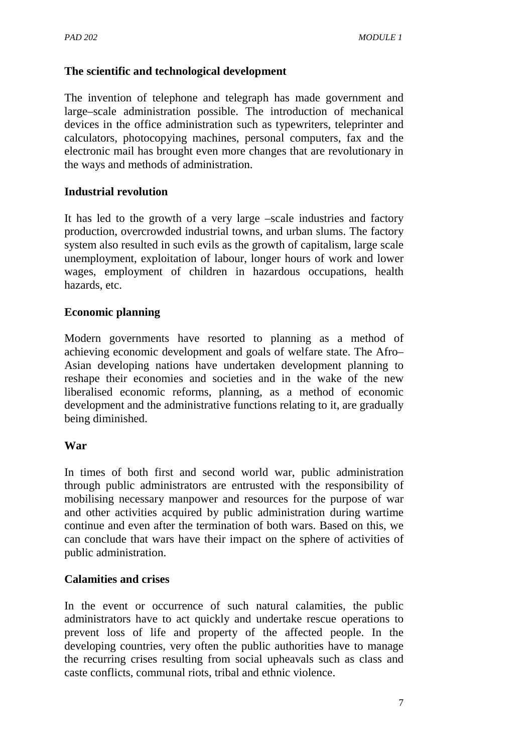## **The scientific and technological development**

The invention of telephone and telegraph has made government and large–scale administration possible. The introduction of mechanical devices in the office administration such as typewriters, teleprinter and calculators, photocopying machines, personal computers, fax and the electronic mail has brought even more changes that are revolutionary in the ways and methods of administration.

## **Industrial revolution**

It has led to the growth of a very large –scale industries and factory production, overcrowded industrial towns, and urban slums. The factory system also resulted in such evils as the growth of capitalism, large scale unemployment, exploitation of labour, longer hours of work and lower wages, employment of children in hazardous occupations, health hazards, etc.

## **Economic planning**

Modern governments have resorted to planning as a method of achieving economic development and goals of welfare state. The Afro– Asian developing nations have undertaken development planning to reshape their economies and societies and in the wake of the new liberalised economic reforms, planning, as a method of economic development and the administrative functions relating to it, are gradually being diminished.

#### **War**

In times of both first and second world war, public administration through public administrators are entrusted with the responsibility of mobilising necessary manpower and resources for the purpose of war and other activities acquired by public administration during wartime continue and even after the termination of both wars. Based on this, we can conclude that wars have their impact on the sphere of activities of public administration.

#### **Calamities and crises**

In the event or occurrence of such natural calamities, the public administrators have to act quickly and undertake rescue operations to prevent loss of life and property of the affected people. In the developing countries, very often the public authorities have to manage the recurring crises resulting from social upheavals such as class and caste conflicts, communal riots, tribal and ethnic violence.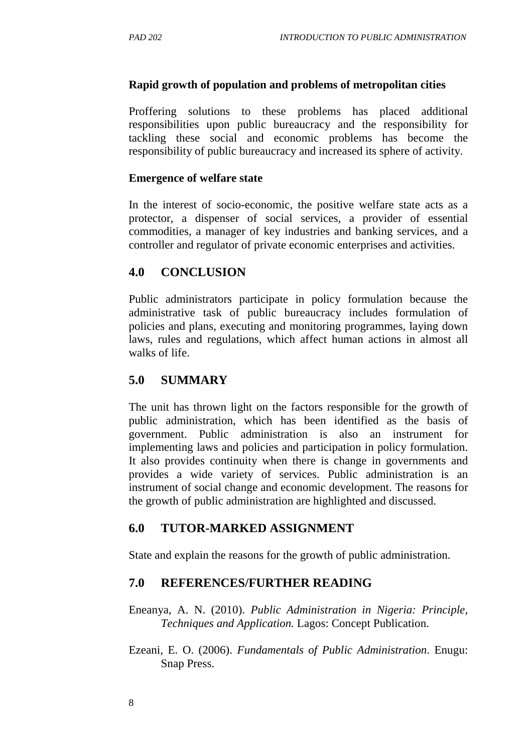### **Rapid growth of population and problems of metropolitan cities**

Proffering solutions to these problems has placed additional responsibilities upon public bureaucracy and the responsibility for tackling these social and economic problems has become the responsibility of public bureaucracy and increased its sphere of activity.

#### **Emergence of welfare state**

In the interest of socio-economic, the positive welfare state acts as a protector, a dispenser of social services, a provider of essential commodities, a manager of key industries and banking services, and a controller and regulator of private economic enterprises and activities.

## **4.0 CONCLUSION**

Public administrators participate in policy formulation because the administrative task of public bureaucracy includes formulation of policies and plans, executing and monitoring programmes, laying down laws, rules and regulations, which affect human actions in almost all walks of life.

## **5.0 SUMMARY**

The unit has thrown light on the factors responsible for the growth of public administration, which has been identified as the basis of government. Public administration is also an instrument for implementing laws and policies and participation in policy formulation. It also provides continuity when there is change in governments and provides a wide variety of services. Public administration is an instrument of social change and economic development. The reasons for the growth of public administration are highlighted and discussed.

## **6.0 TUTOR-MARKED ASSIGNMENT**

State and explain the reasons for the growth of public administration.

#### **7.0 REFERENCES/FURTHER READING**

Eneanya, A. N. (2010). *Public Administration in Nigeria: Principle, Techniques and Application.* Lagos: Concept Publication.

Ezeani, E. O. (2006). *Fundamentals of Public Administration*. Enugu: Snap Press.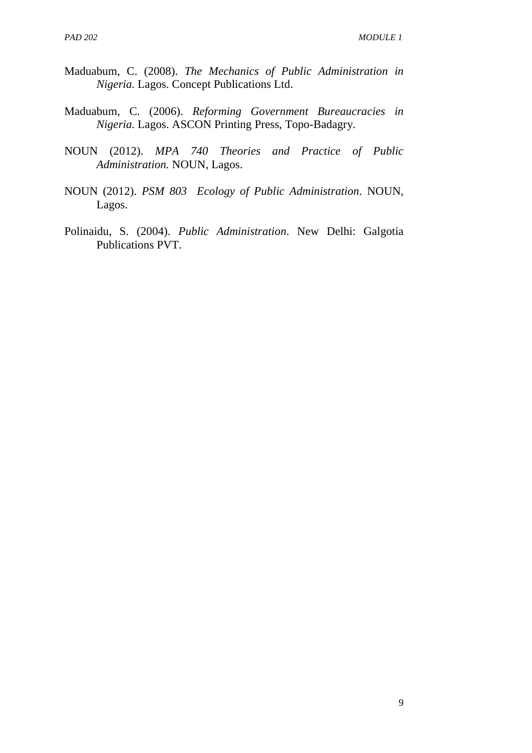- Maduabum, C. (2008). *The Mechanics of Public Administration in Nigeria.* Lagos. Concept Publications Ltd.
- Maduabum, C. (2006). *Reforming Government Bureaucracies in Nigeria.* Lagos. ASCON Printing Press, Topo-Badagry.
- NOUN (2012). *MPA 740 Theories and Practice of Public Administration.* NOUN, Lagos.
- NOUN (2012). *PSM 803 Ecology of Public Administration*. NOUN, Lagos.
- Polinaidu, S. (2004). *Public Administration*. New Delhi: Galgotia Publications PVT.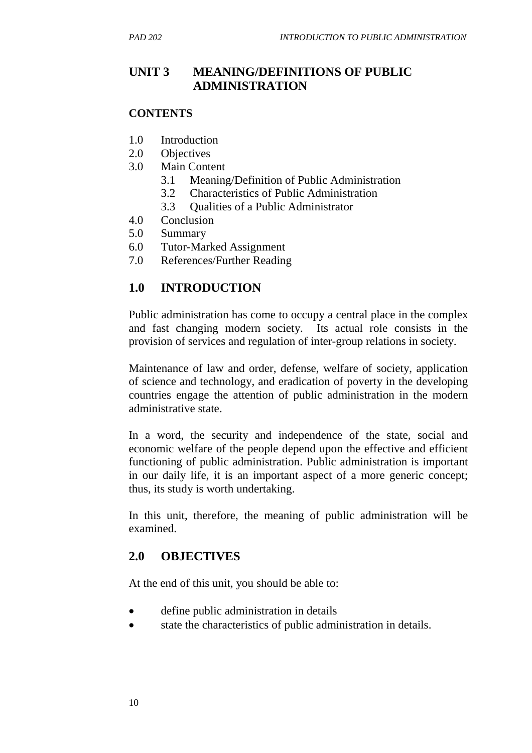# **UNIT 3 MEANING/DEFINITIONS OF PUBLIC ADMINISTRATION**

### **CONTENTS**

- 1.0 Introduction
- 2.0 Objectives
- 3.0 Main Content
	- 3.1 Meaning/Definition of Public Administration
	- 3.2 Characteristics of Public Administration
	- 3.3 Qualities of a Public Administrator
- 4.0 Conclusion
- 5.0 Summary
- 6.0 Tutor-Marked Assignment
- 7.0 References/Further Reading

# **1.0 INTRODUCTION**

Public administration has come to occupy a central place in the complex and fast changing modern society. Its actual role consists in the provision of services and regulation of inter-group relations in society.

Maintenance of law and order, defense, welfare of society, application of science and technology, and eradication of poverty in the developing countries engage the attention of public administration in the modern administrative state.

In a word, the security and independence of the state, social and economic welfare of the people depend upon the effective and efficient functioning of public administration. Public administration is important in our daily life, it is an important aspect of a more generic concept; thus, its study is worth undertaking.

In this unit, therefore, the meaning of public administration will be examined.

# **2.0 OBJECTIVES**

At the end of this unit, you should be able to:

- define public administration in details
- state the characteristics of public administration in details.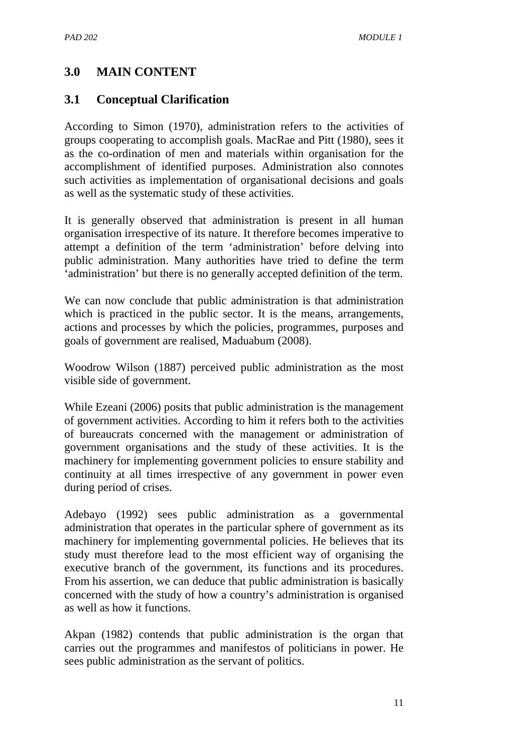# **3.0 MAIN CONTENT**

## **3.1 Conceptual Clarification**

According to Simon (1970), administration refers to the activities of groups cooperating to accomplish goals. MacRae and Pitt (1980), sees it as the co-ordination of men and materials within organisation for the accomplishment of identified purposes. Administration also connotes such activities as implementation of organisational decisions and goals as well as the systematic study of these activities.

It is generally observed that administration is present in all human organisation irrespective of its nature. It therefore becomes imperative to attempt a definition of the term 'administration' before delving into public administration. Many authorities have tried to define the term 'administration' but there is no generally accepted definition of the term.

We can now conclude that public administration is that administration which is practiced in the public sector. It is the means, arrangements, actions and processes by which the policies, programmes, purposes and goals of government are realised, Maduabum (2008).

Woodrow Wilson (1887) perceived public administration as the most visible side of government.

While Ezeani (2006) posits that public administration is the management of government activities. According to him it refers both to the activities of bureaucrats concerned with the management or administration of government organisations and the study of these activities. It is the machinery for implementing government policies to ensure stability and continuity at all times irrespective of any government in power even during period of crises.

Adebayo (1992) sees public administration as a governmental administration that operates in the particular sphere of government as its machinery for implementing governmental policies. He believes that its study must therefore lead to the most efficient way of organising the executive branch of the government, its functions and its procedures. From his assertion, we can deduce that public administration is basically concerned with the study of how a country's administration is organised as well as how it functions.

Akpan (1982) contends that public administration is the organ that carries out the programmes and manifestos of politicians in power. He sees public administration as the servant of politics.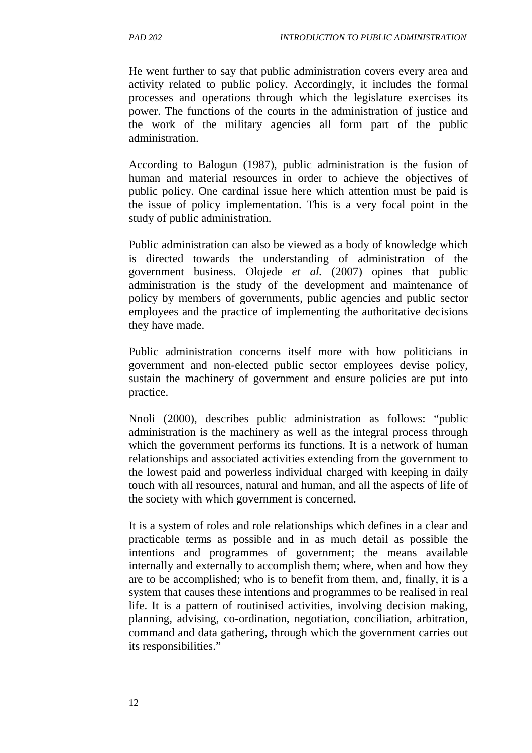He went further to say that public administration covers every area and activity related to public policy. Accordingly, it includes the formal processes and operations through which the legislature exercises its power. The functions of the courts in the administration of justice and the work of the military agencies all form part of the public administration.

According to Balogun (1987), public administration is the fusion of human and material resources in order to achieve the objectives of public policy. One cardinal issue here which attention must be paid is the issue of policy implementation. This is a very focal point in the study of public administration.

Public administration can also be viewed as a body of knowledge which is directed towards the understanding of administration of the government business. Olojede *et al.* (2007) opines that public administration is the study of the development and maintenance of policy by members of governments, public agencies and public sector employees and the practice of implementing the authoritative decisions they have made.

Public administration concerns itself more with how politicians in government and non-elected public sector employees devise policy, sustain the machinery of government and ensure policies are put into practice.

Nnoli (2000), describes public administration as follows: "public administration is the machinery as well as the integral process through which the government performs its functions. It is a network of human relationships and associated activities extending from the government to the lowest paid and powerless individual charged with keeping in daily touch with all resources, natural and human, and all the aspects of life of the society with which government is concerned.

It is a system of roles and role relationships which defines in a clear and practicable terms as possible and in as much detail as possible the intentions and programmes of government; the means available internally and externally to accomplish them; where, when and how they are to be accomplished; who is to benefit from them, and, finally, it is a system that causes these intentions and programmes to be realised in real life. It is a pattern of routinised activities, involving decision making, planning, advising, co-ordination, negotiation, conciliation, arbitration, command and data gathering, through which the government carries out its responsibilities."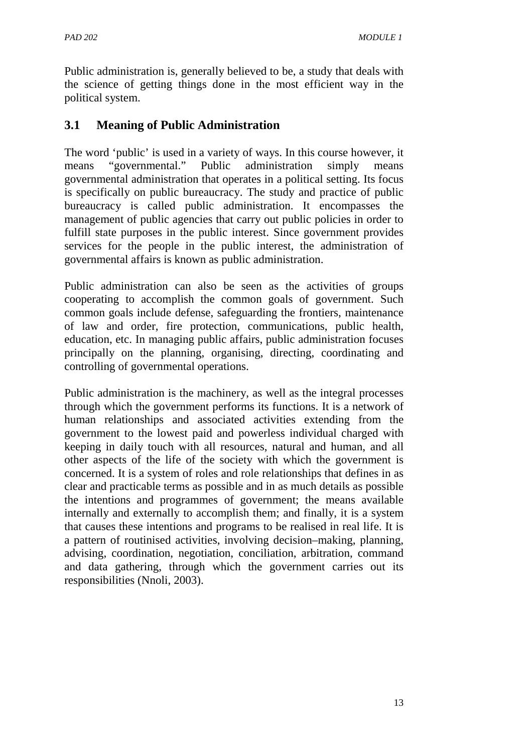Public administration is, generally believed to be, a study that deals with the science of getting things done in the most efficient way in the political system.

# **3.1 Meaning of Public Administration**

The word 'public' is used in a variety of ways. In this course however, it means "governmental." Public administration simply means governmental administration that operates in a political setting. Its focus is specifically on public bureaucracy. The study and practice of public bureaucracy is called public administration. It encompasses the management of public agencies that carry out public policies in order to fulfill state purposes in the public interest. Since government provides services for the people in the public interest, the administration of governmental affairs is known as public administration.

Public administration can also be seen as the activities of groups cooperating to accomplish the common goals of government. Such common goals include defense, safeguarding the frontiers, maintenance of law and order, fire protection, communications, public health, education, etc. In managing public affairs, public administration focuses principally on the planning, organising, directing, coordinating and controlling of governmental operations.

Public administration is the machinery, as well as the integral processes through which the government performs its functions. It is a network of human relationships and associated activities extending from the government to the lowest paid and powerless individual charged with keeping in daily touch with all resources, natural and human, and all other aspects of the life of the society with which the government is concerned. It is a system of roles and role relationships that defines in as clear and practicable terms as possible and in as much details as possible the intentions and programmes of government; the means available internally and externally to accomplish them; and finally, it is a system that causes these intentions and programs to be realised in real life. It is a pattern of routinised activities, involving decision–making, planning, advising, coordination, negotiation, conciliation, arbitration, command and data gathering, through which the government carries out its responsibilities (Nnoli, 2003).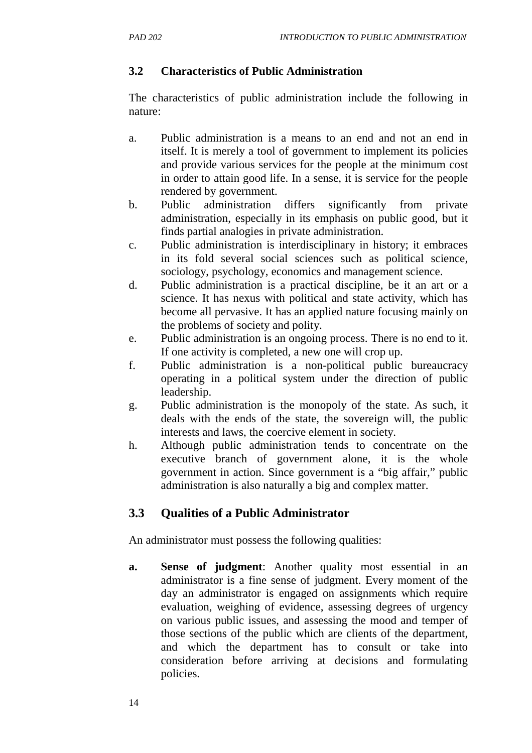## **3.2 Characteristics of Public Administration**

The characteristics of public administration include the following in nature:

- a. Public administration is a means to an end and not an end in itself. It is merely a tool of government to implement its policies and provide various services for the people at the minimum cost in order to attain good life. In a sense, it is service for the people rendered by government.
- b. Public administration differs significantly from private administration, especially in its emphasis on public good, but it finds partial analogies in private administration.
- c. Public administration is interdisciplinary in history; it embraces in its fold several social sciences such as political science, sociology, psychology, economics and management science.
- d. Public administration is a practical discipline, be it an art or a science. It has nexus with political and state activity, which has become all pervasive. It has an applied nature focusing mainly on the problems of society and polity.
- e. Public administration is an ongoing process. There is no end to it. If one activity is completed, a new one will crop up.
- f. Public administration is a non-political public bureaucracy operating in a political system under the direction of public leadership.
- g. Public administration is the monopoly of the state. As such, it deals with the ends of the state, the sovereign will, the public interests and laws, the coercive element in society.
- h. Although public administration tends to concentrate on the executive branch of government alone, it is the whole government in action. Since government is a "big affair," public administration is also naturally a big and complex matter.

# **3.3 Qualities of a Public Administrator**

An administrator must possess the following qualities:

**a. Sense of judgment**: Another quality most essential in an administrator is a fine sense of judgment. Every moment of the day an administrator is engaged on assignments which require evaluation, weighing of evidence, assessing degrees of urgency on various public issues, and assessing the mood and temper of those sections of the public which are clients of the department, and which the department has to consult or take into consideration before arriving at decisions and formulating policies.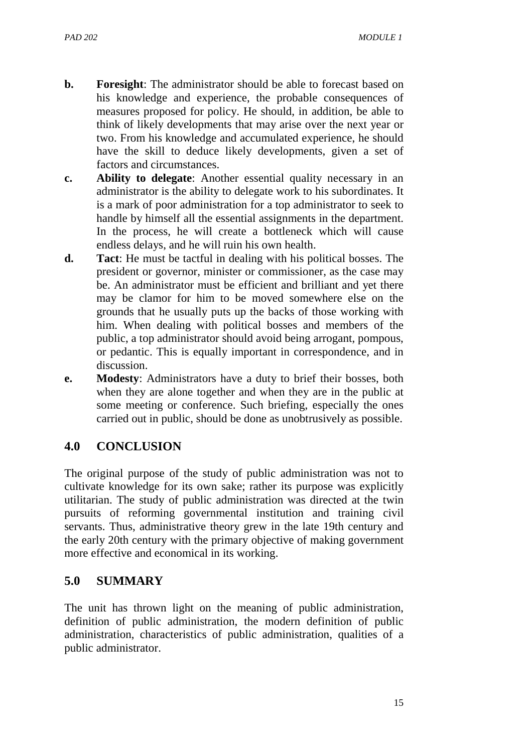- **b. Foresight**: The administrator should be able to forecast based on his knowledge and experience, the probable consequences of measures proposed for policy. He should, in addition, be able to think of likely developments that may arise over the next year or two. From his knowledge and accumulated experience, he should have the skill to deduce likely developments, given a set of factors and circumstances.
- **c. Ability to delegate**: Another essential quality necessary in an administrator is the ability to delegate work to his subordinates. It is a mark of poor administration for a top administrator to seek to handle by himself all the essential assignments in the department. In the process, he will create a bottleneck which will cause endless delays, and he will ruin his own health.
- **d. Tact**: He must be tactful in dealing with his political bosses. The president or governor, minister or commissioner, as the case may be. An administrator must be efficient and brilliant and yet there may be clamor for him to be moved somewhere else on the grounds that he usually puts up the backs of those working with him. When dealing with political bosses and members of the public, a top administrator should avoid being arrogant, pompous, or pedantic. This is equally important in correspondence, and in discussion.
- **e. Modesty**: Administrators have a duty to brief their bosses, both when they are alone together and when they are in the public at some meeting or conference. Such briefing, especially the ones carried out in public, should be done as unobtrusively as possible.

## **4.0 CONCLUSION**

The original purpose of the study of public administration was not to cultivate knowledge for its own sake; rather its purpose was explicitly utilitarian. The study of public administration was directed at the twin pursuits of reforming governmental institution and training civil servants. Thus, administrative theory grew in the late 19th century and the early 20th century with the primary objective of making government more effective and economical in its working.

## **5.0 SUMMARY**

The unit has thrown light on the meaning of public administration, definition of public administration, the modern definition of public administration, characteristics of public administration, qualities of a public administrator.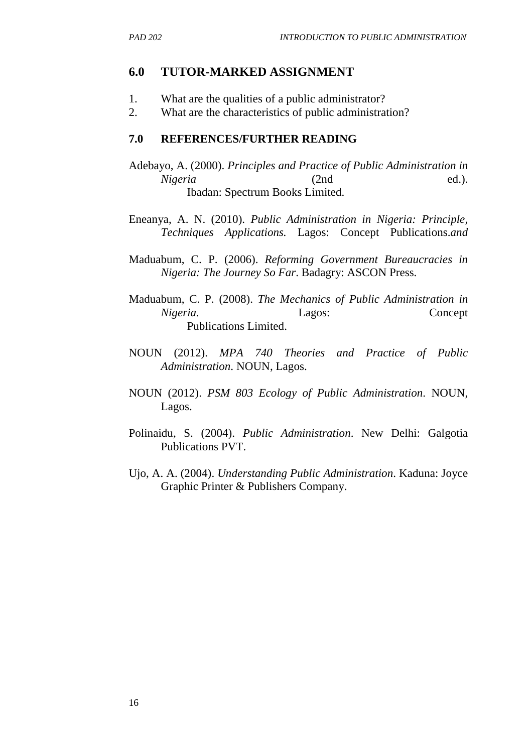#### **6.0 TUTOR-MARKED ASSIGNMENT**

- 1. What are the qualities of a public administrator?
- 2. What are the characteristics of public administration?

#### **7.0 REFERENCES/FURTHER READING**

- Adebayo, A. (2000). *Principles and Practice of Public Administration in Nigeria* (2nd ed.). Ibadan: Spectrum Books Limited.
- Eneanya, A. N. (2010). *Public Administration in Nigeria: Principle, Techniques Applications.* Lagos: Concept Publications.*and*
- Maduabum, C. P. (2006). *Reforming Government Bureaucracies in Nigeria: The Journey So Far*. Badagry: ASCON Press.
- Maduabum, C. P. (2008). *The Mechanics of Public Administration in Nigeria.* Lagos: Concept Publications Limited.
- NOUN (2012). *MPA 740 Theories and Practice of Public Administration*. NOUN, Lagos.
- NOUN (2012). *PSM 803 Ecology of Public Administration*. NOUN, Lagos.
- Polinaidu, S. (2004). *Public Administration*. New Delhi: Galgotia Publications PVT.
- Ujo, A. A. (2004). *Understanding Public Administration*. Kaduna: Joyce Graphic Printer & Publishers Company.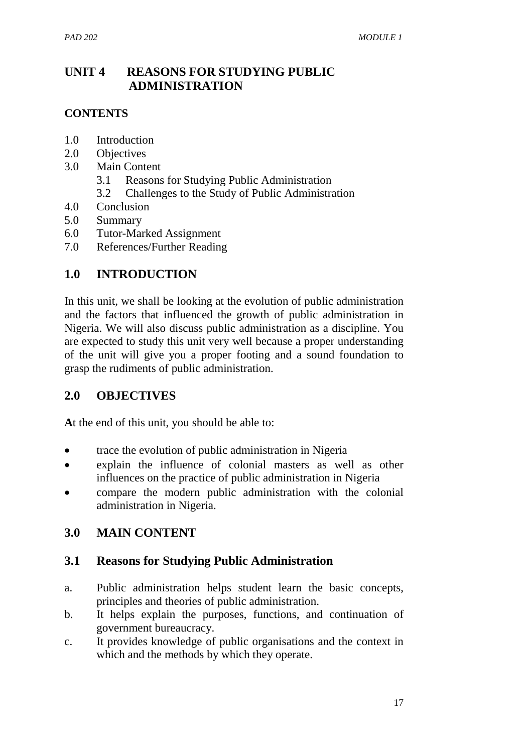# **UNIT 4 REASONS FOR STUDYING PUBLIC ADMINISTRATION**

### **CONTENTS**

- 1.0 Introduction
- 2.0 Objectives
- 3.0 Main Content
	- 3.1 Reasons for Studying Public Administration
	- 3.2 Challenges to the Study of Public Administration
- 4.0 Conclusion
- 5.0 Summary
- 6.0 Tutor-Marked Assignment
- 7.0 References/Further Reading

## **1.0 INTRODUCTION**

In this unit, we shall be looking at the evolution of public administration and the factors that influenced the growth of public administration in Nigeria. We will also discuss public administration as a discipline. You are expected to study this unit very well because a proper understanding of the unit will give you a proper footing and a sound foundation to grasp the rudiments of public administration.

## **2.0 OBJECTIVES**

**A**t the end of this unit, you should be able to:

- trace the evolution of public administration in Nigeria
- explain the influence of colonial masters as well as other influences on the practice of public administration in Nigeria
- compare the modern public administration with the colonial administration in Nigeria.

#### **3.0 MAIN CONTENT**

#### **3.1 Reasons for Studying Public Administration**

- a. Public administration helps student learn the basic concepts, principles and theories of public administration.
- b. It helps explain the purposes, functions, and continuation of government bureaucracy.
- c. It provides knowledge of public organisations and the context in which and the methods by which they operate.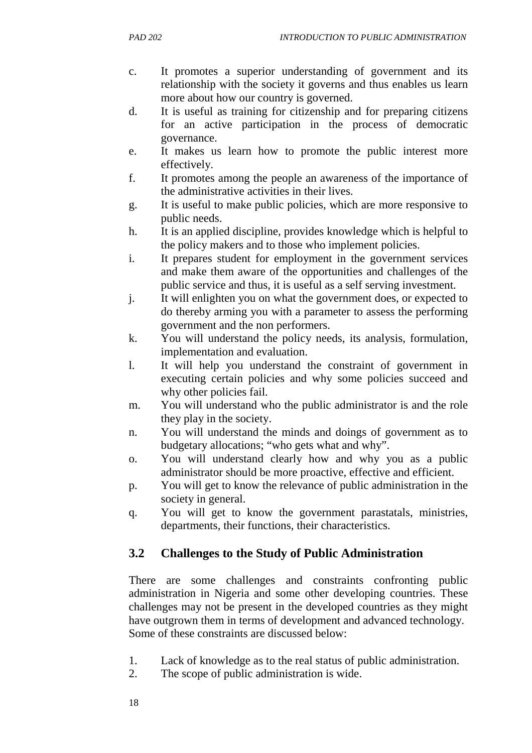- c. It promotes a superior understanding of government and its relationship with the society it governs and thus enables us learn more about how our country is governed.
- d. It is useful as training for citizenship and for preparing citizens for an active participation in the process of democratic governance.
- e. It makes us learn how to promote the public interest more effectively.
- f. It promotes among the people an awareness of the importance of the administrative activities in their lives.
- g. It is useful to make public policies, which are more responsive to public needs.
- h. It is an applied discipline, provides knowledge which is helpful to the policy makers and to those who implement policies.
- i. It prepares student for employment in the government services and make them aware of the opportunities and challenges of the public service and thus, it is useful as a self serving investment.
- j. It will enlighten you on what the government does, or expected to do thereby arming you with a parameter to assess the performing government and the non performers.
- k. You will understand the policy needs, its analysis, formulation, implementation and evaluation.
- l. It will help you understand the constraint of government in executing certain policies and why some policies succeed and why other policies fail.
- m. You will understand who the public administrator is and the role they play in the society.
- n. You will understand the minds and doings of government as to budgetary allocations; "who gets what and why".
- o. You will understand clearly how and why you as a public administrator should be more proactive, effective and efficient.
- p. You will get to know the relevance of public administration in the society in general.
- q. You will get to know the government parastatals, ministries, departments, their functions, their characteristics.

# **3.2 Challenges to the Study of Public Administration**

There are some challenges and constraints confronting public administration in Nigeria and some other developing countries. These challenges may not be present in the developed countries as they might have outgrown them in terms of development and advanced technology. Some of these constraints are discussed below:

- 1. Lack of knowledge as to the real status of public administration.
- 2. The scope of public administration is wide.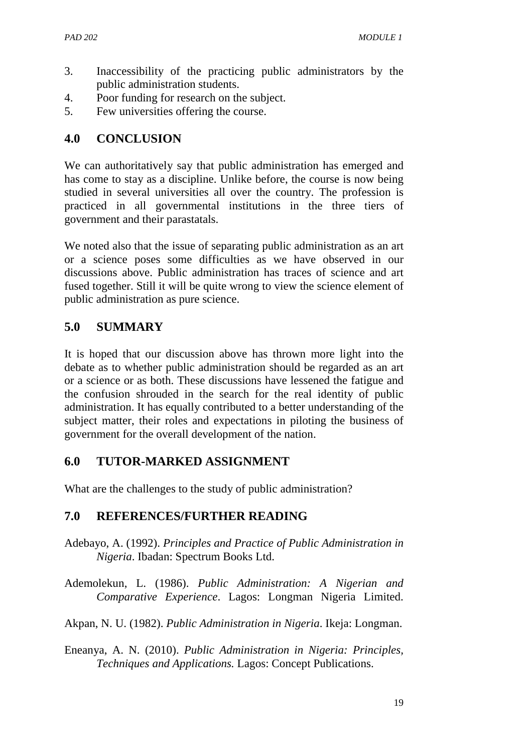- 3. Inaccessibility of the practicing public administrators by the public administration students.
- 4. Poor funding for research on the subject.
- 5. Few universities offering the course.

# **4.0 CONCLUSION**

We can authoritatively say that public administration has emerged and has come to stay as a discipline. Unlike before, the course is now being studied in several universities all over the country. The profession is practiced in all governmental institutions in the three tiers of government and their parastatals.

We noted also that the issue of separating public administration as an art or a science poses some difficulties as we have observed in our discussions above. Public administration has traces of science and art fused together. Still it will be quite wrong to view the science element of public administration as pure science.

# **5.0 SUMMARY**

It is hoped that our discussion above has thrown more light into the debate as to whether public administration should be regarded as an art or a science or as both. These discussions have lessened the fatigue and the confusion shrouded in the search for the real identity of public administration. It has equally contributed to a better understanding of the subject matter, their roles and expectations in piloting the business of government for the overall development of the nation.

## **6.0 TUTOR-MARKED ASSIGNMENT**

What are the challenges to the study of public administration?

# **7.0 REFERENCES/FURTHER READING**

- Adebayo, A. (1992). *Principles and Practice of Public Administration in Nigeria*. Ibadan: Spectrum Books Ltd.
- Ademolekun, L. (1986). *Public Administration: A Nigerian and Comparative Experience*. Lagos: Longman Nigeria Limited.
- Akpan, N. U. (1982). *Public Administration in Nigeria*. Ikeja: Longman.
- Eneanya, A. N. (2010). *Public Administration in Nigeria: Principles, Techniques and Applications.* Lagos: Concept Publications.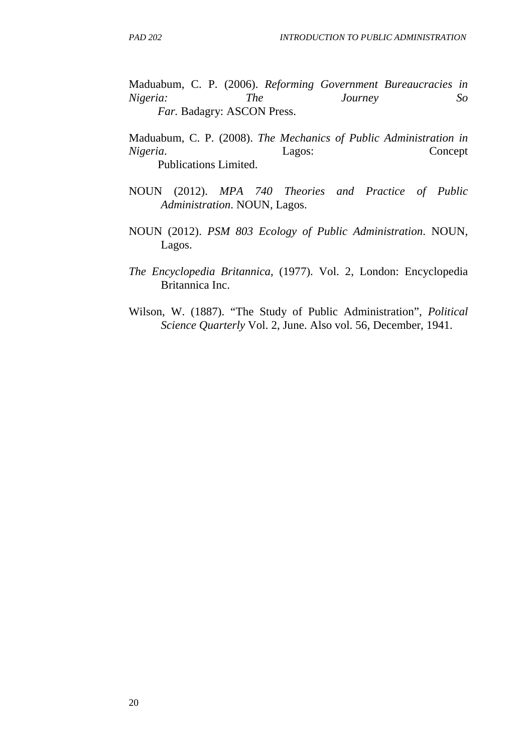Maduabum, C. P. (2006). *Reforming Government Bureaucracies in Nigeria: The Journey So Far.* Badagry: ASCON Press.

Maduabum, C. P. (2008). *The Mechanics of Public Administration in Nigeria*. Lagos: Concept Publications Limited.

- NOUN (2012). *MPA 740 Theories and Practice of Public Administration*. NOUN, Lagos.
- NOUN (2012). *PSM 803 Ecology of Public Administration*. NOUN, Lagos.
- *The Encyclopedia Britannica*, (1977). Vol. 2, London: Encyclopedia Britannica Inc.
- Wilson, W. (1887). "The Study of Public Administration", *Political Science Quarterly* Vol. 2, June. Also vol. 56, December, 1941.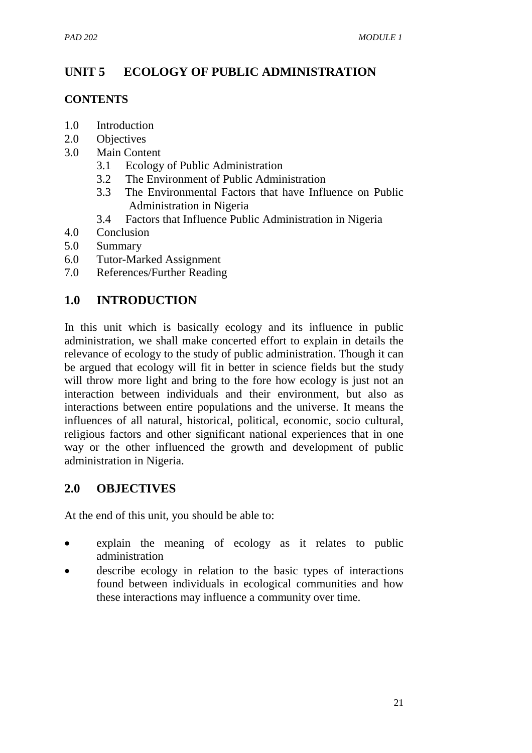# **UNIT 5 ECOLOGY OF PUBLIC ADMINISTRATION**

## **CONTENTS**

- 1.0 Introduction
- 2.0 Objectives
- 3.0 Main Content
	- 3.1 Ecology of Public Administration
	- 3.2 The Environment of Public Administration
	- 3.3 The Environmental Factors that have Influence on Public Administration in Nigeria
	- 3.4 Factors that Influence Public Administration in Nigeria
- 4.0 Conclusion
- 5.0 Summary
- 6.0 Tutor-Marked Assignment
- 7.0 References/Further Reading

# **1.0 INTRODUCTION**

In this unit which is basically ecology and its influence in public administration, we shall make concerted effort to explain in details the relevance of ecology to the study of public administration. Though it can be argued that ecology will fit in better in science fields but the study will throw more light and bring to the fore how ecology is just not an interaction between individuals and their environment, but also as interactions between entire populations and the universe. It means the influences of all natural, historical, political, economic, socio cultural, religious factors and other significant national experiences that in one way or the other influenced the growth and development of public administration in Nigeria.

## **2.0 OBJECTIVES**

At the end of this unit, you should be able to:

- explain the meaning of ecology as it relates to public administration
- describe ecology in relation to the basic types of interactions found between individuals in ecological communities and how these interactions may influence a community over time.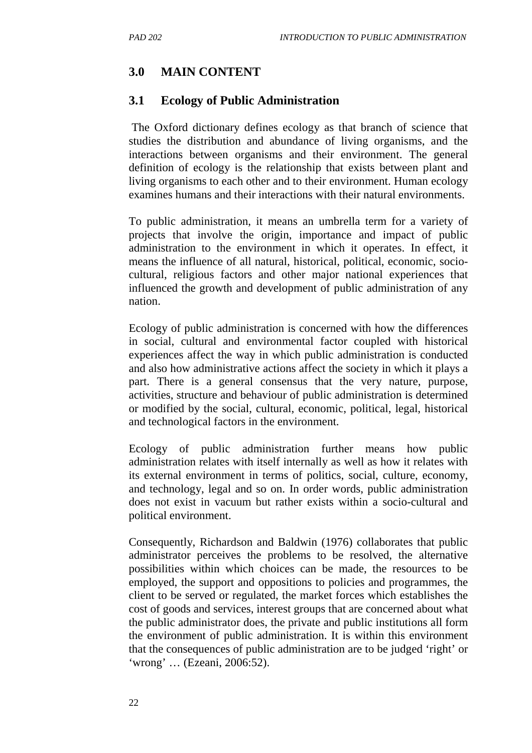# **3.0 MAIN CONTENT**

#### **3.1 Ecology of Public Administration**

 The Oxford dictionary defines ecology as that branch of science that studies the distribution and abundance of living organisms, and the interactions between organisms and their environment. The general definition of ecology is the relationship that exists between plant and living organisms to each other and to their environment. Human ecology examines humans and their interactions with their natural environments.

To public administration, it means an umbrella term for a variety of projects that involve the origin, importance and impact of public administration to the environment in which it operates. In effect, it means the influence of all natural, historical, political, economic, sociocultural, religious factors and other major national experiences that influenced the growth and development of public administration of any nation.

Ecology of public administration is concerned with how the differences in social, cultural and environmental factor coupled with historical experiences affect the way in which public administration is conducted and also how administrative actions affect the society in which it plays a part. There is a general consensus that the very nature, purpose, activities, structure and behaviour of public administration is determined or modified by the social, cultural, economic, political, legal, historical and technological factors in the environment.

Ecology of public administration further means how public administration relates with itself internally as well as how it relates with its external environment in terms of politics, social, culture, economy, and technology, legal and so on. In order words, public administration does not exist in vacuum but rather exists within a socio-cultural and political environment.

Consequently, Richardson and Baldwin (1976) collaborates that public administrator perceives the problems to be resolved, the alternative possibilities within which choices can be made, the resources to be employed, the support and oppositions to policies and programmes, the client to be served or regulated, the market forces which establishes the cost of goods and services, interest groups that are concerned about what the public administrator does, the private and public institutions all form the environment of public administration. It is within this environment that the consequences of public administration are to be judged 'right' or 'wrong' … (Ezeani, 2006:52).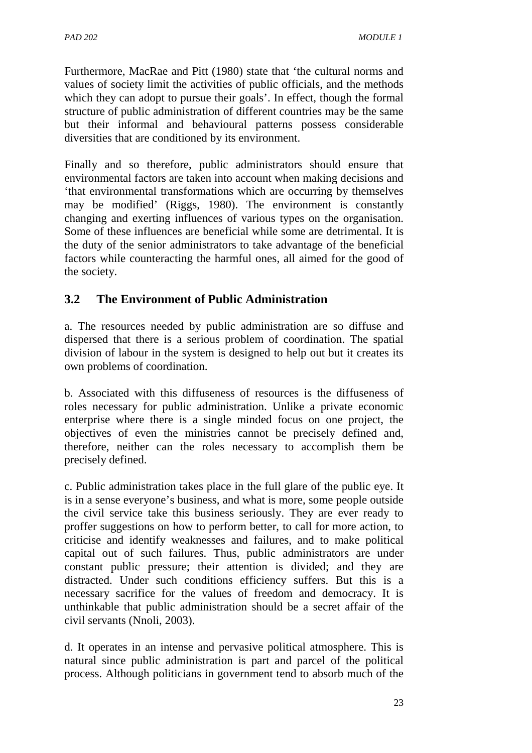Furthermore, MacRae and Pitt (1980) state that 'the cultural norms and values of society limit the activities of public officials, and the methods which they can adopt to pursue their goals'. In effect, though the formal structure of public administration of different countries may be the same but their informal and behavioural patterns possess considerable diversities that are conditioned by its environment.

Finally and so therefore, public administrators should ensure that environmental factors are taken into account when making decisions and 'that environmental transformations which are occurring by themselves may be modified' (Riggs, 1980). The environment is constantly changing and exerting influences of various types on the organisation. Some of these influences are beneficial while some are detrimental. It is the duty of the senior administrators to take advantage of the beneficial factors while counteracting the harmful ones, all aimed for the good of the society.

# **3.2 The Environment of Public Administration**

a. The resources needed by public administration are so diffuse and dispersed that there is a serious problem of coordination. The spatial division of labour in the system is designed to help out but it creates its own problems of coordination.

b. Associated with this diffuseness of resources is the diffuseness of roles necessary for public administration. Unlike a private economic enterprise where there is a single minded focus on one project, the objectives of even the ministries cannot be precisely defined and, therefore, neither can the roles necessary to accomplish them be precisely defined.

c. Public administration takes place in the full glare of the public eye. It is in a sense everyone's business, and what is more, some people outside the civil service take this business seriously. They are ever ready to proffer suggestions on how to perform better, to call for more action, to criticise and identify weaknesses and failures, and to make political capital out of such failures. Thus, public administrators are under constant public pressure; their attention is divided; and they are distracted. Under such conditions efficiency suffers. But this is a necessary sacrifice for the values of freedom and democracy. It is unthinkable that public administration should be a secret affair of the civil servants (Nnoli, 2003).

d. It operates in an intense and pervasive political atmosphere. This is natural since public administration is part and parcel of the political process. Although politicians in government tend to absorb much of the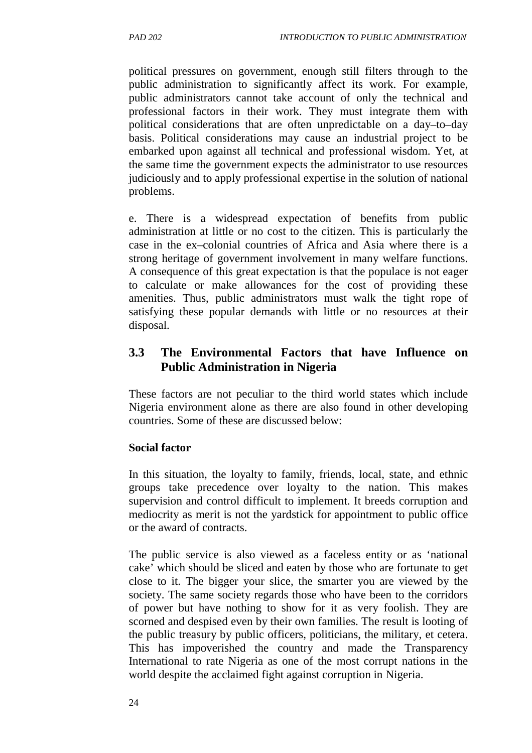political pressures on government, enough still filters through to the public administration to significantly affect its work. For example, public administrators cannot take account of only the technical and professional factors in their work. They must integrate them with political considerations that are often unpredictable on a day–to–day basis. Political considerations may cause an industrial project to be embarked upon against all technical and professional wisdom. Yet, at the same time the government expects the administrator to use resources judiciously and to apply professional expertise in the solution of national problems.

e. There is a widespread expectation of benefits from public administration at little or no cost to the citizen. This is particularly the case in the ex–colonial countries of Africa and Asia where there is a strong heritage of government involvement in many welfare functions. A consequence of this great expectation is that the populace is not eager to calculate or make allowances for the cost of providing these amenities. Thus, public administrators must walk the tight rope of satisfying these popular demands with little or no resources at their disposal.

## **3.3 The Environmental Factors that have Influence on Public Administration in Nigeria**

These factors are not peculiar to the third world states which include Nigeria environment alone as there are also found in other developing countries. Some of these are discussed below:

#### **Social factor**

In this situation, the loyalty to family, friends, local, state, and ethnic groups take precedence over loyalty to the nation. This makes supervision and control difficult to implement. It breeds corruption and mediocrity as merit is not the yardstick for appointment to public office or the award of contracts.

The public service is also viewed as a faceless entity or as 'national cake' which should be sliced and eaten by those who are fortunate to get close to it. The bigger your slice, the smarter you are viewed by the society. The same society regards those who have been to the corridors of power but have nothing to show for it as very foolish. They are scorned and despised even by their own families. The result is looting of the public treasury by public officers, politicians, the military, et cetera. This has impoverished the country and made the Transparency International to rate Nigeria as one of the most corrupt nations in the world despite the acclaimed fight against corruption in Nigeria.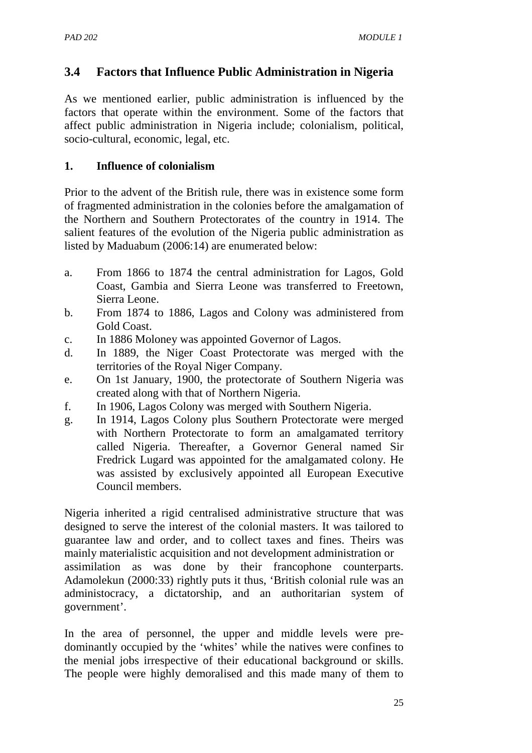# **3.4 Factors that Influence Public Administration in Nigeria**

As we mentioned earlier, public administration is influenced by the factors that operate within the environment. Some of the factors that affect public administration in Nigeria include; colonialism, political, socio-cultural, economic, legal, etc.

### **1. Influence of colonialism**

Prior to the advent of the British rule, there was in existence some form of fragmented administration in the colonies before the amalgamation of the Northern and Southern Protectorates of the country in 1914. The salient features of the evolution of the Nigeria public administration as listed by Maduabum (2006:14) are enumerated below:

- a. From 1866 to 1874 the central administration for Lagos, Gold Coast, Gambia and Sierra Leone was transferred to Freetown, Sierra Leone.
- b. From 1874 to 1886, Lagos and Colony was administered from Gold Coast.
- c. In 1886 Moloney was appointed Governor of Lagos.
- d. In 1889, the Niger Coast Protectorate was merged with the territories of the Royal Niger Company.
- e. On 1st January, 1900, the protectorate of Southern Nigeria was created along with that of Northern Nigeria.
- f. In 1906, Lagos Colony was merged with Southern Nigeria.
- g. In 1914, Lagos Colony plus Southern Protectorate were merged with Northern Protectorate to form an amalgamated territory called Nigeria. Thereafter, a Governor General named Sir Fredrick Lugard was appointed for the amalgamated colony. He was assisted by exclusively appointed all European Executive Council members.

Nigeria inherited a rigid centralised administrative structure that was designed to serve the interest of the colonial masters. It was tailored to guarantee law and order, and to collect taxes and fines. Theirs was mainly materialistic acquisition and not development administration or assimilation as was done by their francophone counterparts. Adamolekun (2000:33) rightly puts it thus, 'British colonial rule was an administocracy, a dictatorship, and an authoritarian system of government'.

In the area of personnel, the upper and middle levels were predominantly occupied by the 'whites' while the natives were confines to the menial jobs irrespective of their educational background or skills. The people were highly demoralised and this made many of them to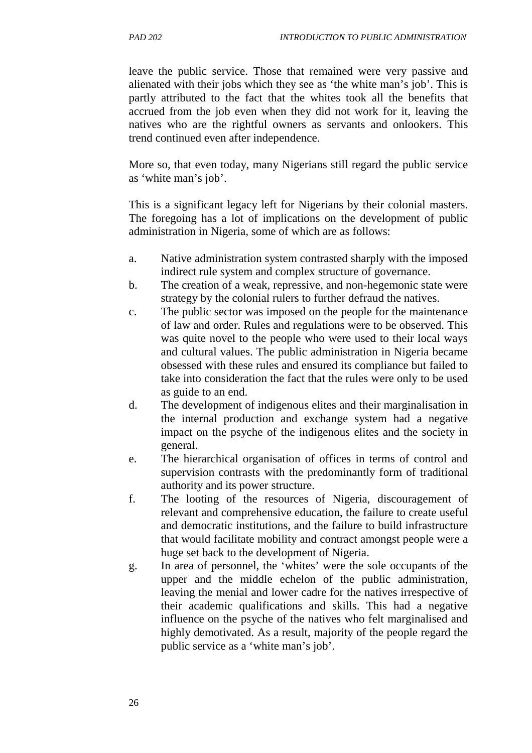leave the public service. Those that remained were very passive and alienated with their jobs which they see as 'the white man's job'. This is partly attributed to the fact that the whites took all the benefits that accrued from the job even when they did not work for it, leaving the natives who are the rightful owners as servants and onlookers. This trend continued even after independence.

More so, that even today, many Nigerians still regard the public service as 'white man's job'.

This is a significant legacy left for Nigerians by their colonial masters. The foregoing has a lot of implications on the development of public administration in Nigeria, some of which are as follows:

- a. Native administration system contrasted sharply with the imposed indirect rule system and complex structure of governance.
- b. The creation of a weak, repressive, and non-hegemonic state were strategy by the colonial rulers to further defraud the natives.
- c. The public sector was imposed on the people for the maintenance of law and order. Rules and regulations were to be observed. This was quite novel to the people who were used to their local ways and cultural values. The public administration in Nigeria became obsessed with these rules and ensured its compliance but failed to take into consideration the fact that the rules were only to be used as guide to an end.
- d. The development of indigenous elites and their marginalisation in the internal production and exchange system had a negative impact on the psyche of the indigenous elites and the society in general.
- e. The hierarchical organisation of offices in terms of control and supervision contrasts with the predominantly form of traditional authority and its power structure.
- f. The looting of the resources of Nigeria, discouragement of relevant and comprehensive education, the failure to create useful and democratic institutions, and the failure to build infrastructure that would facilitate mobility and contract amongst people were a huge set back to the development of Nigeria.
- g. In area of personnel, the 'whites' were the sole occupants of the upper and the middle echelon of the public administration, leaving the menial and lower cadre for the natives irrespective of their academic qualifications and skills. This had a negative influence on the psyche of the natives who felt marginalised and highly demotivated. As a result, majority of the people regard the public service as a 'white man's job'.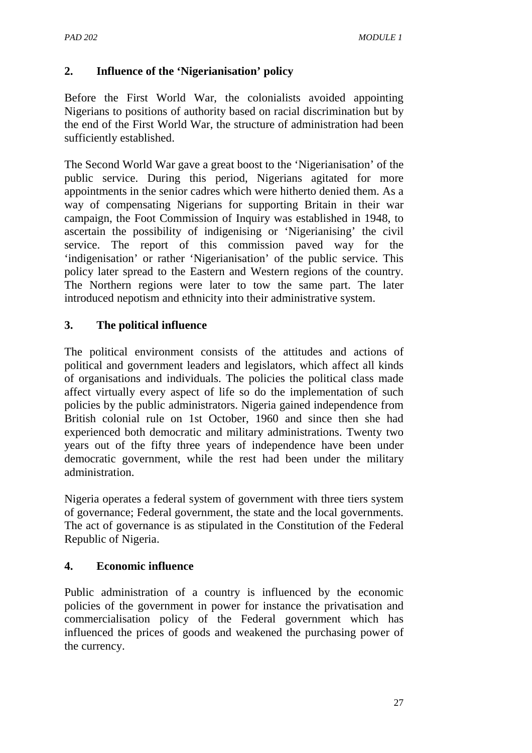## **2. Influence of the 'Nigerianisation' policy**

Before the First World War, the colonialists avoided appointing Nigerians to positions of authority based on racial discrimination but by the end of the First World War, the structure of administration had been sufficiently established.

The Second World War gave a great boost to the 'Nigerianisation' of the public service. During this period, Nigerians agitated for more appointments in the senior cadres which were hitherto denied them. As a way of compensating Nigerians for supporting Britain in their war campaign, the Foot Commission of Inquiry was established in 1948, to ascertain the possibility of indigenising or 'Nigerianising' the civil service. The report of this commission paved way for the 'indigenisation' or rather 'Nigerianisation' of the public service. This policy later spread to the Eastern and Western regions of the country. The Northern regions were later to tow the same part. The later introduced nepotism and ethnicity into their administrative system.

## **3. The political influence**

The political environment consists of the attitudes and actions of political and government leaders and legislators, which affect all kinds of organisations and individuals. The policies the political class made affect virtually every aspect of life so do the implementation of such policies by the public administrators. Nigeria gained independence from British colonial rule on 1st October, 1960 and since then she had experienced both democratic and military administrations. Twenty two years out of the fifty three years of independence have been under democratic government, while the rest had been under the military administration.

Nigeria operates a federal system of government with three tiers system of governance; Federal government, the state and the local governments. The act of governance is as stipulated in the Constitution of the Federal Republic of Nigeria.

#### **4. Economic influence**

Public administration of a country is influenced by the economic policies of the government in power for instance the privatisation and commercialisation policy of the Federal government which has influenced the prices of goods and weakened the purchasing power of the currency.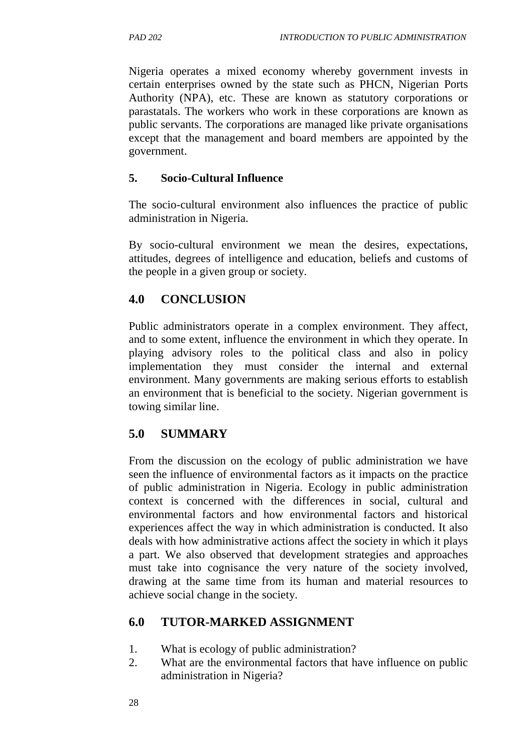Nigeria operates a mixed economy whereby government invests in certain enterprises owned by the state such as PHCN, Nigerian Ports Authority (NPA), etc. These are known as statutory corporations or parastatals. The workers who work in these corporations are known as public servants. The corporations are managed like private organisations except that the management and board members are appointed by the government.

### **5. Socio-Cultural Influence**

The socio-cultural environment also influences the practice of public administration in Nigeria.

By socio-cultural environment we mean the desires, expectations, attitudes, degrees of intelligence and education, beliefs and customs of the people in a given group or society.

# **4.0 CONCLUSION**

Public administrators operate in a complex environment. They affect, and to some extent, influence the environment in which they operate. In playing advisory roles to the political class and also in policy implementation they must consider the internal and external environment. Many governments are making serious efforts to establish an environment that is beneficial to the society. Nigerian government is towing similar line.

# **5.0 SUMMARY**

From the discussion on the ecology of public administration we have seen the influence of environmental factors as it impacts on the practice of public administration in Nigeria. Ecology in public administration context is concerned with the differences in social, cultural and environmental factors and how environmental factors and historical experiences affect the way in which administration is conducted. It also deals with how administrative actions affect the society in which it plays a part. We also observed that development strategies and approaches must take into cognisance the very nature of the society involved, drawing at the same time from its human and material resources to achieve social change in the society.

# **6.0 TUTOR-MARKED ASSIGNMENT**

- 1. What is ecology of public administration?
- 2. What are the environmental factors that have influence on public administration in Nigeria?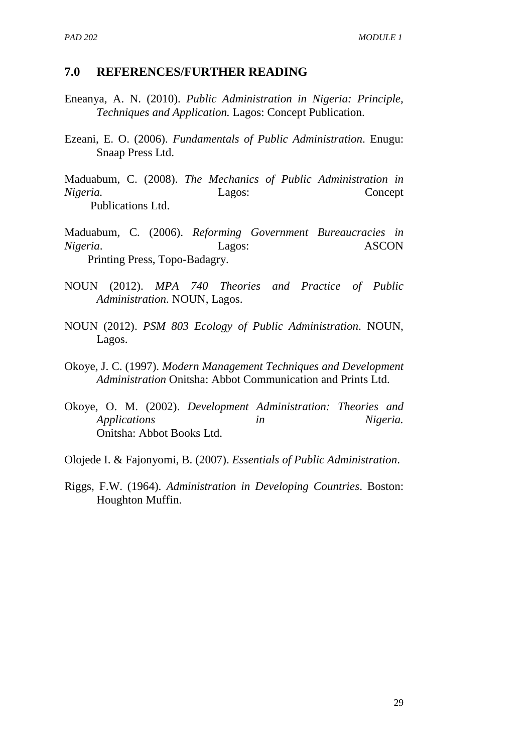#### **7.0 REFERENCES/FURTHER READING**

- Eneanya, A. N. (2010). *Public Administration in Nigeria: Principle, Techniques and Application.* Lagos: Concept Publication.
- Ezeani, E. O. (2006). *Fundamentals of Public Administration*. Enugu: Snaap Press Ltd.
- Maduabum, C. (2008). *The Mechanics of Public Administration in Nigeria.* Lagos: Concept Publications Ltd.
- Maduabum, C. (2006). *Reforming Government Bureaucracies in Nigeria*. Lagos: ASCON Printing Press, Topo-Badagry.
- NOUN (2012). *MPA 740 Theories and Practice of Public Administration*. NOUN, Lagos.
- NOUN (2012). *PSM 803 Ecology of Public Administration*. NOUN, Lagos.
- Okoye, J. C. (1997). *Modern Management Techniques and Development Administration* Onitsha: Abbot Communication and Prints Ltd.
- Okoye, O. M. (2002). *Development Administration: Theories and Applications in Nigeria.* Onitsha: Abbot Books Ltd.
- Olojede I. & Fajonyomi, B. (2007). *Essentials of Public Administration*.
- Riggs, F.W. (1964). *Administration in Developing Countries*. Boston: Houghton Muffin.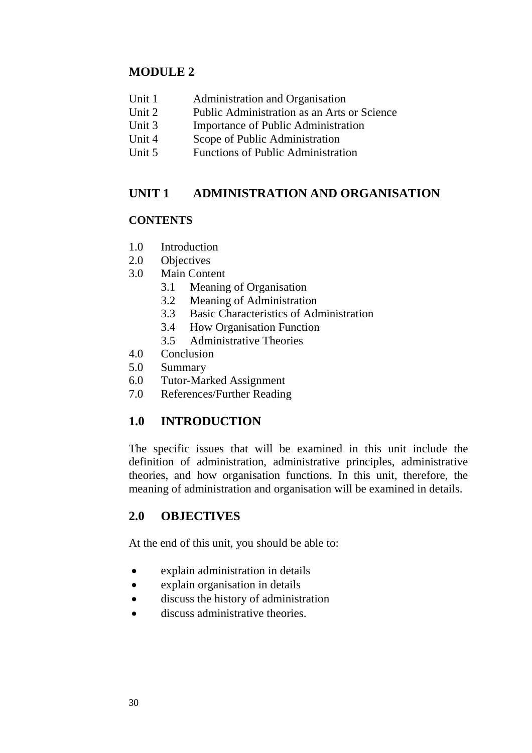### **MODULE 2**

- Unit 1 Administration and Organisation
- Unit 2 Public Administration as an Arts or Science
- Unit 3 Importance of Public Administration
- Unit 4 Scope of Public Administration
- Unit 5 Functions of Public Administration

### **UNIT 1 ADMINISTRATION AND ORGANISATION**

#### **CONTENTS**

- 1.0 Introduction
- 2.0 Objectives
- 3.0 Main Content
	- 3.1 Meaning of Organisation
	- 3.2 Meaning of Administration
	- 3.3 Basic Characteristics of Administration
	- 3.4 How Organisation Function
	- 3.5 Administrative Theories
- 4.0 Conclusion
- 5.0 Summary
- 6.0 Tutor-Marked Assignment
- 7.0 References/Further Reading

## **1.0 INTRODUCTION**

The specific issues that will be examined in this unit include the definition of administration, administrative principles, administrative theories, and how organisation functions. In this unit, therefore, the meaning of administration and organisation will be examined in details.

### **2.0 OBJECTIVES**

At the end of this unit, you should be able to:

- explain administration in details
- explain organisation in details
- discuss the history of administration
- discuss administrative theories.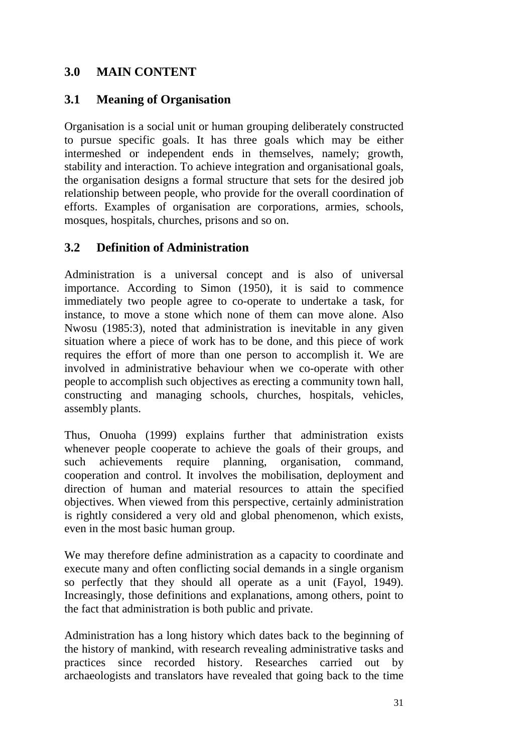### **3.0 MAIN CONTENT**

### **3.1 Meaning of Organisation**

Organisation is a social unit or human grouping deliberately constructed to pursue specific goals. It has three goals which may be either intermeshed or independent ends in themselves, namely; growth, stability and interaction. To achieve integration and organisational goals, the organisation designs a formal structure that sets for the desired job relationship between people, who provide for the overall coordination of efforts. Examples of organisation are corporations, armies, schools, mosques, hospitals, churches, prisons and so on.

### **3.2 Definition of Administration**

Administration is a universal concept and is also of universal importance. According to Simon (1950), it is said to commence immediately two people agree to co-operate to undertake a task, for instance, to move a stone which none of them can move alone. Also Nwosu (1985:3), noted that administration is inevitable in any given situation where a piece of work has to be done, and this piece of work requires the effort of more than one person to accomplish it. We are involved in administrative behaviour when we co-operate with other people to accomplish such objectives as erecting a community town hall, constructing and managing schools, churches, hospitals, vehicles, assembly plants.

Thus, Onuoha (1999) explains further that administration exists whenever people cooperate to achieve the goals of their groups, and such achievements require planning, organisation, command, cooperation and control. It involves the mobilisation, deployment and direction of human and material resources to attain the specified objectives. When viewed from this perspective, certainly administration is rightly considered a very old and global phenomenon, which exists, even in the most basic human group.

We may therefore define administration as a capacity to coordinate and execute many and often conflicting social demands in a single organism so perfectly that they should all operate as a unit (Fayol, 1949). Increasingly, those definitions and explanations, among others, point to the fact that administration is both public and private.

Administration has a long history which dates back to the beginning of the history of mankind, with research revealing administrative tasks and practices since recorded history. Researches carried out by archaeologists and translators have revealed that going back to the time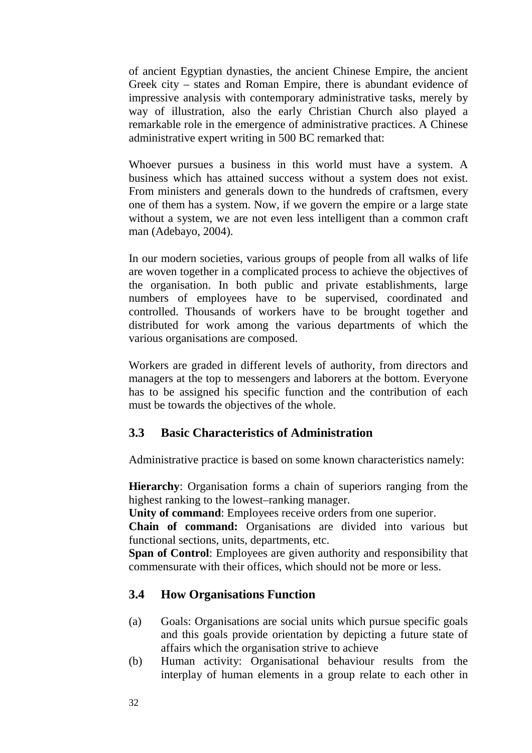of ancient Egyptian dynasties, the ancient Chinese Empire, the ancient Greek city – states and Roman Empire, there is abundant evidence of impressive analysis with contemporary administrative tasks, merely by way of illustration, also the early Christian Church also played a remarkable role in the emergence of administrative practices. A Chinese administrative expert writing in 500 BC remarked that:

Whoever pursues a business in this world must have a system. A business which has attained success without a system does not exist. From ministers and generals down to the hundreds of craftsmen, every one of them has a system. Now, if we govern the empire or a large state without a system, we are not even less intelligent than a common craft man (Adebayo, 2004).

In our modern societies, various groups of people from all walks of life are woven together in a complicated process to achieve the objectives of the organisation. In both public and private establishments, large numbers of employees have to be supervised, coordinated and controlled. Thousands of workers have to be brought together and distributed for work among the various departments of which the various organisations are composed.

Workers are graded in different levels of authority, from directors and managers at the top to messengers and laborers at the bottom. Everyone has to be assigned his specific function and the contribution of each must be towards the objectives of the whole.

### **3.3 Basic Characteristics of Administration**

Administrative practice is based on some known characteristics namely:

**Hierarchy**: Organisation forms a chain of superiors ranging from the highest ranking to the lowest–ranking manager.

**Unity of command**: Employees receive orders from one superior.

**Chain of command:** Organisations are divided into various but functional sections, units, departments, etc.

**Span of Control**: Employees are given authority and responsibility that commensurate with their offices, which should not be more or less.

### **3.4 How Organisations Function**

- (a) Goals: Organisations are social units which pursue specific goals and this goals provide orientation by depicting a future state of affairs which the organisation strive to achieve
- (b) Human activity: Organisational behaviour results from the interplay of human elements in a group relate to each other in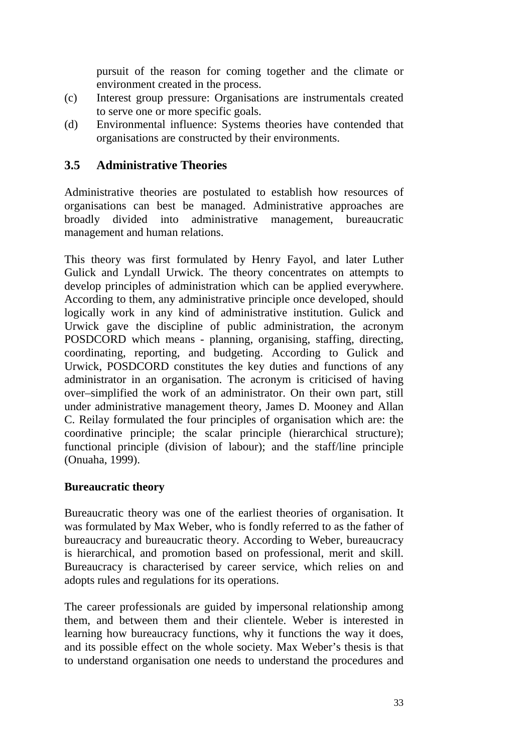pursuit of the reason for coming together and the climate or environment created in the process.

- (c) Interest group pressure: Organisations are instrumentals created to serve one or more specific goals.
- (d) Environmental influence: Systems theories have contended that organisations are constructed by their environments.

#### **3.5 Administrative Theories**

Administrative theories are postulated to establish how resources of organisations can best be managed. Administrative approaches are broadly divided into administrative management, bureaucratic management and human relations.

This theory was first formulated by Henry Fayol, and later Luther Gulick and Lyndall Urwick. The theory concentrates on attempts to develop principles of administration which can be applied everywhere. According to them, any administrative principle once developed, should logically work in any kind of administrative institution. Gulick and Urwick gave the discipline of public administration, the acronym POSDCORD which means - planning, organising, staffing, directing, coordinating, reporting, and budgeting. According to Gulick and Urwick, POSDCORD constitutes the key duties and functions of any administrator in an organisation. The acronym is criticised of having over–simplified the work of an administrator. On their own part, still under administrative management theory, James D. Mooney and Allan C. Reilay formulated the four principles of organisation which are: the coordinative principle; the scalar principle (hierarchical structure); functional principle (division of labour); and the staff/line principle (Onuaha, 1999).

#### **Bureaucratic theory**

Bureaucratic theory was one of the earliest theories of organisation. It was formulated by Max Weber, who is fondly referred to as the father of bureaucracy and bureaucratic theory. According to Weber, bureaucracy is hierarchical, and promotion based on professional, merit and skill. Bureaucracy is characterised by career service, which relies on and adopts rules and regulations for its operations.

The career professionals are guided by impersonal relationship among them, and between them and their clientele. Weber is interested in learning how bureaucracy functions, why it functions the way it does, and its possible effect on the whole society. Max Weber's thesis is that to understand organisation one needs to understand the procedures and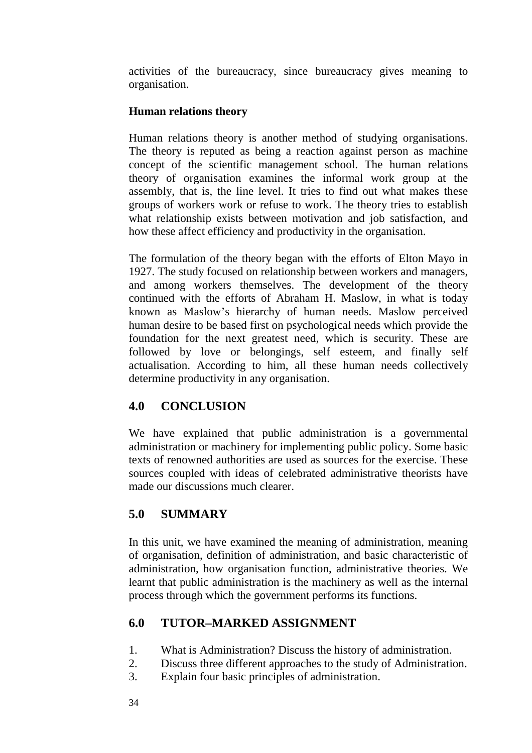activities of the bureaucracy, since bureaucracy gives meaning to organisation.

#### **Human relations theory**

Human relations theory is another method of studying organisations. The theory is reputed as being a reaction against person as machine concept of the scientific management school. The human relations theory of organisation examines the informal work group at the assembly, that is, the line level. It tries to find out what makes these groups of workers work or refuse to work. The theory tries to establish what relationship exists between motivation and job satisfaction, and how these affect efficiency and productivity in the organisation.

The formulation of the theory began with the efforts of Elton Mayo in 1927. The study focused on relationship between workers and managers, and among workers themselves. The development of the theory continued with the efforts of Abraham H. Maslow, in what is today known as Maslow's hierarchy of human needs. Maslow perceived human desire to be based first on psychological needs which provide the foundation for the next greatest need, which is security. These are followed by love or belongings, self esteem, and finally self actualisation. According to him, all these human needs collectively determine productivity in any organisation.

## **4.0 CONCLUSION**

We have explained that public administration is a governmental administration or machinery for implementing public policy. Some basic texts of renowned authorities are used as sources for the exercise. These sources coupled with ideas of celebrated administrative theorists have made our discussions much clearer.

## **5.0 SUMMARY**

In this unit, we have examined the meaning of administration, meaning of organisation, definition of administration, and basic characteristic of administration, how organisation function, administrative theories. We learnt that public administration is the machinery as well as the internal process through which the government performs its functions.

## **6.0 TUTOR–MARKED ASSIGNMENT**

- 1. What is Administration? Discuss the history of administration.
- 2. Discuss three different approaches to the study of Administration.
- 3. Explain four basic principles of administration.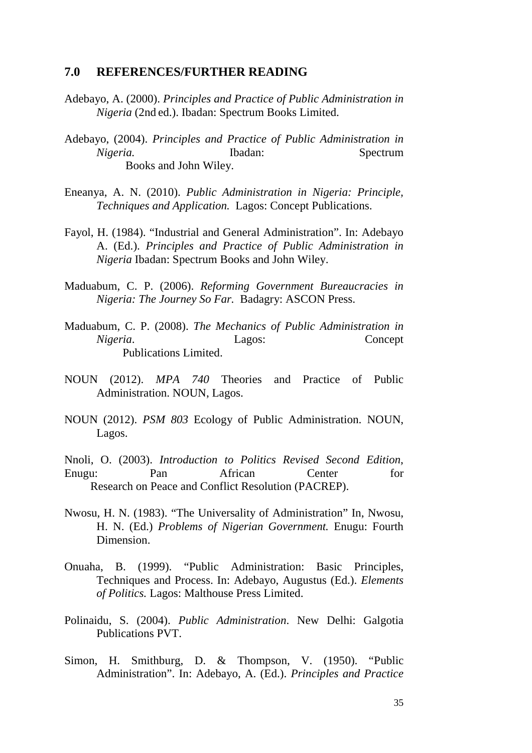#### **7.0 REFERENCES/FURTHER READING**

- Adebayo, A. (2000). *Principles and Practice of Public Administration in Nigeria* (2nd ed.). Ibadan: Spectrum Books Limited.
- Adebayo, (2004). *Principles and Practice of Public Administration in Nigeria.* Ibadan: Spectrum Books and John Wiley.
- Eneanya, A. N. (2010). *Public Administration in Nigeria: Principle, Techniques and Application.* Lagos: Concept Publications.
- Fayol, H. (1984). "Industrial and General Administration". In: Adebayo A. (Ed.). *Principles and Practice of Public Administration in Nigeria* Ibadan: Spectrum Books and John Wiley.
- Maduabum, C. P. (2006). *Reforming Government Bureaucracies in Nigeria: The Journey So Far.* Badagry: ASCON Press.
- Maduabum, C. P. (2008). *The Mechanics of Public Administration in Nigeria*. Lagos: Concept Publications Limited.
- NOUN (2012). *MPA 740* Theories and Practice of Public Administration. NOUN, Lagos.
- NOUN (2012). *PSM 803* Ecology of Public Administration. NOUN, Lagos.
- Nnoli, O. (2003). *Introduction to Politics Revised Second Edition*, Enugu: Pan African Center for Research on Peace and Conflict Resolution (PACREP).
- Nwosu, H. N. (1983). "The Universality of Administration" In, Nwosu, H. N. (Ed.) *Problems of Nigerian Government.* Enugu: Fourth Dimension.
- Onuaha, B. (1999). "Public Administration: Basic Principles, Techniques and Process. In: Adebayo, Augustus (Ed.). *Elements of Politics.* Lagos: Malthouse Press Limited.
- Polinaidu, S. (2004). *Public Administration*. New Delhi: Galgotia Publications PVT.
- Simon, H. Smithburg, D. & Thompson, V. (1950). "Public Administration". In: Adebayo, A. (Ed.). *Principles and Practice*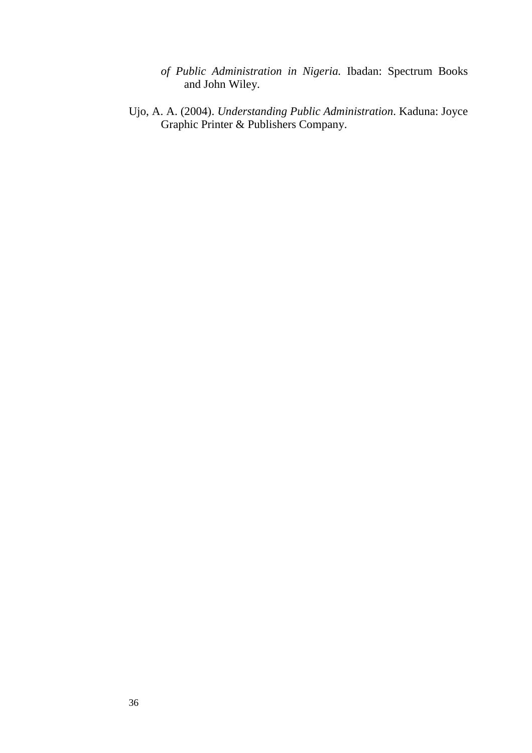- *of Public Administration in Nigeria.* Ibadan: Spectrum Books and John Wiley.
- Ujo, A. A. (2004). *Understanding Public Administration*. Kaduna: Joyce Graphic Printer & Publishers Company.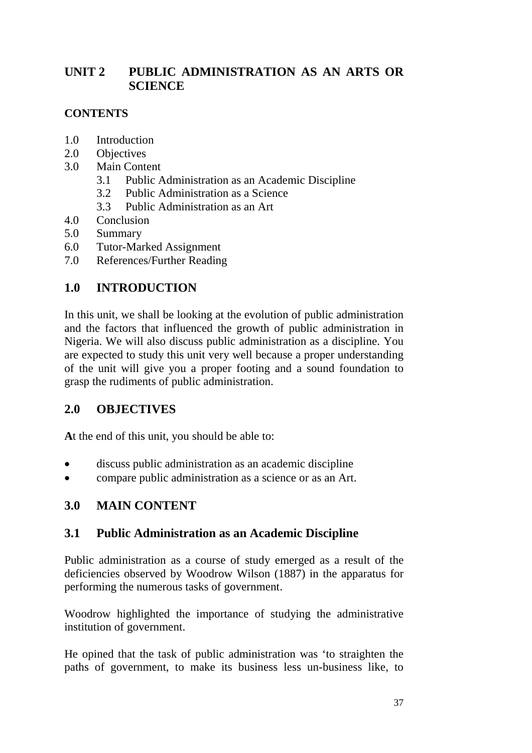## **UNIT 2 PUBLIC ADMINISTRATION AS AN ARTS OR SCIENCE**

#### **CONTENTS**

- 1.0 Introduction
- 2.0 Objectives
- 3.0 Main Content
	- 3.1 Public Administration as an Academic Discipline
	- 3.2 Public Administration as a Science
	- 3.3 Public Administration as an Art
- 4.0 Conclusion
- 5.0 Summary
- 6.0 Tutor-Marked Assignment
- 7.0 References/Further Reading

## **1.0 INTRODUCTION**

In this unit, we shall be looking at the evolution of public administration and the factors that influenced the growth of public administration in Nigeria. We will also discuss public administration as a discipline. You are expected to study this unit very well because a proper understanding of the unit will give you a proper footing and a sound foundation to grasp the rudiments of public administration.

### **2.0 OBJECTIVES**

**A**t the end of this unit, you should be able to:

- discuss public administration as an academic discipline
- compare public administration as a science or as an Art.

## **3.0 MAIN CONTENT**

### **3.1 Public Administration as an Academic Discipline**

Public administration as a course of study emerged as a result of the deficiencies observed by Woodrow Wilson (1887) in the apparatus for performing the numerous tasks of government.

Woodrow highlighted the importance of studying the administrative institution of government.

He opined that the task of public administration was 'to straighten the paths of government, to make its business less un-business like, to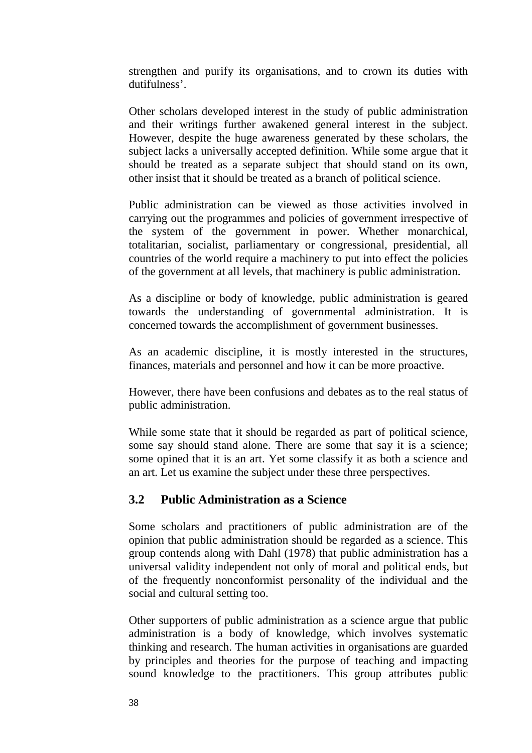strengthen and purify its organisations, and to crown its duties with dutifulness'.

Other scholars developed interest in the study of public administration and their writings further awakened general interest in the subject. However, despite the huge awareness generated by these scholars, the subject lacks a universally accepted definition. While some argue that it should be treated as a separate subject that should stand on its own, other insist that it should be treated as a branch of political science.

Public administration can be viewed as those activities involved in carrying out the programmes and policies of government irrespective of the system of the government in power. Whether monarchical, totalitarian, socialist, parliamentary or congressional, presidential, all countries of the world require a machinery to put into effect the policies of the government at all levels, that machinery is public administration.

As a discipline or body of knowledge, public administration is geared towards the understanding of governmental administration. It is concerned towards the accomplishment of government businesses.

As an academic discipline, it is mostly interested in the structures, finances, materials and personnel and how it can be more proactive.

However, there have been confusions and debates as to the real status of public administration.

While some state that it should be regarded as part of political science, some say should stand alone. There are some that say it is a science; some opined that it is an art. Yet some classify it as both a science and an art. Let us examine the subject under these three perspectives.

#### **3.2 Public Administration as a Science**

Some scholars and practitioners of public administration are of the opinion that public administration should be regarded as a science. This group contends along with Dahl (1978) that public administration has a universal validity independent not only of moral and political ends, but of the frequently nonconformist personality of the individual and the social and cultural setting too.

Other supporters of public administration as a science argue that public administration is a body of knowledge, which involves systematic thinking and research. The human activities in organisations are guarded by principles and theories for the purpose of teaching and impacting sound knowledge to the practitioners. This group attributes public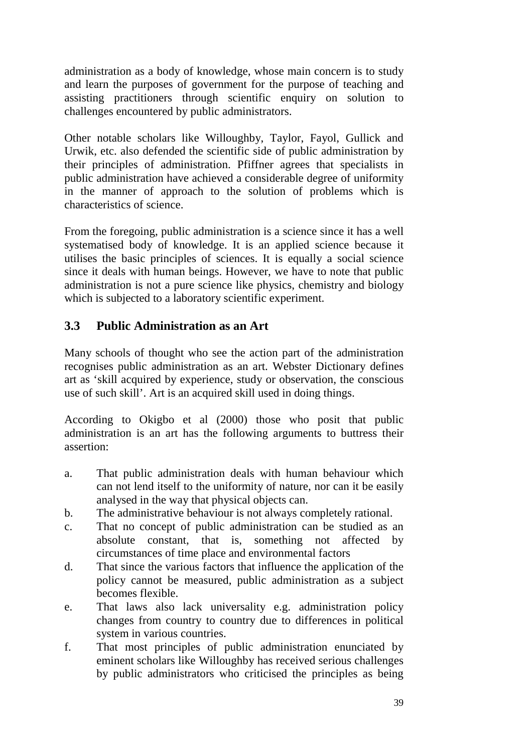administration as a body of knowledge, whose main concern is to study and learn the purposes of government for the purpose of teaching and assisting practitioners through scientific enquiry on solution to challenges encountered by public administrators.

Other notable scholars like Willoughby, Taylor, Fayol, Gullick and Urwik, etc. also defended the scientific side of public administration by their principles of administration. Pfiffner agrees that specialists in public administration have achieved a considerable degree of uniformity in the manner of approach to the solution of problems which is characteristics of science.

From the foregoing, public administration is a science since it has a well systematised body of knowledge. It is an applied science because it utilises the basic principles of sciences. It is equally a social science since it deals with human beings. However, we have to note that public administration is not a pure science like physics, chemistry and biology which is subjected to a laboratory scientific experiment.

### **3.3 Public Administration as an Art**

Many schools of thought who see the action part of the administration recognises public administration as an art. Webster Dictionary defines art as 'skill acquired by experience, study or observation, the conscious use of such skill'. Art is an acquired skill used in doing things.

According to Okigbo et al (2000) those who posit that public administration is an art has the following arguments to buttress their assertion:

- a. That public administration deals with human behaviour which can not lend itself to the uniformity of nature, nor can it be easily analysed in the way that physical objects can.
- b. The administrative behaviour is not always completely rational.
- c. That no concept of public administration can be studied as an absolute constant, that is, something not affected by circumstances of time place and environmental factors
- d. That since the various factors that influence the application of the policy cannot be measured, public administration as a subject becomes flexible.
- e. That laws also lack universality e.g. administration policy changes from country to country due to differences in political system in various countries.
- f. That most principles of public administration enunciated by eminent scholars like Willoughby has received serious challenges by public administrators who criticised the principles as being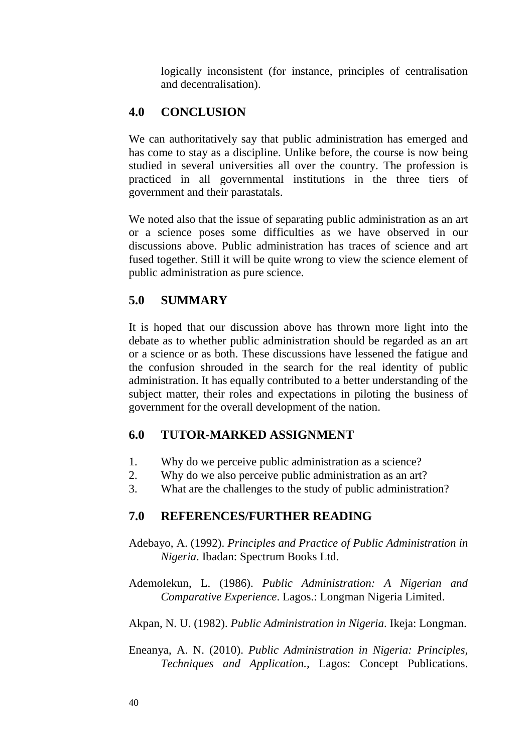logically inconsistent (for instance, principles of centralisation and decentralisation).

## **4.0 CONCLUSION**

We can authoritatively say that public administration has emerged and has come to stay as a discipline. Unlike before, the course is now being studied in several universities all over the country. The profession is practiced in all governmental institutions in the three tiers of government and their parastatals.

We noted also that the issue of separating public administration as an art or a science poses some difficulties as we have observed in our discussions above. Public administration has traces of science and art fused together. Still it will be quite wrong to view the science element of public administration as pure science.

### **5.0 SUMMARY**

It is hoped that our discussion above has thrown more light into the debate as to whether public administration should be regarded as an art or a science or as both. These discussions have lessened the fatigue and the confusion shrouded in the search for the real identity of public administration. It has equally contributed to a better understanding of the subject matter, their roles and expectations in piloting the business of government for the overall development of the nation.

### **6.0 TUTOR-MARKED ASSIGNMENT**

- 1. Why do we perceive public administration as a science?
- 2. Why do we also perceive public administration as an art?
- 3. What are the challenges to the study of public administration?

#### **7.0 REFERENCES/FURTHER READING**

- Adebayo, A. (1992). *Principles and Practice of Public Administration in Nigeria*. Ibadan: Spectrum Books Ltd.
- Ademolekun, L. (1986). *Public Administration: A Nigerian and Comparative Experience*. Lagos.: Longman Nigeria Limited.

Akpan, N. U. (1982). *Public Administration in Nigeria*. Ikeja: Longman.

Eneanya, A. N. (2010). *Public Administration in Nigeria: Principles, Techniques and Application.,* Lagos: Concept Publications.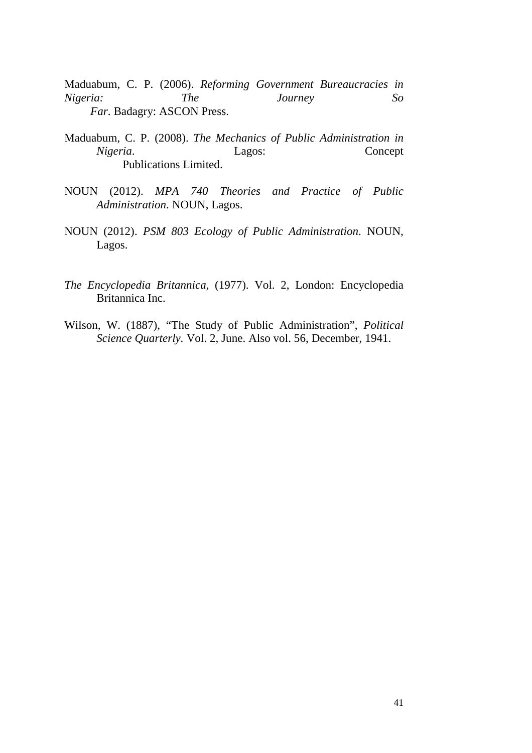Maduabum, C. P. (2006). *Reforming Government Bureaucracies in Nigeria: The Journey So Far*. Badagry: ASCON Press.

- Maduabum, C. P. (2008). *The Mechanics of Public Administration in Nigeria*. Lagos: Concept Publications Limited.
- NOUN (2012). *MPA 740 Theories and Practice of Public Administration*. NOUN, Lagos.
- NOUN (2012). *PSM 803 Ecology of Public Administration*. NOUN, Lagos.
- *The Encyclopedia Britannica*, (1977). Vol. 2, London: Encyclopedia Britannica Inc.
- Wilson, W. (1887), "The Study of Public Administration", *Political Science Quarterly.* Vol. 2, June. Also vol. 56, December, 1941.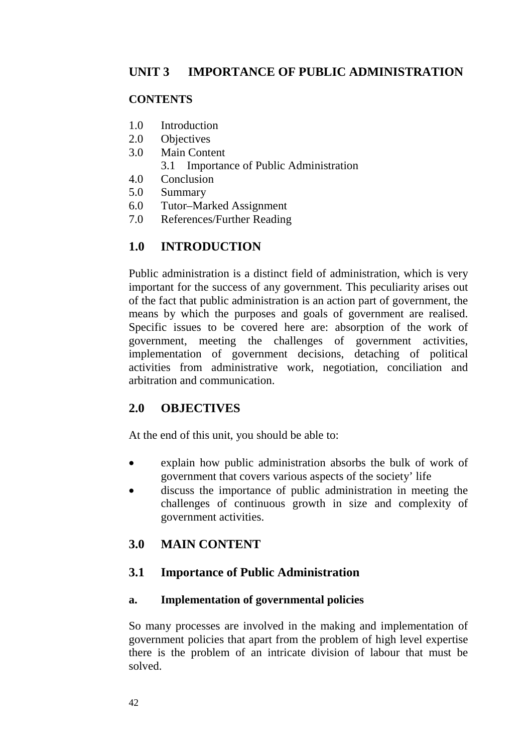### **CONTENTS**

- 1.0 Introduction
- 2.0 Objectives
- 3.0 Main Content
	- 3.1 Importance of Public Administration
- 4.0 Conclusion
- 5.0 Summary
- 6.0 Tutor–Marked Assignment
- 7.0 References/Further Reading

# **1.0 INTRODUCTION**

Public administration is a distinct field of administration, which is very important for the success of any government. This peculiarity arises out of the fact that public administration is an action part of government, the means by which the purposes and goals of government are realised. Specific issues to be covered here are: absorption of the work of government, meeting the challenges of government activities, implementation of government decisions, detaching of political activities from administrative work, negotiation, conciliation and arbitration and communication.

## **2.0 OBJECTIVES**

At the end of this unit, you should be able to:

- explain how public administration absorbs the bulk of work of government that covers various aspects of the society' life
- discuss the importance of public administration in meeting the challenges of continuous growth in size and complexity of government activities.

## **3.0 MAIN CONTENT**

## **3.1 Importance of Public Administration**

### **a. Implementation of governmental policies**

So many processes are involved in the making and implementation of government policies that apart from the problem of high level expertise there is the problem of an intricate division of labour that must be solved.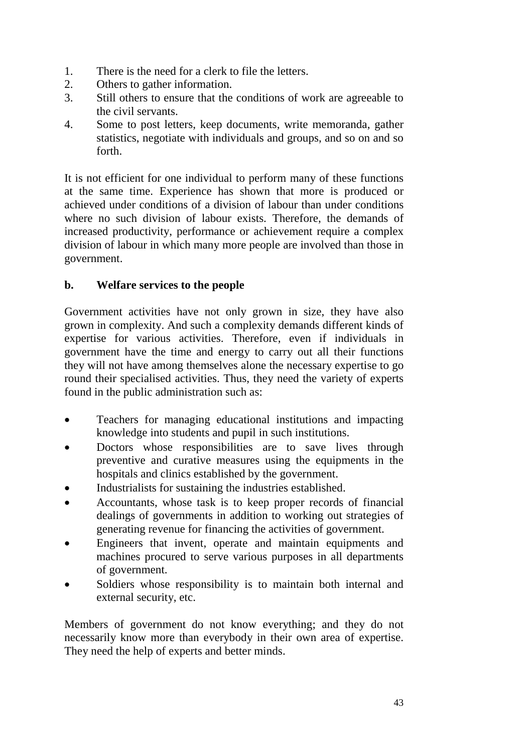- 1. There is the need for a clerk to file the letters.
- 2. Others to gather information.
- 3. Still others to ensure that the conditions of work are agreeable to the civil servants.
- 4. Some to post letters, keep documents, write memoranda, gather statistics, negotiate with individuals and groups, and so on and so forth.

It is not efficient for one individual to perform many of these functions at the same time. Experience has shown that more is produced or achieved under conditions of a division of labour than under conditions where no such division of labour exists. Therefore, the demands of increased productivity, performance or achievement require a complex division of labour in which many more people are involved than those in government.

### **b. Welfare services to the people**

Government activities have not only grown in size, they have also grown in complexity. And such a complexity demands different kinds of expertise for various activities. Therefore, even if individuals in government have the time and energy to carry out all their functions they will not have among themselves alone the necessary expertise to go round their specialised activities. Thus, they need the variety of experts found in the public administration such as:

- Teachers for managing educational institutions and impacting knowledge into students and pupil in such institutions.
- Doctors whose responsibilities are to save lives through preventive and curative measures using the equipments in the hospitals and clinics established by the government.
- Industrialists for sustaining the industries established.
- Accountants, whose task is to keep proper records of financial dealings of governments in addition to working out strategies of generating revenue for financing the activities of government.
- Engineers that invent, operate and maintain equipments and machines procured to serve various purposes in all departments of government.
- Soldiers whose responsibility is to maintain both internal and external security, etc.

Members of government do not know everything; and they do not necessarily know more than everybody in their own area of expertise. They need the help of experts and better minds.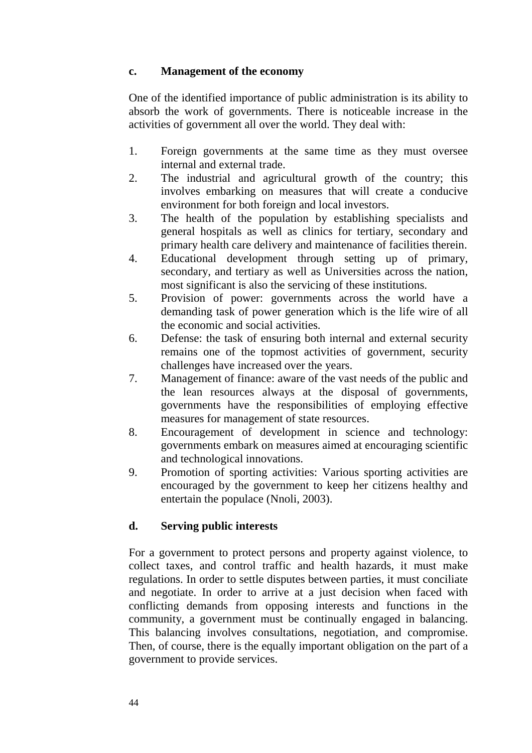#### **c. Management of the economy**

One of the identified importance of public administration is its ability to absorb the work of governments. There is noticeable increase in the activities of government all over the world. They deal with:

- 1. Foreign governments at the same time as they must oversee internal and external trade.
- 2. The industrial and agricultural growth of the country; this involves embarking on measures that will create a conducive environment for both foreign and local investors.
- 3. The health of the population by establishing specialists and general hospitals as well as clinics for tertiary, secondary and primary health care delivery and maintenance of facilities therein.
- 4. Educational development through setting up of primary, secondary, and tertiary as well as Universities across the nation, most significant is also the servicing of these institutions.
- 5. Provision of power: governments across the world have a demanding task of power generation which is the life wire of all the economic and social activities.
- 6. Defense: the task of ensuring both internal and external security remains one of the topmost activities of government, security challenges have increased over the years.
- 7. Management of finance: aware of the vast needs of the public and the lean resources always at the disposal of governments, governments have the responsibilities of employing effective measures for management of state resources.
- 8. Encouragement of development in science and technology: governments embark on measures aimed at encouraging scientific and technological innovations.
- 9. Promotion of sporting activities: Various sporting activities are encouraged by the government to keep her citizens healthy and entertain the populace (Nnoli, 2003).

### **d. Serving public interests**

For a government to protect persons and property against violence, to collect taxes, and control traffic and health hazards, it must make regulations. In order to settle disputes between parties, it must conciliate and negotiate. In order to arrive at a just decision when faced with conflicting demands from opposing interests and functions in the community, a government must be continually engaged in balancing. This balancing involves consultations, negotiation, and compromise. Then, of course, there is the equally important obligation on the part of a government to provide services.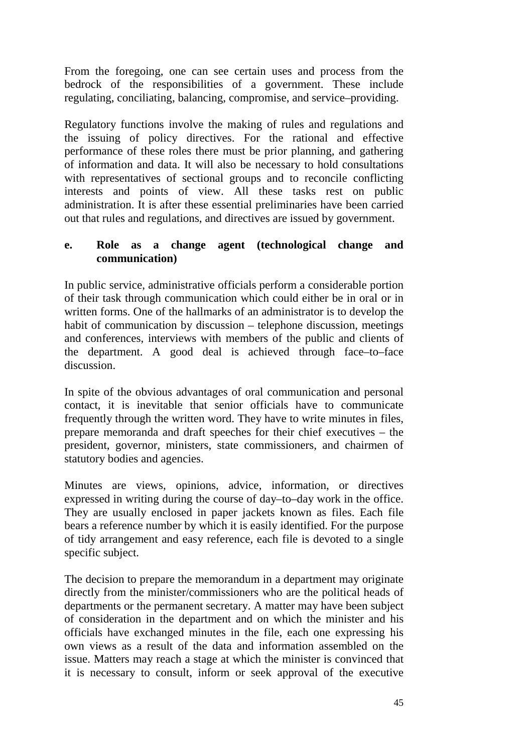From the foregoing, one can see certain uses and process from the bedrock of the responsibilities of a government. These include regulating, conciliating, balancing, compromise, and service–providing.

Regulatory functions involve the making of rules and regulations and the issuing of policy directives. For the rational and effective performance of these roles there must be prior planning, and gathering of information and data. It will also be necessary to hold consultations with representatives of sectional groups and to reconcile conflicting interests and points of view. All these tasks rest on public administration. It is after these essential preliminaries have been carried out that rules and regulations, and directives are issued by government.

#### **e. Role as a change agent (technological change and communication)**

In public service, administrative officials perform a considerable portion of their task through communication which could either be in oral or in written forms. One of the hallmarks of an administrator is to develop the habit of communication by discussion – telephone discussion, meetings and conferences, interviews with members of the public and clients of the department. A good deal is achieved through face–to–face discussion.

In spite of the obvious advantages of oral communication and personal contact, it is inevitable that senior officials have to communicate frequently through the written word. They have to write minutes in files, prepare memoranda and draft speeches for their chief executives – the president, governor, ministers, state commissioners, and chairmen of statutory bodies and agencies.

Minutes are views, opinions, advice, information, or directives expressed in writing during the course of day–to–day work in the office. They are usually enclosed in paper jackets known as files. Each file bears a reference number by which it is easily identified. For the purpose of tidy arrangement and easy reference, each file is devoted to a single specific subject.

The decision to prepare the memorandum in a department may originate directly from the minister/commissioners who are the political heads of departments or the permanent secretary. A matter may have been subject of consideration in the department and on which the minister and his officials have exchanged minutes in the file, each one expressing his own views as a result of the data and information assembled on the issue. Matters may reach a stage at which the minister is convinced that it is necessary to consult, inform or seek approval of the executive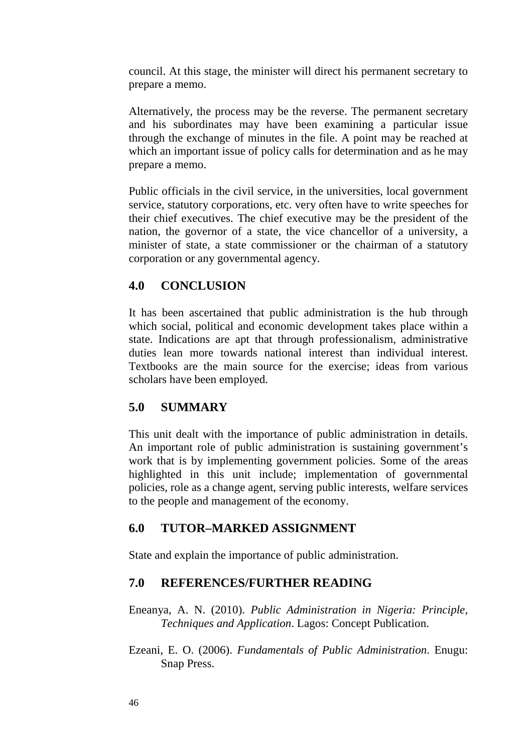council. At this stage, the minister will direct his permanent secretary to prepare a memo.

Alternatively, the process may be the reverse. The permanent secretary and his subordinates may have been examining a particular issue through the exchange of minutes in the file. A point may be reached at which an important issue of policy calls for determination and as he may prepare a memo.

Public officials in the civil service, in the universities, local government service, statutory corporations, etc. very often have to write speeches for their chief executives. The chief executive may be the president of the nation, the governor of a state, the vice chancellor of a university, a minister of state, a state commissioner or the chairman of a statutory corporation or any governmental agency.

#### **4.0 CONCLUSION**

It has been ascertained that public administration is the hub through which social, political and economic development takes place within a state. Indications are apt that through professionalism, administrative duties lean more towards national interest than individual interest. Textbooks are the main source for the exercise; ideas from various scholars have been employed.

### **5.0 SUMMARY**

This unit dealt with the importance of public administration in details. An important role of public administration is sustaining government's work that is by implementing government policies. Some of the areas highlighted in this unit include; implementation of governmental policies, role as a change agent, serving public interests, welfare services to the people and management of the economy.

### **6.0 TUTOR–MARKED ASSIGNMENT**

State and explain the importance of public administration.

### **7.0 REFERENCES/FURTHER READING**

Eneanya, A. N. (2010). *Public Administration in Nigeria: Principle, Techniques and Application*. Lagos: Concept Publication.

Ezeani, E. O. (2006). *Fundamentals of Public Administration*. Enugu: Snap Press.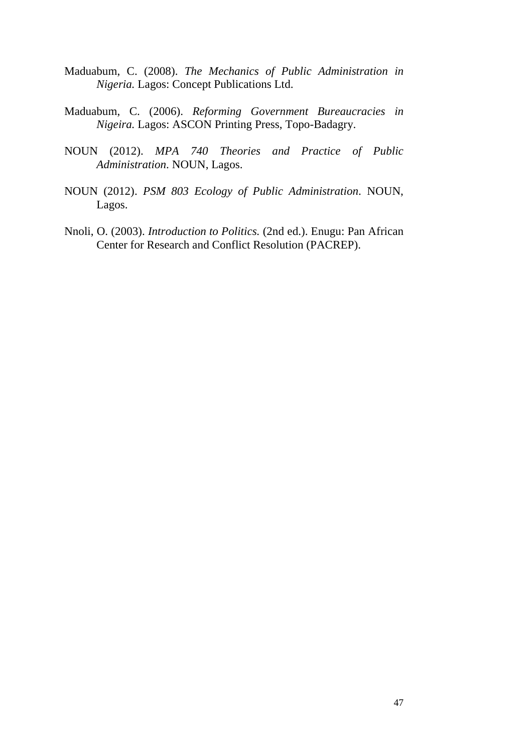- Maduabum, C. (2008). *The Mechanics of Public Administration in Nigeria.* Lagos: Concept Publications Ltd.
- Maduabum, C. (2006). *Reforming Government Bureaucracies in Nigeira.* Lagos: ASCON Printing Press, Topo-Badagry.
- NOUN (2012). *MPA 740 Theories and Practice of Public Administration*. NOUN, Lagos.
- NOUN (2012). *PSM 803 Ecology of Public Administration*. NOUN, Lagos.
- Nnoli, O. (2003). *Introduction to Politics.* (2nd ed.). Enugu: Pan African Center for Research and Conflict Resolution (PACREP).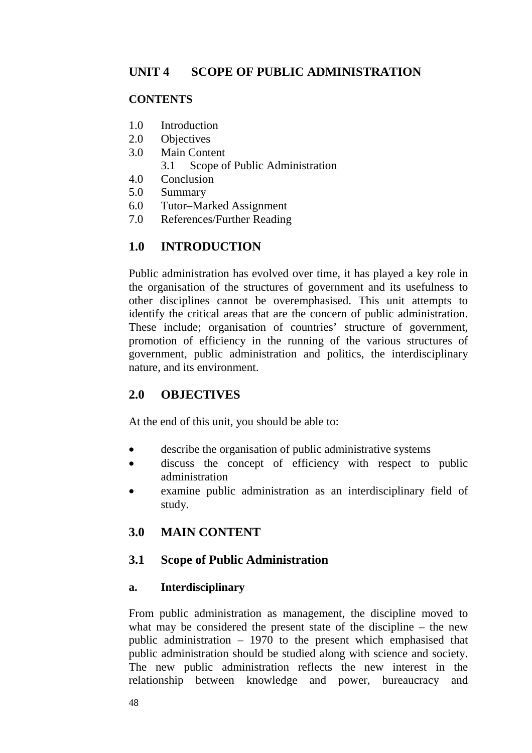#### **CONTENTS**

- 1.0 Introduction
- 2.0 Objectives
- 3.0 Main Content
	- 3.1 Scope of Public Administration
- 4.0 Conclusion
- 5.0 Summary
- 6.0 Tutor–Marked Assignment
- 7.0 References/Further Reading

# **1.0 INTRODUCTION**

Public administration has evolved over time, it has played a key role in the organisation of the structures of government and its usefulness to other disciplines cannot be overemphasised. This unit attempts to identify the critical areas that are the concern of public administration. These include; organisation of countries' structure of government, promotion of efficiency in the running of the various structures of government, public administration and politics, the interdisciplinary nature, and its environment.

## **2.0 OBJECTIVES**

At the end of this unit, you should be able to:

- describe the organisation of public administrative systems
- discuss the concept of efficiency with respect to public administration
- examine public administration as an interdisciplinary field of study.

## **3.0 MAIN CONTENT**

### **3.1 Scope of Public Administration**

#### **a. Interdisciplinary**

From public administration as management, the discipline moved to what may be considered the present state of the discipline – the new public administration  $-1970$  to the present which emphasised that public administration should be studied along with science and society. The new public administration reflects the new interest in the relationship between knowledge and power, bureaucracy and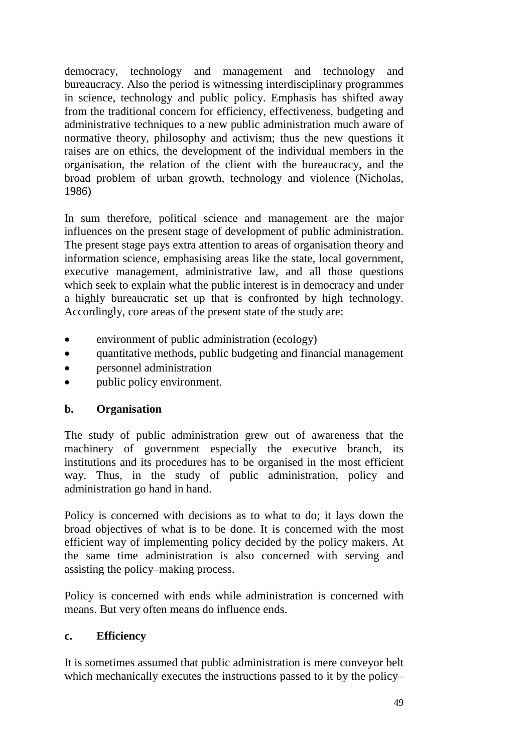democracy, technology and management and technology and bureaucracy. Also the period is witnessing interdisciplinary programmes in science, technology and public policy. Emphasis has shifted away from the traditional concern for efficiency, effectiveness, budgeting and administrative techniques to a new public administration much aware of normative theory, philosophy and activism; thus the new questions it raises are on ethics, the development of the individual members in the organisation, the relation of the client with the bureaucracy, and the broad problem of urban growth, technology and violence (Nicholas, 1986)

In sum therefore, political science and management are the major influences on the present stage of development of public administration. The present stage pays extra attention to areas of organisation theory and information science, emphasising areas like the state, local government, executive management, administrative law, and all those questions which seek to explain what the public interest is in democracy and under a highly bureaucratic set up that is confronted by high technology. Accordingly, core areas of the present state of the study are:

- environment of public administration (ecology)
- quantitative methods, public budgeting and financial management
- personnel administration
- public policy environment.

#### **b. Organisation**

The study of public administration grew out of awareness that the machinery of government especially the executive branch, its institutions and its procedures has to be organised in the most efficient way. Thus, in the study of public administration, policy and administration go hand in hand.

Policy is concerned with decisions as to what to do; it lays down the broad objectives of what is to be done. It is concerned with the most efficient way of implementing policy decided by the policy makers. At the same time administration is also concerned with serving and assisting the policy–making process.

Policy is concerned with ends while administration is concerned with means. But very often means do influence ends.

#### **c. Efficiency**

It is sometimes assumed that public administration is mere conveyor belt which mechanically executes the instructions passed to it by the policy–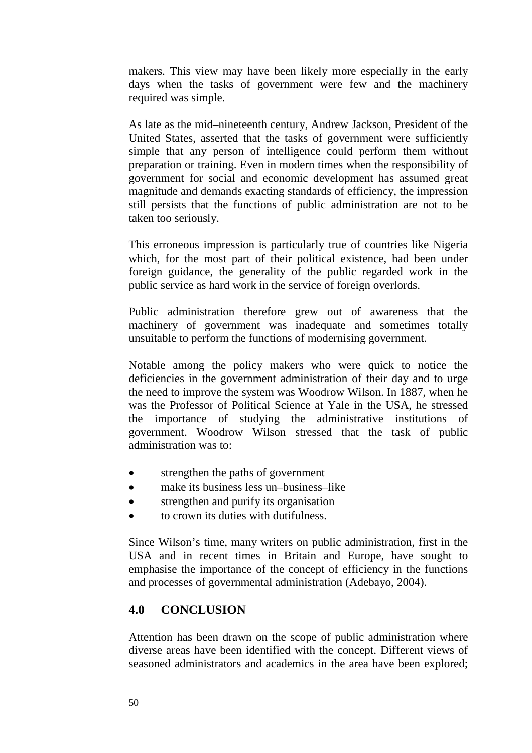makers. This view may have been likely more especially in the early days when the tasks of government were few and the machinery required was simple.

As late as the mid–nineteenth century, Andrew Jackson, President of the United States, asserted that the tasks of government were sufficiently simple that any person of intelligence could perform them without preparation or training. Even in modern times when the responsibility of government for social and economic development has assumed great magnitude and demands exacting standards of efficiency, the impression still persists that the functions of public administration are not to be taken too seriously.

This erroneous impression is particularly true of countries like Nigeria which, for the most part of their political existence, had been under foreign guidance, the generality of the public regarded work in the public service as hard work in the service of foreign overlords.

Public administration therefore grew out of awareness that the machinery of government was inadequate and sometimes totally unsuitable to perform the functions of modernising government.

Notable among the policy makers who were quick to notice the deficiencies in the government administration of their day and to urge the need to improve the system was Woodrow Wilson. In 1887, when he was the Professor of Political Science at Yale in the USA, he stressed the importance of studying the administrative institutions of government. Woodrow Wilson stressed that the task of public administration was to:

- strengthen the paths of government
- make its business less un–business–like
- strengthen and purify its organisation
- to crown its duties with dutifulness.

Since Wilson's time, many writers on public administration, first in the USA and in recent times in Britain and Europe, have sought to emphasise the importance of the concept of efficiency in the functions and processes of governmental administration (Adebayo, 2004).

#### **4.0 CONCLUSION**

Attention has been drawn on the scope of public administration where diverse areas have been identified with the concept. Different views of seasoned administrators and academics in the area have been explored;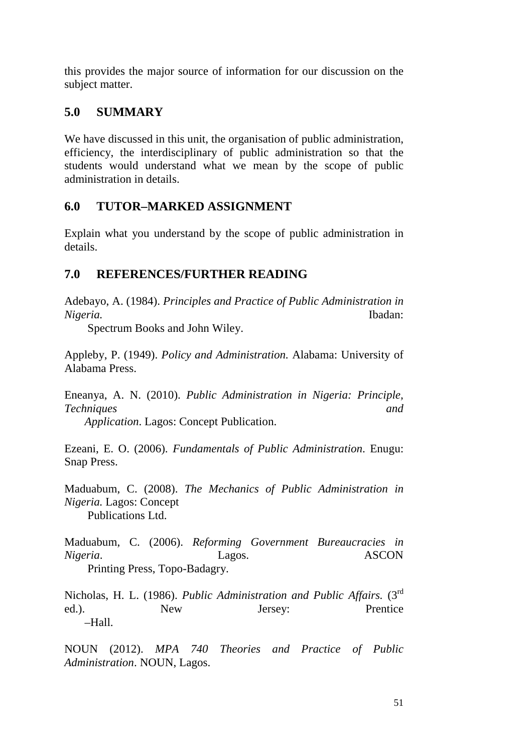this provides the major source of information for our discussion on the subject matter.

### **5.0 SUMMARY**

We have discussed in this unit, the organisation of public administration, efficiency, the interdisciplinary of public administration so that the students would understand what we mean by the scope of public administration in details.

### **6.0 TUTOR–MARKED ASSIGNMENT**

Explain what you understand by the scope of public administration in details.

### **7.0 REFERENCES/FURTHER READING**

Adebayo, A. (1984). *Principles and Practice of Public Administration in Nigeria.* Ibadan:

Spectrum Books and John Wiley.

Appleby, P. (1949). *Policy and Administration.* Alabama: University of Alabama Press.

Eneanya, A. N. (2010). *Public Administration in Nigeria: Principle, Techniques and* 

 *Application*. Lagos: Concept Publication.

Ezeani, E. O. (2006). *Fundamentals of Public Administration*. Enugu: Snap Press.

Maduabum, C. (2008). *The Mechanics of Public Administration in Nigeria.* Lagos: Concept Publications Ltd.

Maduabum, C. (2006). *Reforming Government Bureaucracies in Nigeria*. Lagos. ASCON Printing Press, Topo-Badagry.

Nicholas, H. L. (1986). *Public Administration and Public Affairs.* (3rd ed.). New Jersey: Prentice –Hall.

NOUN (2012). *MPA 740 Theories and Practice of Public Administration*. NOUN, Lagos.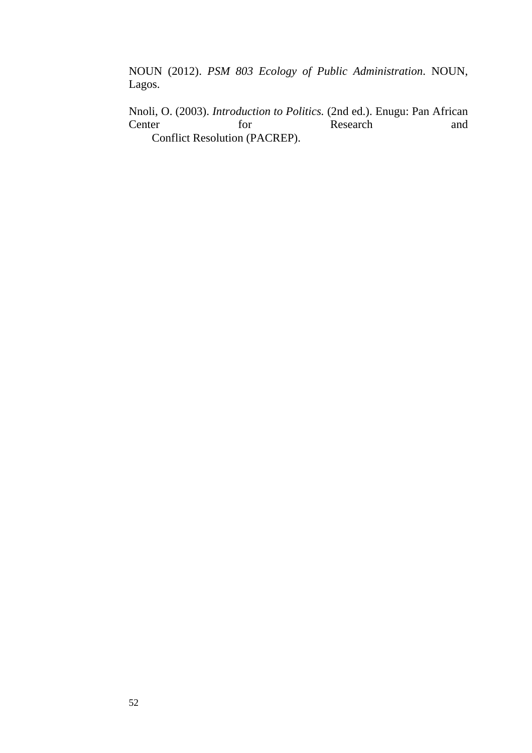NOUN (2012). *PSM 803 Ecology of Public Administration*. NOUN, Lagos.

Nnoli, O. (2003). *Introduction to Politics*. (2nd ed.). Enugu: Pan African Center for Research and Center for Research and Conflict Resolution (PACREP).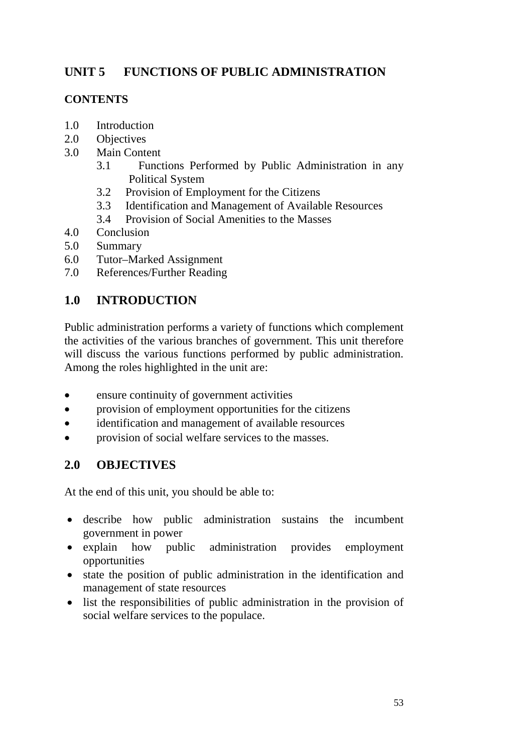## **UNIT 5 FUNCTIONS OF PUBLIC ADMINISTRATION**

### **CONTENTS**

- 1.0 Introduction
- 2.0 Objectives
- 3.0 Main Content
	- 3.1 Functions Performed by Public Administration in any Political System
	- 3.2 Provision of Employment for the Citizens
	- 3.3 Identification and Management of Available Resources
	- 3.4 Provision of Social Amenities to the Masses
- 4.0 Conclusion
- 5.0 Summary
- 6.0 Tutor–Marked Assignment
- 7.0 References/Further Reading

## **1.0 INTRODUCTION**

Public administration performs a variety of functions which complement the activities of the various branches of government. This unit therefore will discuss the various functions performed by public administration. Among the roles highlighted in the unit are:

- ensure continuity of government activities
- provision of employment opportunities for the citizens
- identification and management of available resources
- provision of social welfare services to the masses.

### **2.0 OBJECTIVES**

At the end of this unit, you should be able to:

- describe how public administration sustains the incumbent government in power
- explain how public administration provides employment opportunities
- state the position of public administration in the identification and management of state resources
- list the responsibilities of public administration in the provision of social welfare services to the populace.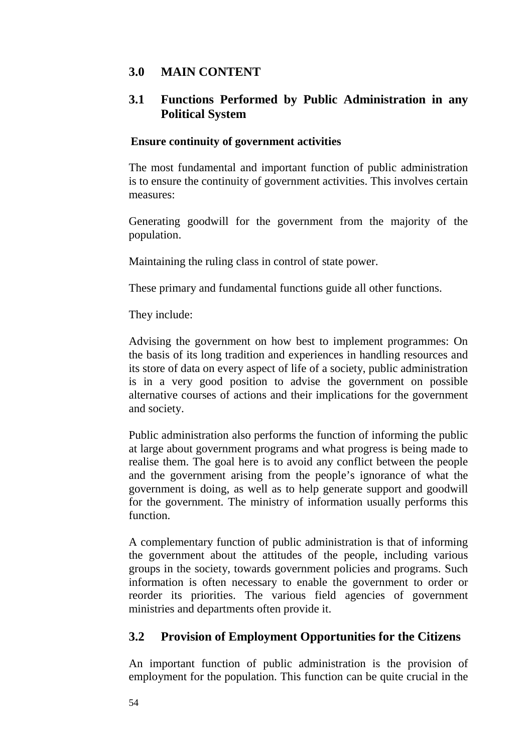## **3.0 MAIN CONTENT**

### **3.1 Functions Performed by Public Administration in any Political System**

#### **Ensure continuity of government activities**

The most fundamental and important function of public administration is to ensure the continuity of government activities. This involves certain measures:

Generating goodwill for the government from the majority of the population.

Maintaining the ruling class in control of state power.

These primary and fundamental functions guide all other functions.

They include:

Advising the government on how best to implement programmes: On the basis of its long tradition and experiences in handling resources and its store of data on every aspect of life of a society, public administration is in a very good position to advise the government on possible alternative courses of actions and their implications for the government and society.

Public administration also performs the function of informing the public at large about government programs and what progress is being made to realise them. The goal here is to avoid any conflict between the people and the government arising from the people's ignorance of what the government is doing, as well as to help generate support and goodwill for the government. The ministry of information usually performs this function.

A complementary function of public administration is that of informing the government about the attitudes of the people, including various groups in the society, towards government policies and programs. Such information is often necessary to enable the government to order or reorder its priorities. The various field agencies of government ministries and departments often provide it.

### **3.2 Provision of Employment Opportunities for the Citizens**

An important function of public administration is the provision of employment for the population. This function can be quite crucial in the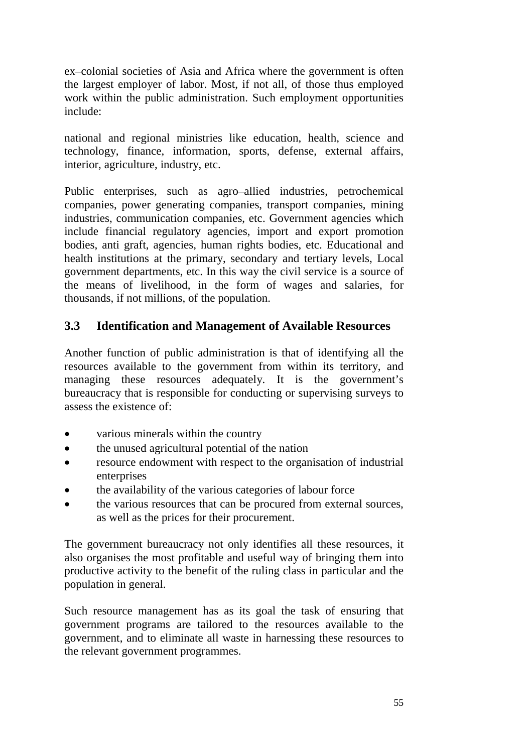ex–colonial societies of Asia and Africa where the government is often the largest employer of labor. Most, if not all, of those thus employed work within the public administration. Such employment opportunities include:

national and regional ministries like education, health, science and technology, finance, information, sports, defense, external affairs, interior, agriculture, industry, etc.

Public enterprises, such as agro–allied industries, petrochemical companies, power generating companies, transport companies, mining industries, communication companies, etc. Government agencies which include financial regulatory agencies, import and export promotion bodies, anti graft, agencies, human rights bodies, etc. Educational and health institutions at the primary, secondary and tertiary levels, Local government departments, etc. In this way the civil service is a source of the means of livelihood, in the form of wages and salaries, for thousands, if not millions, of the population.

## **3.3 Identification and Management of Available Resources**

Another function of public administration is that of identifying all the resources available to the government from within its territory, and managing these resources adequately. It is the government's bureaucracy that is responsible for conducting or supervising surveys to assess the existence of:

- various minerals within the country
- the unused agricultural potential of the nation
- resource endowment with respect to the organisation of industrial enterprises
- the availability of the various categories of labour force
- the various resources that can be procured from external sources, as well as the prices for their procurement.

The government bureaucracy not only identifies all these resources, it also organises the most profitable and useful way of bringing them into productive activity to the benefit of the ruling class in particular and the population in general.

Such resource management has as its goal the task of ensuring that government programs are tailored to the resources available to the government, and to eliminate all waste in harnessing these resources to the relevant government programmes.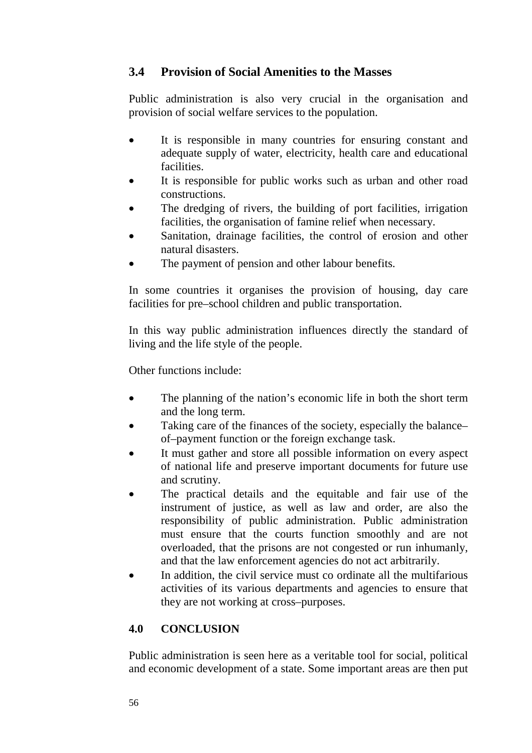## **3.4 Provision of Social Amenities to the Masses**

Public administration is also very crucial in the organisation and provision of social welfare services to the population.

- It is responsible in many countries for ensuring constant and adequate supply of water, electricity, health care and educational facilities.
- It is responsible for public works such as urban and other road constructions.
- The dredging of rivers, the building of port facilities, irrigation facilities, the organisation of famine relief when necessary.
- Sanitation, drainage facilities, the control of erosion and other natural disasters.
- The payment of pension and other labour benefits.

In some countries it organises the provision of housing, day care facilities for pre–school children and public transportation.

In this way public administration influences directly the standard of living and the life style of the people.

Other functions include:

- The planning of the nation's economic life in both the short term and the long term.
- Taking care of the finances of the society, especially the balance– of–payment function or the foreign exchange task.
- It must gather and store all possible information on every aspect of national life and preserve important documents for future use and scrutiny.
- The practical details and the equitable and fair use of the instrument of justice, as well as law and order, are also the responsibility of public administration. Public administration must ensure that the courts function smoothly and are not overloaded, that the prisons are not congested or run inhumanly, and that the law enforcement agencies do not act arbitrarily.
- In addition, the civil service must co ordinate all the multifarious activities of its various departments and agencies to ensure that they are not working at cross–purposes.

## **4.0 CONCLUSION**

Public administration is seen here as a veritable tool for social, political and economic development of a state. Some important areas are then put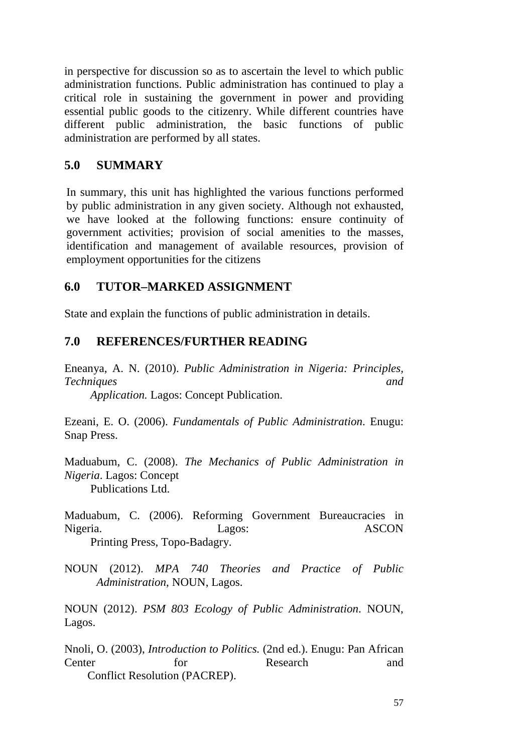in perspective for discussion so as to ascertain the level to which public administration functions. Public administration has continued to play a critical role in sustaining the government in power and providing essential public goods to the citizenry. While different countries have different public administration, the basic functions of public administration are performed by all states.

#### **5.0 SUMMARY**

In summary, this unit has highlighted the various functions performed by public administration in any given society. Although not exhausted, we have looked at the following functions: ensure continuity of government activities; provision of social amenities to the masses, identification and management of available resources, provision of employment opportunities for the citizens

#### **6.0 TUTOR–MARKED ASSIGNMENT**

State and explain the functions of public administration in details.

#### **7.0 REFERENCES/FURTHER READING**

Eneanya, A. N. (2010). *Public Administration in Nigeria: Principles, Techniques and Application.* Lagos: Concept Publication.

Ezeani, E. O. (2006). *Fundamentals of Public Administration*. Enugu: Snap Press.

Maduabum, C. (2008). *The Mechanics of Public Administration in Nigeria*. Lagos: Concept Publications Ltd.

Maduabum, C. (2006). Reforming Government Bureaucracies in Nigeria. Lagos: Lagos: ASCON Printing Press, Topo-Badagry.

NOUN (2012). *MPA 740 Theories and Practice of Public Administration*, NOUN, Lagos.

NOUN (2012). *PSM 803 Ecology of Public Administration*. NOUN, Lagos.

Nnoli, O. (2003), *Introduction to Politics.* (2nd ed.). Enugu: Pan African Center for Research and Conflict Resolution (PACREP).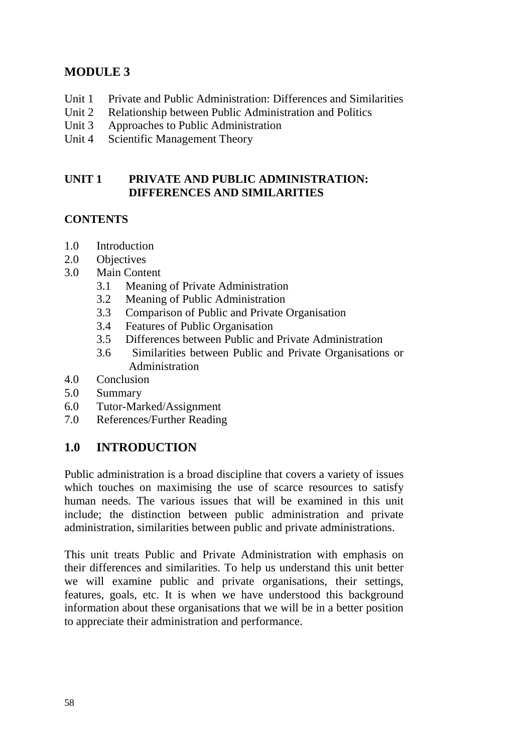## **MODULE 3**

- Unit 1 Private and Public Administration: Differences and Similarities
- Unit 2 Relationship between Public Administration and Politics
- Unit 3 Approaches to Public Administration
- Unit 4 Scientific Management Theory

#### **UNIT 1 PRIVATE AND PUBLIC ADMINISTRATION: DIFFERENCES AND SIMILARITIES**

### **CONTENTS**

- 1.0 Introduction
- 2.0 Objectives
- 3.0 Main Content
	- 3.1 Meaning of Private Administration
	- 3.2 Meaning of Public Administration
	- 3.3 Comparison of Public and Private Organisation
	- 3.4 Features of Public Organisation
	- 3.5 Differences between Public and Private Administration
	- 3.6 Similarities between Public and Private Organisations or Administration
- 4.0 Conclusion
- 5.0 Summary
- 6.0 Tutor-Marked/Assignment
- 7.0 References/Further Reading

## **1.0 INTRODUCTION**

Public administration is a broad discipline that covers a variety of issues which touches on maximising the use of scarce resources to satisfy human needs. The various issues that will be examined in this unit include; the distinction between public administration and private administration, similarities between public and private administrations.

This unit treats Public and Private Administration with emphasis on their differences and similarities. To help us understand this unit better we will examine public and private organisations, their settings, features, goals, etc. It is when we have understood this background information about these organisations that we will be in a better position to appreciate their administration and performance.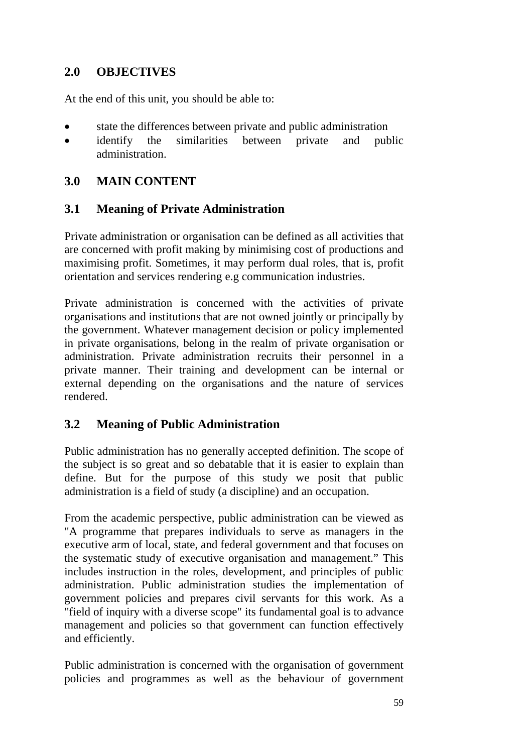### **2.0 OBJECTIVES**

At the end of this unit, you should be able to:

- state the differences between private and public administration
- identify the similarities between private and public administration.

### **3.0 MAIN CONTENT**

### **3.1 Meaning of Private Administration**

Private administration or organisation can be defined as all activities that are concerned with profit making by minimising cost of productions and maximising profit. Sometimes, it may perform dual roles, that is, profit orientation and services rendering e.g communication industries.

Private administration is concerned with the activities of private organisations and institutions that are not owned jointly or principally by the government. Whatever management decision or policy implemented in private organisations, belong in the realm of private organisation or administration. Private administration recruits their personnel in a private manner. Their training and development can be internal or external depending on the organisations and the nature of services rendered.

### **3.2 Meaning of Public Administration**

Public administration has no generally accepted definition. The scope of the subject is so great and so debatable that it is easier to explain than define. But for the purpose of this study we posit that public administration is a field of study (a discipline) and an occupation.

From the academic perspective, public administration can be viewed as "A programme that prepares individuals to serve as managers in the executive arm of local, state, and federal government and that focuses on the systematic study of executive organisation and management." This includes instruction in the roles, development, and principles of public administration. Public administration studies the implementation of government policies and prepares civil servants for this work. As a "field of inquiry with a diverse scope" its fundamental goal is to advance management and policies so that government can function effectively and efficiently.

Public administration is concerned with the organisation of government policies and programmes as well as the behaviour of government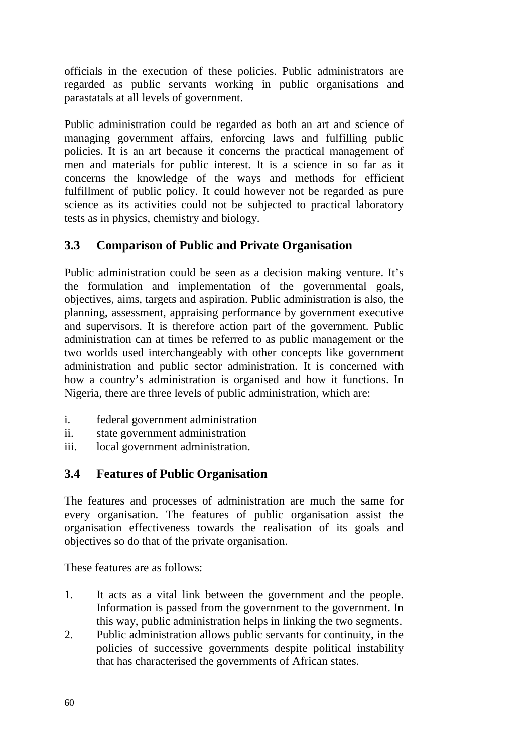officials in the execution of these policies. Public administrators are regarded as public servants working in public organisations and parastatals at all levels of government.

Public administration could be regarded as both an art and science of managing government affairs, enforcing laws and fulfilling public policies. It is an art because it concerns the practical management of men and materials for public interest. It is a science in so far as it concerns the knowledge of the ways and methods for efficient fulfillment of public policy. It could however not be regarded as pure science as its activities could not be subjected to practical laboratory tests as in physics, chemistry and biology.

## **3.3 Comparison of Public and Private Organisation**

Public administration could be seen as a decision making venture. It's the formulation and implementation of the governmental goals, objectives, aims, targets and aspiration. Public administration is also, the planning, assessment, appraising performance by government executive and supervisors. It is therefore action part of the government. Public administration can at times be referred to as public management or the two worlds used interchangeably with other concepts like government administration and public sector administration. It is concerned with how a country's administration is organised and how it functions. In Nigeria, there are three levels of public administration, which are:

- i. federal government administration
- ii. state government administration
- iii. local government administration.

### **3.4 Features of Public Organisation**

The features and processes of administration are much the same for every organisation. The features of public organisation assist the organisation effectiveness towards the realisation of its goals and objectives so do that of the private organisation.

These features are as follows:

- 1. It acts as a vital link between the government and the people. Information is passed from the government to the government. In this way, public administration helps in linking the two segments.
- 2. Public administration allows public servants for continuity, in the policies of successive governments despite political instability that has characterised the governments of African states.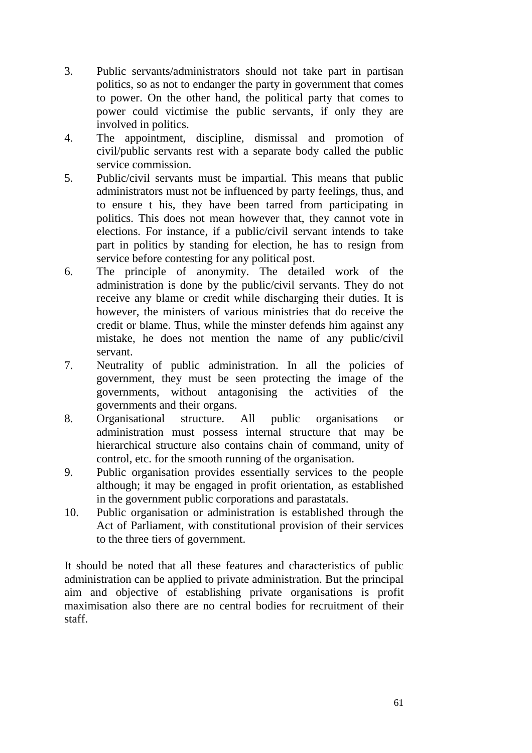- 3. Public servants/administrators should not take part in partisan politics, so as not to endanger the party in government that comes to power. On the other hand, the political party that comes to power could victimise the public servants, if only they are involved in politics.
- 4. The appointment, discipline, dismissal and promotion of civil/public servants rest with a separate body called the public service commission.
- 5. Public/civil servants must be impartial. This means that public administrators must not be influenced by party feelings, thus, and to ensure t his, they have been tarred from participating in politics. This does not mean however that, they cannot vote in elections. For instance, if a public/civil servant intends to take part in politics by standing for election, he has to resign from service before contesting for any political post.
- 6. The principle of anonymity. The detailed work of the administration is done by the public/civil servants. They do not receive any blame or credit while discharging their duties. It is however, the ministers of various ministries that do receive the credit or blame. Thus, while the minster defends him against any mistake, he does not mention the name of any public/civil servant.
- 7. Neutrality of public administration. In all the policies of government, they must be seen protecting the image of the governments, without antagonising the activities of the governments and their organs.
- 8. Organisational structure. All public organisations or administration must possess internal structure that may be hierarchical structure also contains chain of command, unity of control, etc. for the smooth running of the organisation.
- 9. Public organisation provides essentially services to the people although; it may be engaged in profit orientation, as established in the government public corporations and parastatals.
- 10. Public organisation or administration is established through the Act of Parliament, with constitutional provision of their services to the three tiers of government.

It should be noted that all these features and characteristics of public administration can be applied to private administration. But the principal aim and objective of establishing private organisations is profit maximisation also there are no central bodies for recruitment of their staff.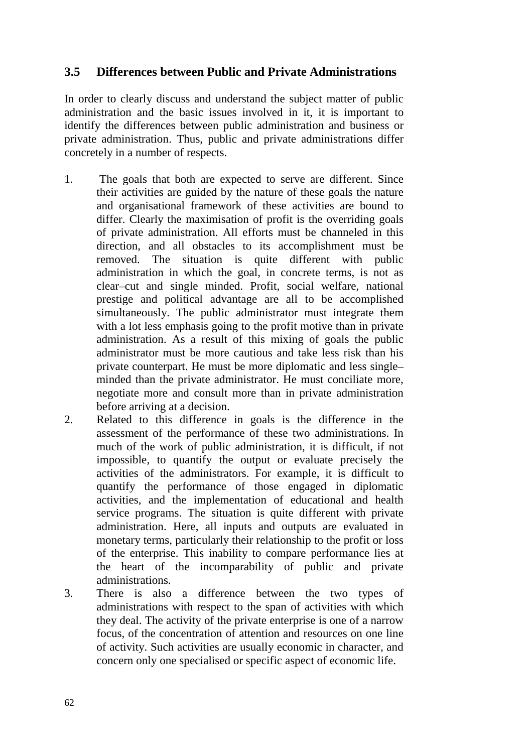#### **3.5 Differences between Public and Private Administrations**

In order to clearly discuss and understand the subject matter of public administration and the basic issues involved in it, it is important to identify the differences between public administration and business or private administration. Thus, public and private administrations differ concretely in a number of respects.

- 1. The goals that both are expected to serve are different. Since their activities are guided by the nature of these goals the nature and organisational framework of these activities are bound to differ. Clearly the maximisation of profit is the overriding goals of private administration. All efforts must be channeled in this direction, and all obstacles to its accomplishment must be removed. The situation is quite different with public administration in which the goal, in concrete terms, is not as clear–cut and single minded. Profit, social welfare, national prestige and political advantage are all to be accomplished simultaneously. The public administrator must integrate them with a lot less emphasis going to the profit motive than in private administration. As a result of this mixing of goals the public administrator must be more cautious and take less risk than his private counterpart. He must be more diplomatic and less single– minded than the private administrator. He must conciliate more, negotiate more and consult more than in private administration before arriving at a decision.
- 2. Related to this difference in goals is the difference in the assessment of the performance of these two administrations. In much of the work of public administration, it is difficult, if not impossible, to quantify the output or evaluate precisely the activities of the administrators. For example, it is difficult to quantify the performance of those engaged in diplomatic activities, and the implementation of educational and health service programs. The situation is quite different with private administration. Here, all inputs and outputs are evaluated in monetary terms, particularly their relationship to the profit or loss of the enterprise. This inability to compare performance lies at the heart of the incomparability of public and private administrations.
- 3. There is also a difference between the two types of administrations with respect to the span of activities with which they deal. The activity of the private enterprise is one of a narrow focus, of the concentration of attention and resources on one line of activity. Such activities are usually economic in character, and concern only one specialised or specific aspect of economic life.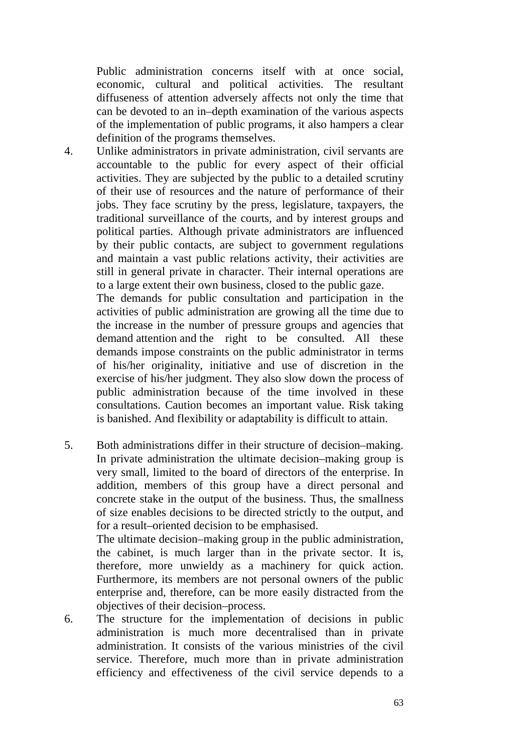Public administration concerns itself with at once social, economic, cultural and political activities. The resultant diffuseness of attention adversely affects not only the time that can be devoted to an in–depth examination of the various aspects of the implementation of public programs, it also hampers a clear definition of the programs themselves.

4. Unlike administrators in private administration, civil servants are accountable to the public for every aspect of their official activities. They are subjected by the public to a detailed scrutiny of their use of resources and the nature of performance of their jobs. They face scrutiny by the press, legislature, taxpayers, the traditional surveillance of the courts, and by interest groups and political parties. Although private administrators are influenced by their public contacts, are subject to government regulations and maintain a vast public relations activity, their activities are still in general private in character. Their internal operations are to a large extent their own business, closed to the public gaze.

The demands for public consultation and participation in the activities of public administration are growing all the time due to the increase in the number of pressure groups and agencies that demand attention and the right to be consulted. All these demands impose constraints on the public administrator in terms of his/her originality, initiative and use of discretion in the exercise of his/her judgment. They also slow down the process of public administration because of the time involved in these consultations. Caution becomes an important value. Risk taking is banished. And flexibility or adaptability is difficult to attain.

5. Both administrations differ in their structure of decision–making. In private administration the ultimate decision–making group is very small, limited to the board of directors of the enterprise. In addition, members of this group have a direct personal and concrete stake in the output of the business. Thus, the smallness of size enables decisions to be directed strictly to the output, and for a result–oriented decision to be emphasised.

The ultimate decision–making group in the public administration, the cabinet, is much larger than in the private sector. It is, therefore, more unwieldy as a machinery for quick action. Furthermore, its members are not personal owners of the public enterprise and, therefore, can be more easily distracted from the objectives of their decision–process.

6. The structure for the implementation of decisions in public administration is much more decentralised than in private administration. It consists of the various ministries of the civil service. Therefore, much more than in private administration efficiency and effectiveness of the civil service depends to a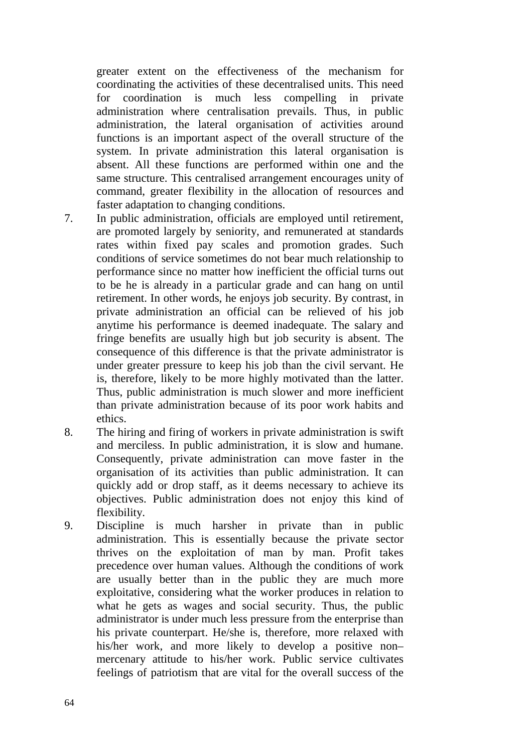greater extent on the effectiveness of the mechanism for coordinating the activities of these decentralised units. This need for coordination is much less compelling in private administration where centralisation prevails. Thus, in public administration, the lateral organisation of activities around functions is an important aspect of the overall structure of the system. In private administration this lateral organisation is absent. All these functions are performed within one and the same structure. This centralised arrangement encourages unity of command, greater flexibility in the allocation of resources and faster adaptation to changing conditions.

- 7. In public administration, officials are employed until retirement, are promoted largely by seniority, and remunerated at standards rates within fixed pay scales and promotion grades. Such conditions of service sometimes do not bear much relationship to performance since no matter how inefficient the official turns out to be he is already in a particular grade and can hang on until retirement. In other words, he enjoys job security. By contrast, in private administration an official can be relieved of his job anytime his performance is deemed inadequate. The salary and fringe benefits are usually high but job security is absent. The consequence of this difference is that the private administrator is under greater pressure to keep his job than the civil servant. He is, therefore, likely to be more highly motivated than the latter. Thus, public administration is much slower and more inefficient than private administration because of its poor work habits and ethics.
- 8. The hiring and firing of workers in private administration is swift and merciless. In public administration, it is slow and humane. Consequently, private administration can move faster in the organisation of its activities than public administration. It can quickly add or drop staff, as it deems necessary to achieve its objectives. Public administration does not enjoy this kind of flexibility.
- 9. Discipline is much harsher in private than in public administration. This is essentially because the private sector thrives on the exploitation of man by man. Profit takes precedence over human values. Although the conditions of work are usually better than in the public they are much more exploitative, considering what the worker produces in relation to what he gets as wages and social security. Thus, the public administrator is under much less pressure from the enterprise than his private counterpart. He/she is, therefore, more relaxed with his/her work, and more likely to develop a positive non– mercenary attitude to his/her work. Public service cultivates feelings of patriotism that are vital for the overall success of the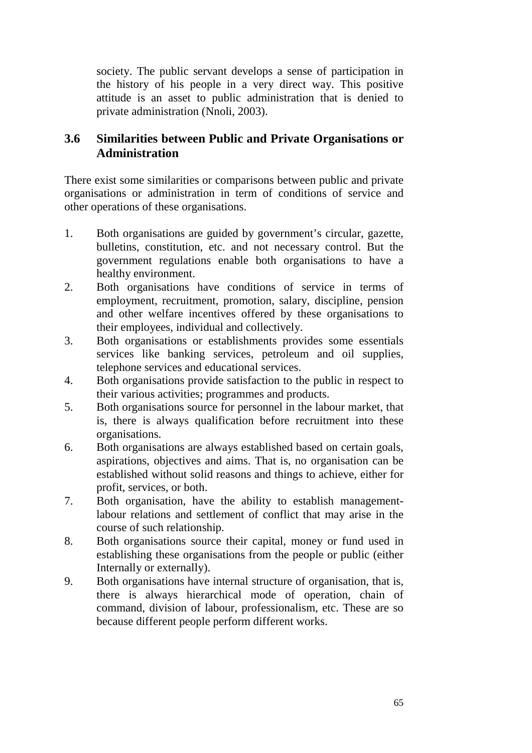society. The public servant develops a sense of participation in the history of his people in a very direct way. This positive attitude is an asset to public administration that is denied to private administration (Nnoli, 2003).

### **3.6 Similarities between Public and Private Organisations or Administration**

There exist some similarities or comparisons between public and private organisations or administration in term of conditions of service and other operations of these organisations.

- 1. Both organisations are guided by government's circular, gazette, bulletins, constitution, etc. and not necessary control. But the government regulations enable both organisations to have a healthy environment.
- 2. Both organisations have conditions of service in terms of employment, recruitment, promotion, salary, discipline, pension and other welfare incentives offered by these organisations to their employees, individual and collectively.
- 3. Both organisations or establishments provides some essentials services like banking services, petroleum and oil supplies, telephone services and educational services.
- 4. Both organisations provide satisfaction to the public in respect to their various activities; programmes and products.
- 5. Both organisations source for personnel in the labour market, that is, there is always qualification before recruitment into these organisations.
- 6. Both organisations are always established based on certain goals, aspirations, objectives and aims. That is, no organisation can be established without solid reasons and things to achieve, either for profit, services, or both.
- 7. Both organisation, have the ability to establish managementlabour relations and settlement of conflict that may arise in the course of such relationship.
- 8. Both organisations source their capital, money or fund used in establishing these organisations from the people or public (either Internally or externally).
- 9. Both organisations have internal structure of organisation, that is, there is always hierarchical mode of operation, chain of command, division of labour, professionalism, etc. These are so because different people perform different works.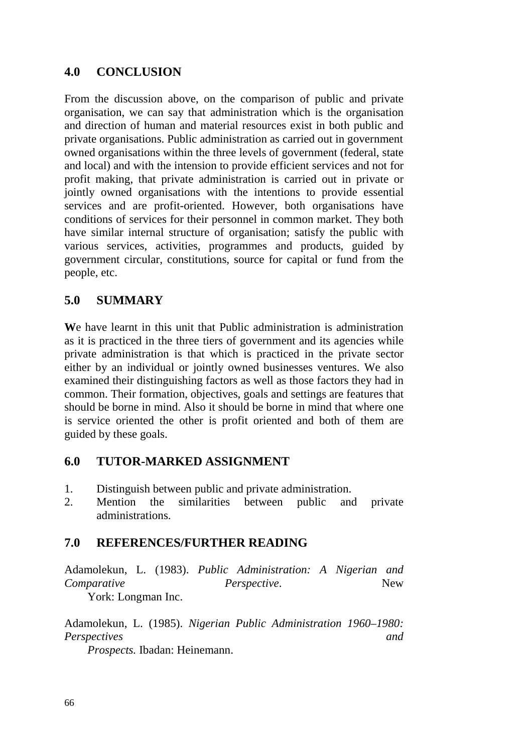### **4.0 CONCLUSION**

From the discussion above, on the comparison of public and private organisation, we can say that administration which is the organisation and direction of human and material resources exist in both public and private organisations. Public administration as carried out in government owned organisations within the three levels of government (federal, state and local) and with the intension to provide efficient services and not for profit making, that private administration is carried out in private or jointly owned organisations with the intentions to provide essential services and are profit-oriented. However, both organisations have conditions of services for their personnel in common market. They both have similar internal structure of organisation; satisfy the public with various services, activities, programmes and products, guided by government circular, constitutions, source for capital or fund from the people, etc.

### **5.0 SUMMARY**

**W**e have learnt in this unit that Public administration is administration as it is practiced in the three tiers of government and its agencies while private administration is that which is practiced in the private sector either by an individual or jointly owned businesses ventures. We also examined their distinguishing factors as well as those factors they had in common. Their formation, objectives, goals and settings are features that should be borne in mind. Also it should be borne in mind that where one is service oriented the other is profit oriented and both of them are guided by these goals.

### **6.0 TUTOR-MARKED ASSIGNMENT**

- 1. Distinguish between public and private administration.
- 2. Mention the similarities between public and private administrations.

### **7.0 REFERENCES/FURTHER READING**

Adamolekun, L. (1983). *Public Administration: A Nigerian and Comparative Perspective.* New

York: Longman Inc.

Adamolekun, L. (1985). *Nigerian Public Administration 1960–1980: Perspectives and* 

 *Prospects.* Ibadan: Heinemann.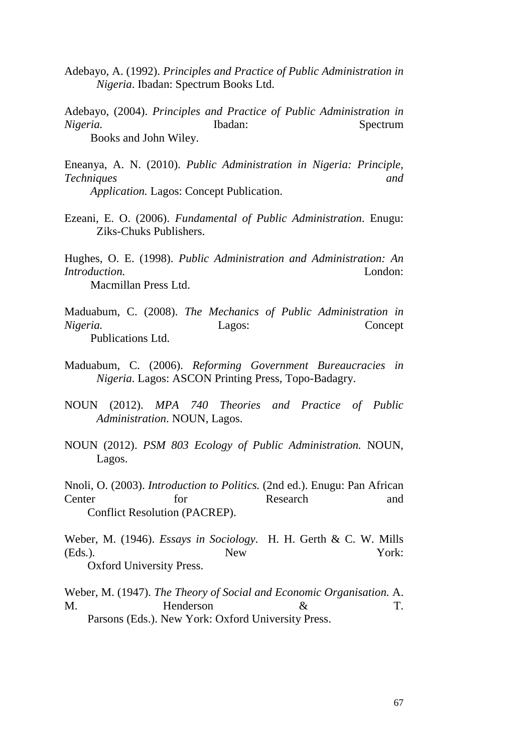- Adebayo, A. (1992). *Principles and Practice of Public Administration in Nigeria*. Ibadan: Spectrum Books Ltd.
- Adebayo, (2004). *Principles and Practice of Public Administration in Nigeria.* Ibadan: Spectrum Books and John Wiley.
- Eneanya, A. N. (2010). *Public Administration in Nigeria: Principle, Techniques and Application.* Lagos: Concept Publication.
- Ezeani, E. O. (2006). *Fundamental of Public Administration*. Enugu: Ziks-Chuks Publishers.

Hughes, O. E. (1998). *Public Administration and Administration: An Introduction.* London: Macmillan Press Ltd.

- Maduabum, C. (2008). *The Mechanics of Public Administration in Nigeria.* Lagos: Concept Publications Ltd.
- Maduabum, C. (2006). *Reforming Government Bureaucracies in Nigeria*. Lagos: ASCON Printing Press, Topo-Badagry.
- NOUN (2012). *MPA 740 Theories and Practice of Public Administration*. NOUN, Lagos.
- NOUN (2012). *PSM 803 Ecology of Public Administration.* NOUN, Lagos.
- Nnoli, O. (2003). *Introduction to Politics.* (2nd ed.). Enugu: Pan African Center for Research and Conflict Resolution (PACREP).

Weber, M. (1946). *Essays in Sociology.* H. H. Gerth & C. W. Mills (Eds*.*)*.* New York: Oxford University Press.

Weber, M. (1947). *The Theory of Social and Economic Organisation.* A. M. Henderson & T. Parsons (Eds.). New York: Oxford University Press.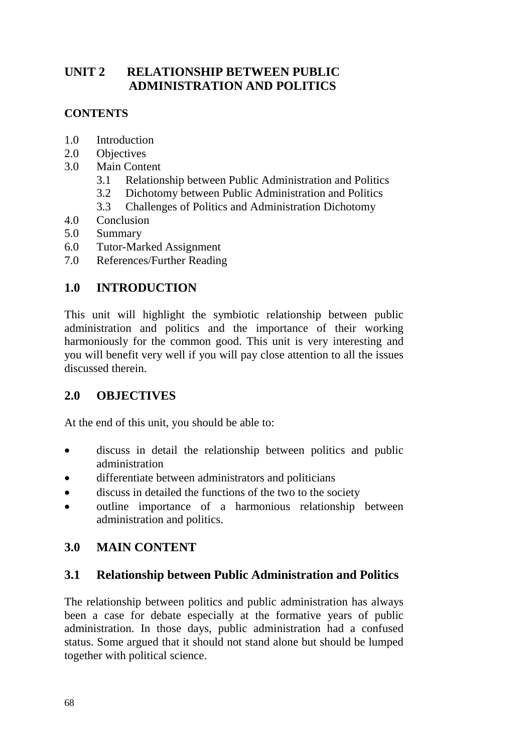# **UNIT 2 RELATIONSHIP BETWEEN PUBLIC ADMINISTRATION AND POLITICS**

### **CONTENTS**

- 1.0 Introduction
- 2.0 Objectives
- 3.0 Main Content
	- 3.1 Relationship between Public Administration and Politics
	- 3.2 Dichotomy between Public Administration and Politics
	- 3.3 Challenges of Politics and Administration Dichotomy
- 4.0 Conclusion
- 5.0 Summary
- 6.0 Tutor-Marked Assignment
- 7.0 References/Further Reading

# **1.0 INTRODUCTION**

This unit will highlight the symbiotic relationship between public administration and politics and the importance of their working harmoniously for the common good. This unit is very interesting and you will benefit very well if you will pay close attention to all the issues discussed therein.

# **2.0 OBJECTIVES**

At the end of this unit, you should be able to:

- discuss in detail the relationship between politics and public administration
- differentiate between administrators and politicians
- discuss in detailed the functions of the two to the society
- outline importance of a harmonious relationship between administration and politics.

# **3.0 MAIN CONTENT**

### **3.1 Relationship between Public Administration and Politics**

The relationship between politics and public administration has always been a case for debate especially at the formative years of public administration. In those days, public administration had a confused status. Some argued that it should not stand alone but should be lumped together with political science.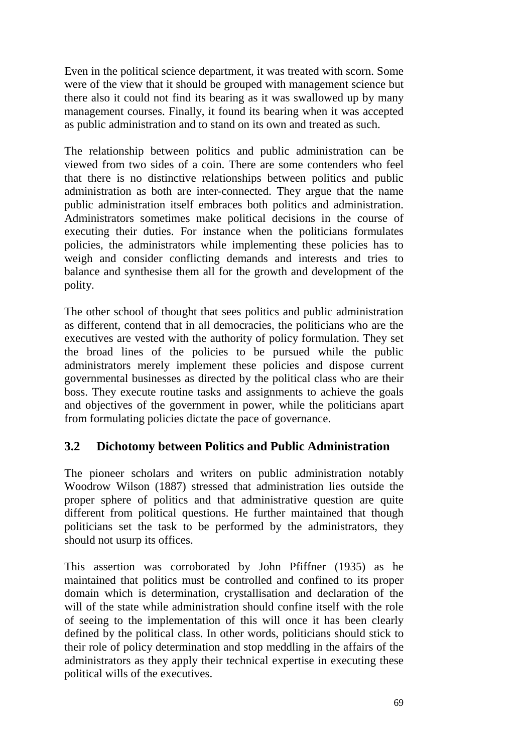Even in the political science department, it was treated with scorn. Some were of the view that it should be grouped with management science but there also it could not find its bearing as it was swallowed up by many management courses. Finally, it found its bearing when it was accepted as public administration and to stand on its own and treated as such.

The relationship between politics and public administration can be viewed from two sides of a coin. There are some contenders who feel that there is no distinctive relationships between politics and public administration as both are inter-connected. They argue that the name public administration itself embraces both politics and administration. Administrators sometimes make political decisions in the course of executing their duties. For instance when the politicians formulates policies, the administrators while implementing these policies has to weigh and consider conflicting demands and interests and tries to balance and synthesise them all for the growth and development of the polity.

The other school of thought that sees politics and public administration as different, contend that in all democracies, the politicians who are the executives are vested with the authority of policy formulation. They set the broad lines of the policies to be pursued while the public administrators merely implement these policies and dispose current governmental businesses as directed by the political class who are their boss. They execute routine tasks and assignments to achieve the goals and objectives of the government in power, while the politicians apart from formulating policies dictate the pace of governance.

### **3.2 Dichotomy between Politics and Public Administration**

The pioneer scholars and writers on public administration notably Woodrow Wilson (1887) stressed that administration lies outside the proper sphere of politics and that administrative question are quite different from political questions. He further maintained that though politicians set the task to be performed by the administrators, they should not usurp its offices.

This assertion was corroborated by John Pfiffner (1935) as he maintained that politics must be controlled and confined to its proper domain which is determination, crystallisation and declaration of the will of the state while administration should confine itself with the role of seeing to the implementation of this will once it has been clearly defined by the political class. In other words, politicians should stick to their role of policy determination and stop meddling in the affairs of the administrators as they apply their technical expertise in executing these political wills of the executives.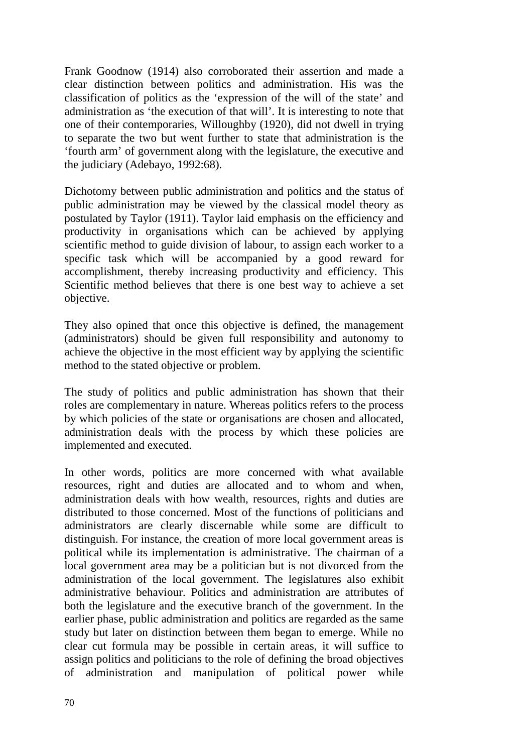Frank Goodnow (1914) also corroborated their assertion and made a clear distinction between politics and administration. His was the classification of politics as the 'expression of the will of the state' and administration as 'the execution of that will'. It is interesting to note that one of their contemporaries, Willoughby (1920), did not dwell in trying to separate the two but went further to state that administration is the 'fourth arm' of government along with the legislature, the executive and the judiciary (Adebayo, 1992:68).

Dichotomy between public administration and politics and the status of public administration may be viewed by the classical model theory as postulated by Taylor (1911). Taylor laid emphasis on the efficiency and productivity in organisations which can be achieved by applying scientific method to guide division of labour, to assign each worker to a specific task which will be accompanied by a good reward for accomplishment, thereby increasing productivity and efficiency. This Scientific method believes that there is one best way to achieve a set objective.

They also opined that once this objective is defined, the management (administrators) should be given full responsibility and autonomy to achieve the objective in the most efficient way by applying the scientific method to the stated objective or problem.

The study of politics and public administration has shown that their roles are complementary in nature. Whereas politics refers to the process by which policies of the state or organisations are chosen and allocated, administration deals with the process by which these policies are implemented and executed.

In other words, politics are more concerned with what available resources, right and duties are allocated and to whom and when, administration deals with how wealth, resources, rights and duties are distributed to those concerned. Most of the functions of politicians and administrators are clearly discernable while some are difficult to distinguish. For instance, the creation of more local government areas is political while its implementation is administrative. The chairman of a local government area may be a politician but is not divorced from the administration of the local government. The legislatures also exhibit administrative behaviour. Politics and administration are attributes of both the legislature and the executive branch of the government. In the earlier phase, public administration and politics are regarded as the same study but later on distinction between them began to emerge. While no clear cut formula may be possible in certain areas, it will suffice to assign politics and politicians to the role of defining the broad objectives of administration and manipulation of political power while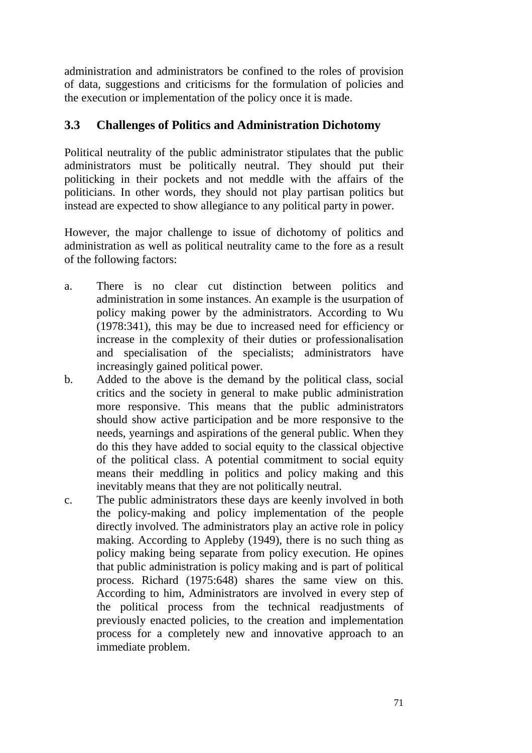administration and administrators be confined to the roles of provision of data, suggestions and criticisms for the formulation of policies and the execution or implementation of the policy once it is made.

### **3.3 Challenges of Politics and Administration Dichotomy**

Political neutrality of the public administrator stipulates that the public administrators must be politically neutral. They should put their politicking in their pockets and not meddle with the affairs of the politicians. In other words, they should not play partisan politics but instead are expected to show allegiance to any political party in power.

However, the major challenge to issue of dichotomy of politics and administration as well as political neutrality came to the fore as a result of the following factors:

- a. There is no clear cut distinction between politics and administration in some instances. An example is the usurpation of policy making power by the administrators. According to Wu (1978:341), this may be due to increased need for efficiency or increase in the complexity of their duties or professionalisation and specialisation of the specialists; administrators have increasingly gained political power.
- b. Added to the above is the demand by the political class, social critics and the society in general to make public administration more responsive. This means that the public administrators should show active participation and be more responsive to the needs, yearnings and aspirations of the general public. When they do this they have added to social equity to the classical objective of the political class. A potential commitment to social equity means their meddling in politics and policy making and this inevitably means that they are not politically neutral.
- c. The public administrators these days are keenly involved in both the policy-making and policy implementation of the people directly involved. The administrators play an active role in policy making. According to Appleby (1949), there is no such thing as policy making being separate from policy execution. He opines that public administration is policy making and is part of political process. Richard (1975:648) shares the same view on this. According to him, Administrators are involved in every step of the political process from the technical readjustments of previously enacted policies, to the creation and implementation process for a completely new and innovative approach to an immediate problem.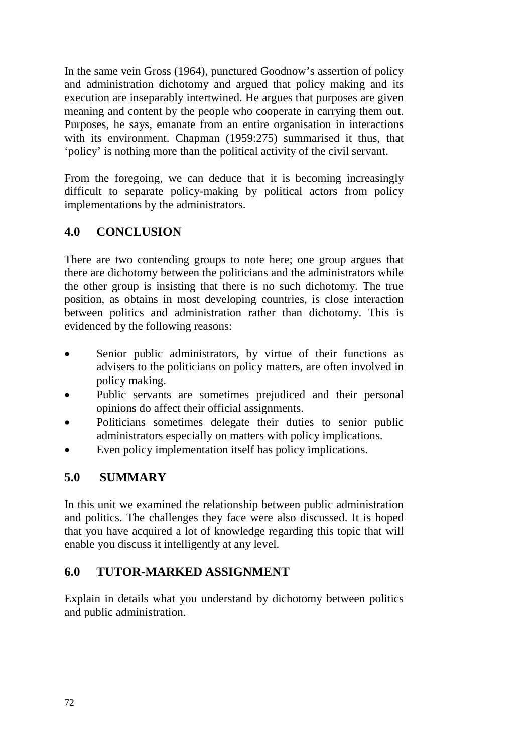In the same vein Gross (1964), punctured Goodnow's assertion of policy and administration dichotomy and argued that policy making and its execution are inseparably intertwined. He argues that purposes are given meaning and content by the people who cooperate in carrying them out. Purposes, he says, emanate from an entire organisation in interactions with its environment. Chapman (1959:275) summarised it thus, that 'policy' is nothing more than the political activity of the civil servant.

From the foregoing, we can deduce that it is becoming increasingly difficult to separate policy-making by political actors from policy implementations by the administrators.

# **4.0 CONCLUSION**

There are two contending groups to note here; one group argues that there are dichotomy between the politicians and the administrators while the other group is insisting that there is no such dichotomy. The true position, as obtains in most developing countries, is close interaction between politics and administration rather than dichotomy. This is evidenced by the following reasons:

- Senior public administrators, by virtue of their functions as advisers to the politicians on policy matters, are often involved in policy making.
- Public servants are sometimes prejudiced and their personal opinions do affect their official assignments.
- Politicians sometimes delegate their duties to senior public administrators especially on matters with policy implications.
- Even policy implementation itself has policy implications.

# **5.0 SUMMARY**

In this unit we examined the relationship between public administration and politics. The challenges they face were also discussed. It is hoped that you have acquired a lot of knowledge regarding this topic that will enable you discuss it intelligently at any level.

# **6.0 TUTOR-MARKED ASSIGNMENT**

Explain in details what you understand by dichotomy between politics and public administration.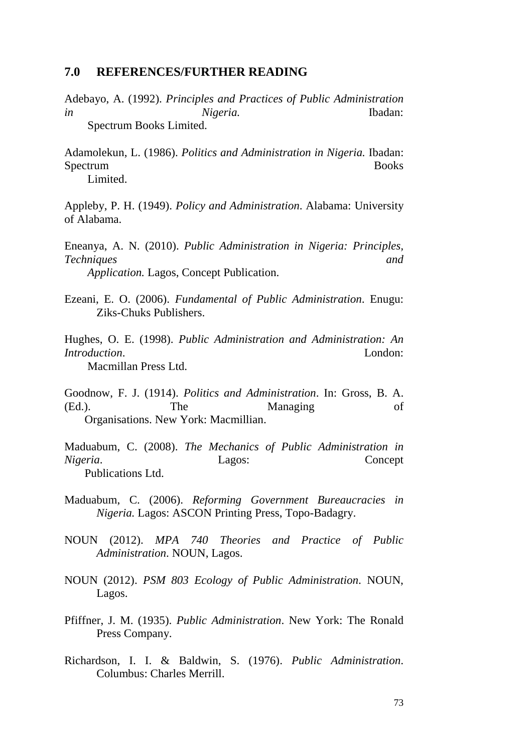#### **7.0 REFERENCES/FURTHER READING**

Adebayo, A. (1992). *Principles and Practices of Public Administration in Nigeria.* Ibadan: Spectrum Books Limited.

Adamolekun, L. (1986). *Politics and Administration in Nigeria.* Ibadan: Spectrum Books Limited.

Appleby, P. H. (1949). *Policy and Administration*. Alabama: University of Alabama.

Eneanya, A. N. (2010). *Public Administration in Nigeria: Principles, Techniques and Application.* Lagos, Concept Publication.

Ezeani, E. O. (2006). *Fundamental of Public Administration*. Enugu: Ziks-Chuks Publishers.

Hughes, O. E. (1998). *Public Administration and Administration: An Introduction.* London: Macmillan Press Ltd.

Goodnow, F. J. (1914). *Politics and Administration*. In: Gross, B. A. (Ed.). The Managing of Organisations. New York: Macmillian.

Maduabum, C. (2008). *The Mechanics of Public Administration in Nigeria*. Lagos: Concept Publications Ltd.

- Maduabum, C. (2006). *Reforming Government Bureaucracies in Nigeria.* Lagos: ASCON Printing Press, Topo-Badagry.
- NOUN (2012). *MPA 740 Theories and Practice of Public Administration*. NOUN, Lagos.
- NOUN (2012). *PSM 803 Ecology of Public Administration*. NOUN, Lagos.
- Pfiffner, J. M. (1935). *Public Administration*. New York: The Ronald Press Company.
- Richardson, I. I. & Baldwin, S. (1976). *Public Administration*. Columbus: Charles Merrill.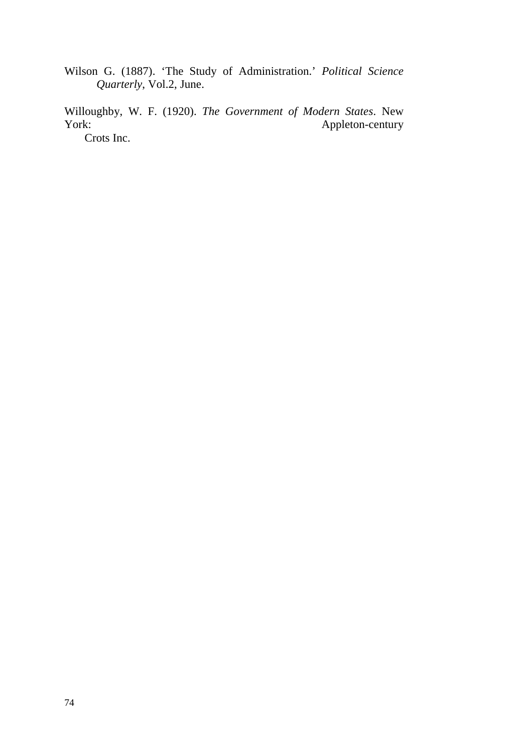Wilson G. (1887). 'The Study of Administration.' *Political Science Quarterly*, Vol.2, June.

Willoughby, W. F. (1920). *The Government of Modern States*. New Appleton-century

Crots Inc.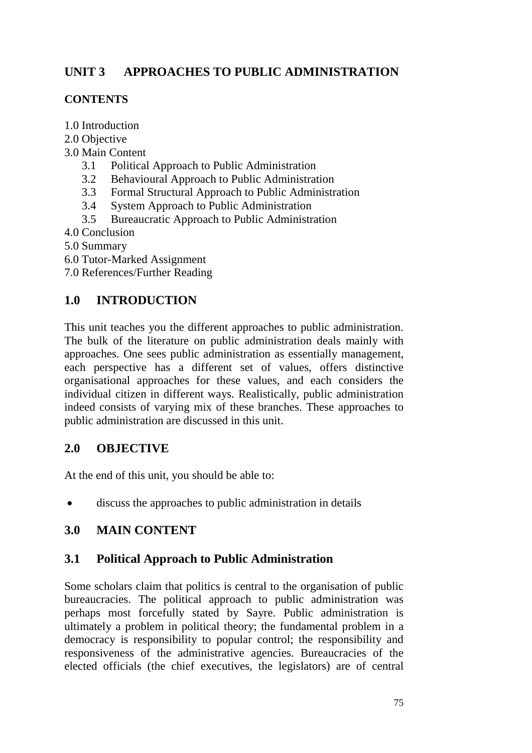# **UNIT 3 APPROACHES TO PUBLIC ADMINISTRATION**

#### **CONTENTS**

- 1.0 Introduction
- 2.0 Objective
- 3.0 Main Content
	- 3.1 Political Approach to Public Administration
	- 3.2 Behavioural Approach to Public Administration
	- 3.3 Formal Structural Approach to Public Administration
	- 3.4 System Approach to Public Administration
	- 3.5 Bureaucratic Approach to Public Administration
- 4.0 Conclusion
- 5.0 Summary
- 6.0 Tutor-Marked Assignment
- 7.0 References/Further Reading

# **1.0 INTRODUCTION**

This unit teaches you the different approaches to public administration. The bulk of the literature on public administration deals mainly with approaches. One sees public administration as essentially management, each perspective has a different set of values, offers distinctive organisational approaches for these values, and each considers the individual citizen in different ways. Realistically, public administration indeed consists of varying mix of these branches. These approaches to public administration are discussed in this unit.

### **2.0 OBJECTIVE**

At the end of this unit, you should be able to:

• discuss the approaches to public administration in details

### **3.0 MAIN CONTENT**

### **3.1 Political Approach to Public Administration**

Some scholars claim that politics is central to the organisation of public bureaucracies. The political approach to public administration was perhaps most forcefully stated by Sayre. Public administration is ultimately a problem in political theory; the fundamental problem in a democracy is responsibility to popular control; the responsibility and responsiveness of the administrative agencies. Bureaucracies of the elected officials (the chief executives, the legislators) are of central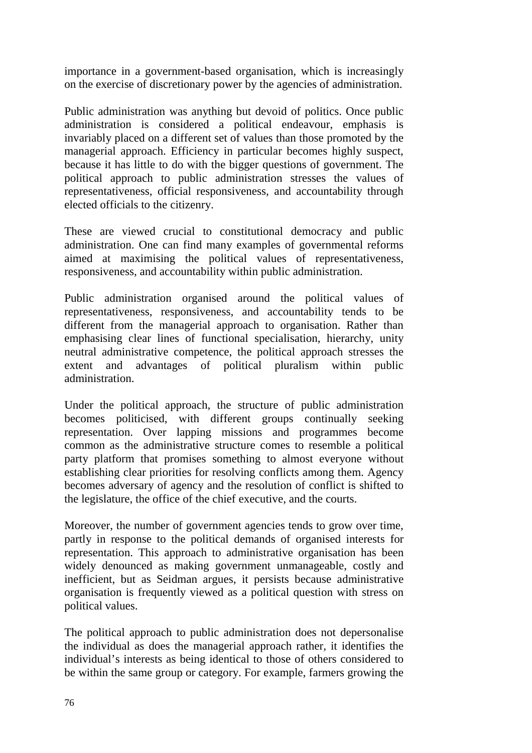importance in a government-based organisation, which is increasingly on the exercise of discretionary power by the agencies of administration.

Public administration was anything but devoid of politics. Once public administration is considered a political endeavour, emphasis is invariably placed on a different set of values than those promoted by the managerial approach. Efficiency in particular becomes highly suspect, because it has little to do with the bigger questions of government. The political approach to public administration stresses the values of representativeness, official responsiveness, and accountability through elected officials to the citizenry.

These are viewed crucial to constitutional democracy and public administration. One can find many examples of governmental reforms aimed at maximising the political values of representativeness, responsiveness, and accountability within public administration.

Public administration organised around the political values of representativeness, responsiveness, and accountability tends to be different from the managerial approach to organisation. Rather than emphasising clear lines of functional specialisation, hierarchy, unity neutral administrative competence, the political approach stresses the extent and advantages of political pluralism within public administration.

Under the political approach, the structure of public administration becomes politicised, with different groups continually seeking representation. Over lapping missions and programmes become common as the administrative structure comes to resemble a political party platform that promises something to almost everyone without establishing clear priorities for resolving conflicts among them. Agency becomes adversary of agency and the resolution of conflict is shifted to the legislature, the office of the chief executive, and the courts.

Moreover, the number of government agencies tends to grow over time, partly in response to the political demands of organised interests for representation. This approach to administrative organisation has been widely denounced as making government unmanageable, costly and inefficient, but as Seidman argues, it persists because administrative organisation is frequently viewed as a political question with stress on political values.

The political approach to public administration does not depersonalise the individual as does the managerial approach rather, it identifies the individual's interests as being identical to those of others considered to be within the same group or category. For example, farmers growing the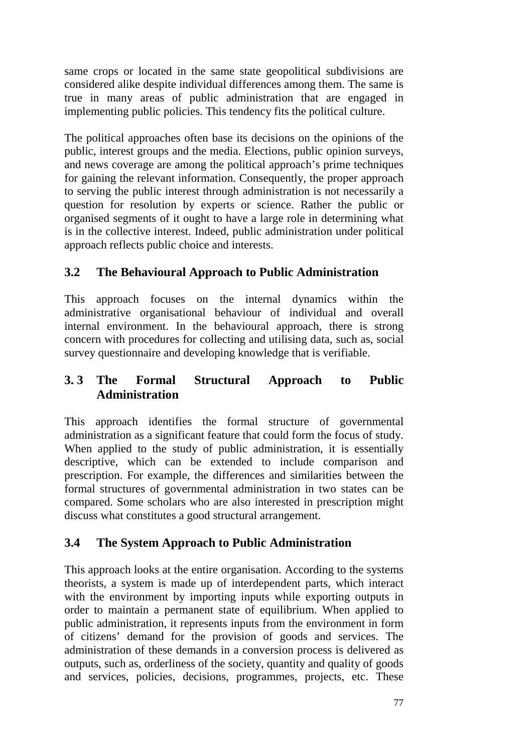same crops or located in the same state geopolitical subdivisions are considered alike despite individual differences among them. The same is true in many areas of public administration that are engaged in implementing public policies. This tendency fits the political culture.

The political approaches often base its decisions on the opinions of the public, interest groups and the media. Elections, public opinion surveys, and news coverage are among the political approach's prime techniques for gaining the relevant information. Consequently, the proper approach to serving the public interest through administration is not necessarily a question for resolution by experts or science. Rather the public or organised segments of it ought to have a large role in determining what is in the collective interest. Indeed, public administration under political approach reflects public choice and interests.

# **3.2 The Behavioural Approach to Public Administration**

This approach focuses on the internal dynamics within the administrative organisational behaviour of individual and overall internal environment. In the behavioural approach, there is strong concern with procedures for collecting and utilising data, such as, social survey questionnaire and developing knowledge that is verifiable.

### **3. 3 The Formal Structural Approach to Public Administration**

This approach identifies the formal structure of governmental administration as a significant feature that could form the focus of study. When applied to the study of public administration, it is essentially descriptive, which can be extended to include comparison and prescription. For example, the differences and similarities between the formal structures of governmental administration in two states can be compared. Some scholars who are also interested in prescription might discuss what constitutes a good structural arrangement.

# **3.4 The System Approach to Public Administration**

This approach looks at the entire organisation. According to the systems theorists, a system is made up of interdependent parts, which interact with the environment by importing inputs while exporting outputs in order to maintain a permanent state of equilibrium. When applied to public administration, it represents inputs from the environment in form of citizens' demand for the provision of goods and services. The administration of these demands in a conversion process is delivered as outputs, such as, orderliness of the society, quantity and quality of goods and services, policies, decisions, programmes, projects, etc. These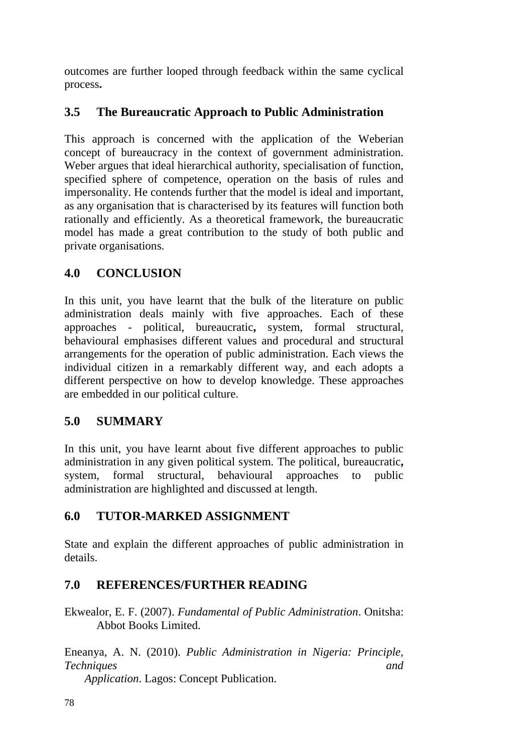outcomes are further looped through feedback within the same cyclical process**.** 

# **3.5 The Bureaucratic Approach to Public Administration**

This approach is concerned with the application of the Weberian concept of bureaucracy in the context of government administration. Weber argues that ideal hierarchical authority, specialisation of function, specified sphere of competence, operation on the basis of rules and impersonality. He contends further that the model is ideal and important, as any organisation that is characterised by its features will function both rationally and efficiently. As a theoretical framework, the bureaucratic model has made a great contribution to the study of both public and private organisations.

### **4.0 CONCLUSION**

In this unit, you have learnt that the bulk of the literature on public administration deals mainly with five approaches. Each of these approaches - political, bureaucratic**,** system, formal structural, behavioural emphasises different values and procedural and structural arrangements for the operation of public administration. Each views the individual citizen in a remarkably different way, and each adopts a different perspective on how to develop knowledge. These approaches are embedded in our political culture.

# **5.0 SUMMARY**

In this unit, you have learnt about five different approaches to public administration in any given political system. The political, bureaucratic**,**  system, formal structural, behavioural approaches to public administration are highlighted and discussed at length.

# **6.0 TUTOR-MARKED ASSIGNMENT**

State and explain the different approaches of public administration in details.

# **7.0 REFERENCES/FURTHER READING**

Ekwealor, E. F. (2007). *Fundamental of Public Administration*. Onitsha: Abbot Books Limited.

Eneanya, A. N. (2010). *Public Administration in Nigeria: Principle, Techniques and* 

 *Application*. Lagos: Concept Publication.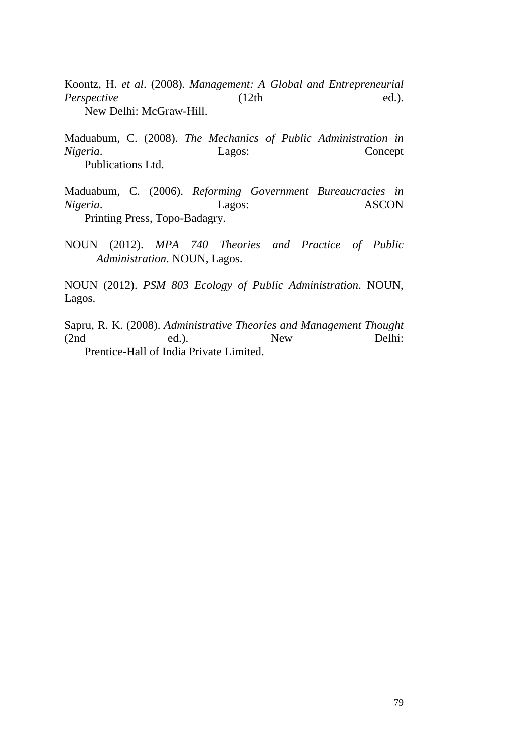Koontz, H. *et al*. (2008)*. Management: A Global and Entrepreneurial Perspective* ed.). New Delhi: McGraw-Hill.

Maduabum, C. (2008). *The Mechanics of Public Administration in Nigeria*. Lagos: Concept Publications Ltd.

Maduabum, C. (2006). *Reforming Government Bureaucracies in Nigeria*. Lagos: ASCON Printing Press, Topo-Badagry.

NOUN (2012). *MPA 740 Theories and Practice of Public Administration*. NOUN, Lagos.

NOUN (2012). *PSM 803 Ecology of Public Administration*. NOUN, Lagos.

Sapru, R. K. (2008). *Administrative Theories and Management Thought*  (2nd ed.). New Delhi: Prentice-Hall of India Private Limited.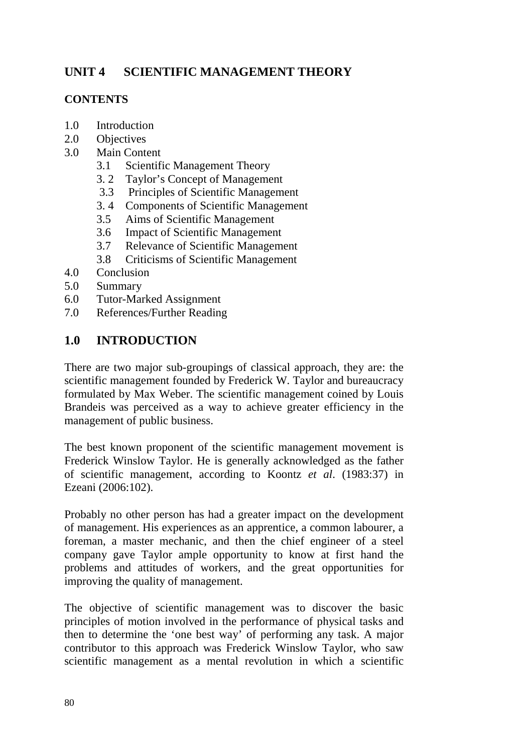# **UNIT 4 SCIENTIFIC MANAGEMENT THEORY**

#### **CONTENTS**

- 1.0 Introduction
- 2.0 Objectives
- 3.0 Main Content
	- 3.1 Scientific Management Theory
	- 3. 2 Taylor's Concept of Management
	- 3.3 Principles of Scientific Management
	- 3. 4 Components of Scientific Management
	- 3.5 Aims of Scientific Management
	- 3.6 Impact of Scientific Management
	- 3.7 Relevance of Scientific Management
	- 3.8 Criticisms of Scientific Management
- 4.0 Conclusion
- 5.0 Summary
- 6.0 Tutor-Marked Assignment
- 7.0 References/Further Reading

### **1.0 INTRODUCTION**

There are two major sub-groupings of classical approach, they are: the scientific management founded by Frederick W. Taylor and bureaucracy formulated by Max Weber. The scientific management coined by Louis Brandeis was perceived as a way to achieve greater efficiency in the management of public business.

The best known proponent of the scientific management movement is Frederick Winslow Taylor. He is generally acknowledged as the father of scientific management, according to Koontz *et al*. (1983:37) in Ezeani (2006:102).

Probably no other person has had a greater impact on the development of management. His experiences as an apprentice, a common labourer, a foreman, a master mechanic, and then the chief engineer of a steel company gave Taylor ample opportunity to know at first hand the problems and attitudes of workers, and the great opportunities for improving the quality of management.

The objective of scientific management was to discover the basic principles of motion involved in the performance of physical tasks and then to determine the 'one best way' of performing any task. A major contributor to this approach was Frederick Winslow Taylor, who saw scientific management as a mental revolution in which a scientific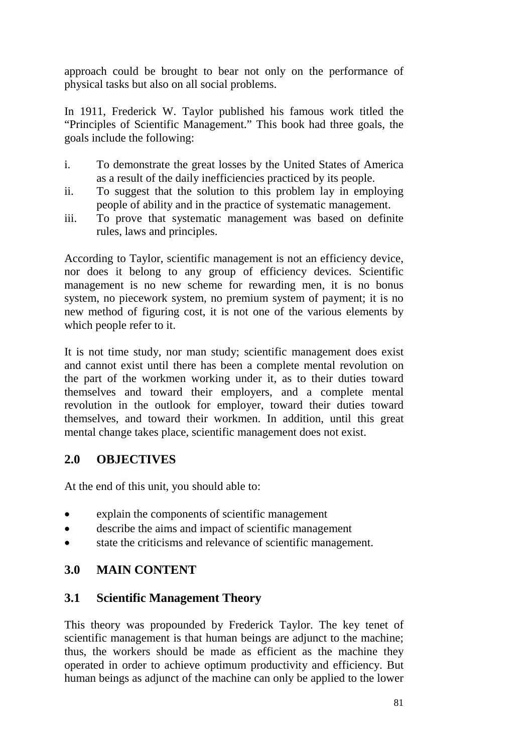approach could be brought to bear not only on the performance of physical tasks but also on all social problems.

In 1911, Frederick W. Taylor published his famous work titled the "Principles of Scientific Management." This book had three goals, the goals include the following:

- i. To demonstrate the great losses by the United States of America as a result of the daily inefficiencies practiced by its people.
- ii. To suggest that the solution to this problem lay in employing people of ability and in the practice of systematic management.
- iii. To prove that systematic management was based on definite rules, laws and principles.

According to Taylor, scientific management is not an efficiency device, nor does it belong to any group of efficiency devices. Scientific management is no new scheme for rewarding men, it is no bonus system, no piecework system, no premium system of payment; it is no new method of figuring cost, it is not one of the various elements by which people refer to it.

It is not time study, nor man study; scientific management does exist and cannot exist until there has been a complete mental revolution on the part of the workmen working under it, as to their duties toward themselves and toward their employers, and a complete mental revolution in the outlook for employer, toward their duties toward themselves, and toward their workmen. In addition, until this great mental change takes place, scientific management does not exist.

### **2.0 OBJECTIVES**

At the end of this unit, you should able to:

- explain the components of scientific management
- describe the aims and impact of scientific management
- state the criticisms and relevance of scientific management.

# **3.0 MAIN CONTENT**

### **3.1 Scientific Management Theory**

This theory was propounded by Frederick Taylor. The key tenet of scientific management is that human beings are adjunct to the machine; thus, the workers should be made as efficient as the machine they operated in order to achieve optimum productivity and efficiency. But human beings as adjunct of the machine can only be applied to the lower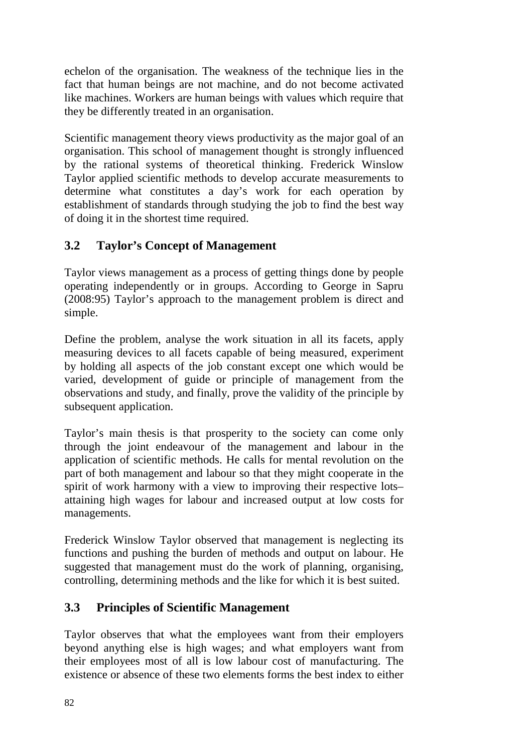echelon of the organisation. The weakness of the technique lies in the fact that human beings are not machine, and do not become activated like machines. Workers are human beings with values which require that they be differently treated in an organisation.

Scientific management theory views productivity as the major goal of an organisation. This school of management thought is strongly influenced by the rational systems of theoretical thinking. Frederick Winslow Taylor applied scientific methods to develop accurate measurements to determine what constitutes a day's work for each operation by establishment of standards through studying the job to find the best way of doing it in the shortest time required.

# **3.2 Taylor's Concept of Management**

Taylor views management as a process of getting things done by people operating independently or in groups. According to George in Sapru (2008:95) Taylor's approach to the management problem is direct and simple.

Define the problem, analyse the work situation in all its facets, apply measuring devices to all facets capable of being measured, experiment by holding all aspects of the job constant except one which would be varied, development of guide or principle of management from the observations and study, and finally, prove the validity of the principle by subsequent application.

Taylor's main thesis is that prosperity to the society can come only through the joint endeavour of the management and labour in the application of scientific methods. He calls for mental revolution on the part of both management and labour so that they might cooperate in the spirit of work harmony with a view to improving their respective lots– attaining high wages for labour and increased output at low costs for managements.

Frederick Winslow Taylor observed that management is neglecting its functions and pushing the burden of methods and output on labour. He suggested that management must do the work of planning, organising, controlling, determining methods and the like for which it is best suited.

### **3.3 Principles of Scientific Management**

Taylor observes that what the employees want from their employers beyond anything else is high wages; and what employers want from their employees most of all is low labour cost of manufacturing. The existence or absence of these two elements forms the best index to either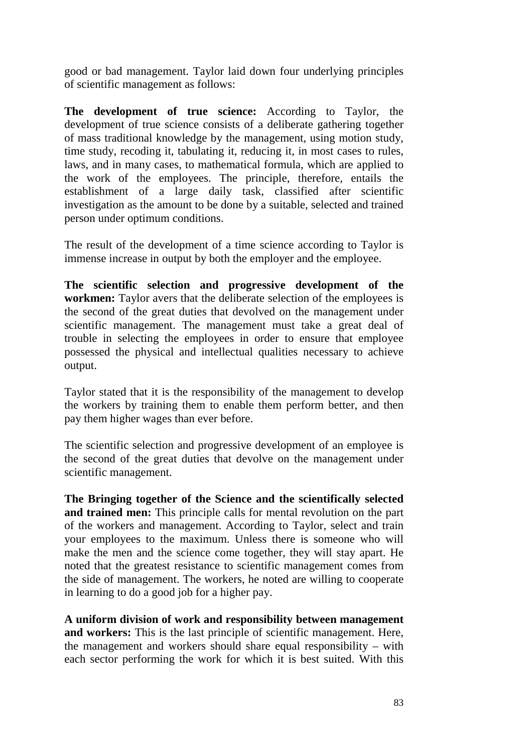good or bad management. Taylor laid down four underlying principles of scientific management as follows:

**The development of true science:** According to Taylor, the development of true science consists of a deliberate gathering together of mass traditional knowledge by the management, using motion study, time study, recoding it, tabulating it, reducing it, in most cases to rules, laws, and in many cases, to mathematical formula, which are applied to the work of the employees. The principle, therefore, entails the establishment of a large daily task, classified after scientific investigation as the amount to be done by a suitable, selected and trained person under optimum conditions.

The result of the development of a time science according to Taylor is immense increase in output by both the employer and the employee.

**The scientific selection and progressive development of the workmen:** Taylor avers that the deliberate selection of the employees is the second of the great duties that devolved on the management under scientific management. The management must take a great deal of trouble in selecting the employees in order to ensure that employee possessed the physical and intellectual qualities necessary to achieve output.

Taylor stated that it is the responsibility of the management to develop the workers by training them to enable them perform better, and then pay them higher wages than ever before.

The scientific selection and progressive development of an employee is the second of the great duties that devolve on the management under scientific management.

**The Bringing together of the Science and the scientifically selected and trained men:** This principle calls for mental revolution on the part of the workers and management. According to Taylor, select and train your employees to the maximum. Unless there is someone who will make the men and the science come together, they will stay apart. He noted that the greatest resistance to scientific management comes from the side of management. The workers, he noted are willing to cooperate in learning to do a good job for a higher pay.

**A uniform division of work and responsibility between management and workers:** This is the last principle of scientific management. Here, the management and workers should share equal responsibility – with each sector performing the work for which it is best suited. With this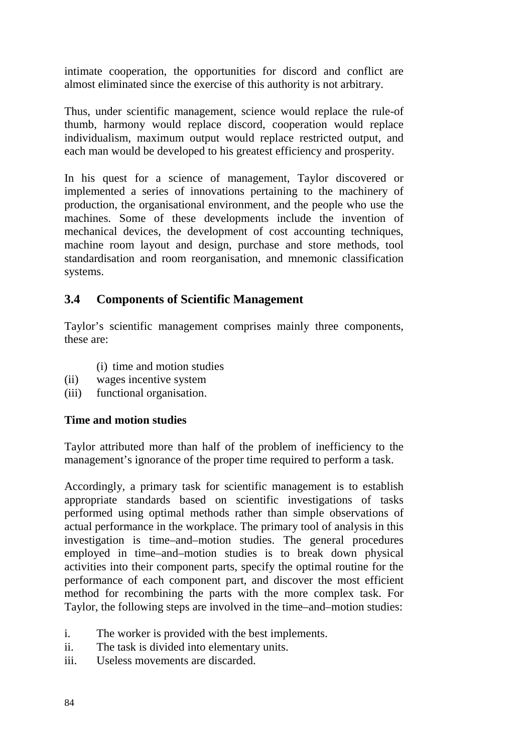intimate cooperation, the opportunities for discord and conflict are almost eliminated since the exercise of this authority is not arbitrary.

Thus, under scientific management, science would replace the rule-of thumb, harmony would replace discord, cooperation would replace individualism, maximum output would replace restricted output, and each man would be developed to his greatest efficiency and prosperity.

In his quest for a science of management, Taylor discovered or implemented a series of innovations pertaining to the machinery of production, the organisational environment, and the people who use the machines. Some of these developments include the invention of mechanical devices, the development of cost accounting techniques, machine room layout and design, purchase and store methods, tool standardisation and room reorganisation, and mnemonic classification systems.

### **3.4 Components of Scientific Management**

Taylor's scientific management comprises mainly three components, these are:

- (i) time and motion studies
- (ii) wages incentive system
- (iii) functional organisation.

#### **Time and motion studies**

Taylor attributed more than half of the problem of inefficiency to the management's ignorance of the proper time required to perform a task.

Accordingly, a primary task for scientific management is to establish appropriate standards based on scientific investigations of tasks performed using optimal methods rather than simple observations of actual performance in the workplace. The primary tool of analysis in this investigation is time–and–motion studies. The general procedures employed in time–and–motion studies is to break down physical activities into their component parts, specify the optimal routine for the performance of each component part, and discover the most efficient method for recombining the parts with the more complex task. For Taylor, the following steps are involved in the time–and–motion studies:

- i. The worker is provided with the best implements.
- ii. The task is divided into elementary units.
- iii. Useless movements are discarded.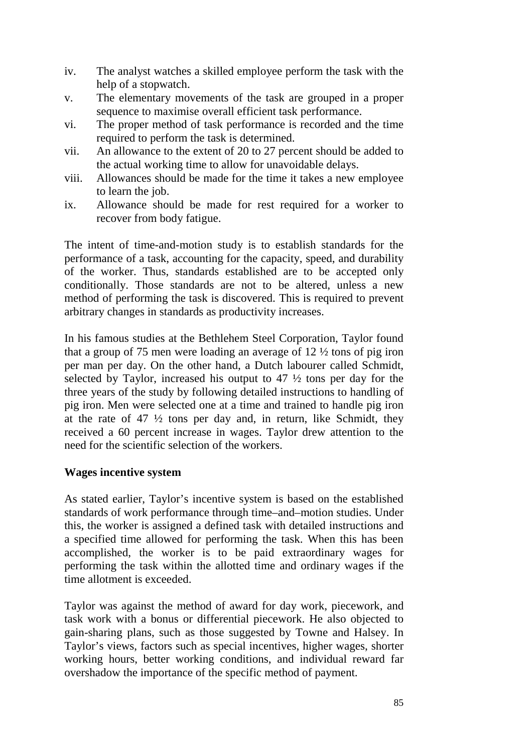- iv. The analyst watches a skilled employee perform the task with the help of a stopwatch.
- v. The elementary movements of the task are grouped in a proper sequence to maximise overall efficient task performance.
- vi. The proper method of task performance is recorded and the time required to perform the task is determined.
- vii. An allowance to the extent of 20 to 27 percent should be added to the actual working time to allow for unavoidable delays.
- viii. Allowances should be made for the time it takes a new employee to learn the job.
- ix. Allowance should be made for rest required for a worker to recover from body fatigue.

The intent of time-and-motion study is to establish standards for the performance of a task, accounting for the capacity, speed, and durability of the worker. Thus, standards established are to be accepted only conditionally. Those standards are not to be altered, unless a new method of performing the task is discovered. This is required to prevent arbitrary changes in standards as productivity increases.

In his famous studies at the Bethlehem Steel Corporation, Taylor found that a group of 75 men were loading an average of 12 ½ tons of pig iron per man per day. On the other hand, a Dutch labourer called Schmidt, selected by Taylor, increased his output to 47 ½ tons per day for the three years of the study by following detailed instructions to handling of pig iron. Men were selected one at a time and trained to handle pig iron at the rate of  $47\frac{1}{2}$  tons per day and, in return, like Schmidt, they received a 60 percent increase in wages. Taylor drew attention to the need for the scientific selection of the workers.

#### **Wages incentive system**

As stated earlier, Taylor's incentive system is based on the established standards of work performance through time–and–motion studies. Under this, the worker is assigned a defined task with detailed instructions and a specified time allowed for performing the task. When this has been accomplished, the worker is to be paid extraordinary wages for performing the task within the allotted time and ordinary wages if the time allotment is exceeded.

Taylor was against the method of award for day work, piecework, and task work with a bonus or differential piecework. He also objected to gain-sharing plans, such as those suggested by Towne and Halsey. In Taylor's views, factors such as special incentives, higher wages, shorter working hours, better working conditions, and individual reward far overshadow the importance of the specific method of payment.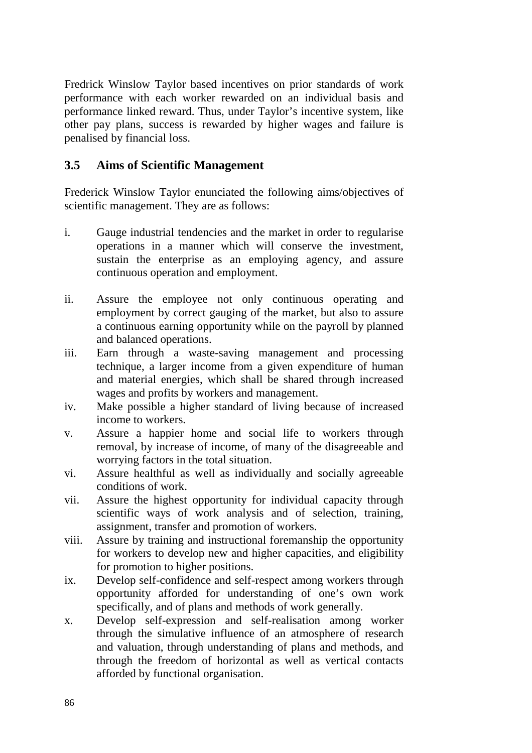Fredrick Winslow Taylor based incentives on prior standards of work performance with each worker rewarded on an individual basis and performance linked reward. Thus, under Taylor's incentive system, like other pay plans, success is rewarded by higher wages and failure is penalised by financial loss.

#### **3.5 Aims of Scientific Management**

Frederick Winslow Taylor enunciated the following aims/objectives of scientific management. They are as follows:

- i. Gauge industrial tendencies and the market in order to regularise operations in a manner which will conserve the investment, sustain the enterprise as an employing agency, and assure continuous operation and employment.
- ii. Assure the employee not only continuous operating and employment by correct gauging of the market, but also to assure a continuous earning opportunity while on the payroll by planned and balanced operations.
- iii. Earn through a waste-saving management and processing technique, a larger income from a given expenditure of human and material energies, which shall be shared through increased wages and profits by workers and management.
- iv. Make possible a higher standard of living because of increased income to workers.
- v. Assure a happier home and social life to workers through removal, by increase of income, of many of the disagreeable and worrying factors in the total situation.
- vi. Assure healthful as well as individually and socially agreeable conditions of work.
- vii. Assure the highest opportunity for individual capacity through scientific ways of work analysis and of selection, training, assignment, transfer and promotion of workers.
- viii. Assure by training and instructional foremanship the opportunity for workers to develop new and higher capacities, and eligibility for promotion to higher positions.
- ix. Develop self-confidence and self-respect among workers through opportunity afforded for understanding of one's own work specifically, and of plans and methods of work generally.
- x. Develop self-expression and self-realisation among worker through the simulative influence of an atmosphere of research and valuation, through understanding of plans and methods, and through the freedom of horizontal as well as vertical contacts afforded by functional organisation.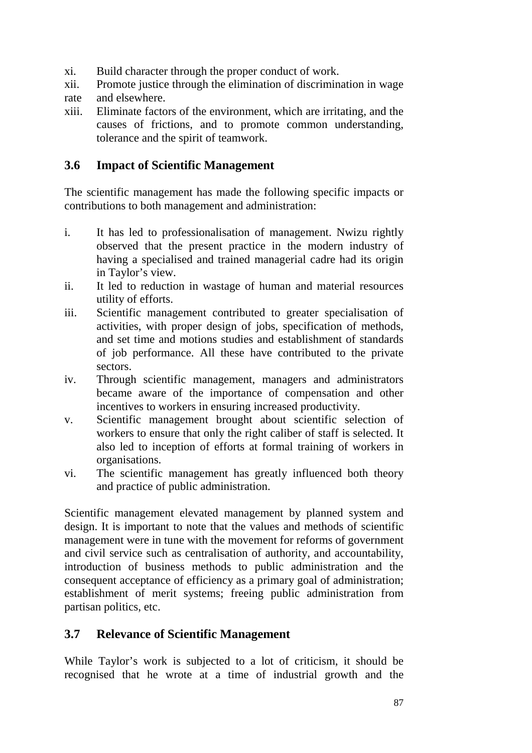- xi. Build character through the proper conduct of work.
- xii. Promote justice through the elimination of discrimination in wage rate and elsewhere.
- xiii. Eliminate factors of the environment, which are irritating, and the causes of frictions, and to promote common understanding, tolerance and the spirit of teamwork.

#### **3.6 Impact of Scientific Management**

The scientific management has made the following specific impacts or contributions to both management and administration:

- i. It has led to professionalisation of management. Nwizu rightly observed that the present practice in the modern industry of having a specialised and trained managerial cadre had its origin in Taylor's view.
- ii. It led to reduction in wastage of human and material resources utility of efforts.
- iii. Scientific management contributed to greater specialisation of activities, with proper design of jobs, specification of methods, and set time and motions studies and establishment of standards of job performance. All these have contributed to the private sectors.
- iv. Through scientific management, managers and administrators became aware of the importance of compensation and other incentives to workers in ensuring increased productivity.
- v. Scientific management brought about scientific selection of workers to ensure that only the right caliber of staff is selected. It also led to inception of efforts at formal training of workers in organisations.
- vi. The scientific management has greatly influenced both theory and practice of public administration.

Scientific management elevated management by planned system and design. It is important to note that the values and methods of scientific management were in tune with the movement for reforms of government and civil service such as centralisation of authority, and accountability, introduction of business methods to public administration and the consequent acceptance of efficiency as a primary goal of administration; establishment of merit systems; freeing public administration from partisan politics, etc.

### **3.7 Relevance of Scientific Management**

While Taylor's work is subjected to a lot of criticism, it should be recognised that he wrote at a time of industrial growth and the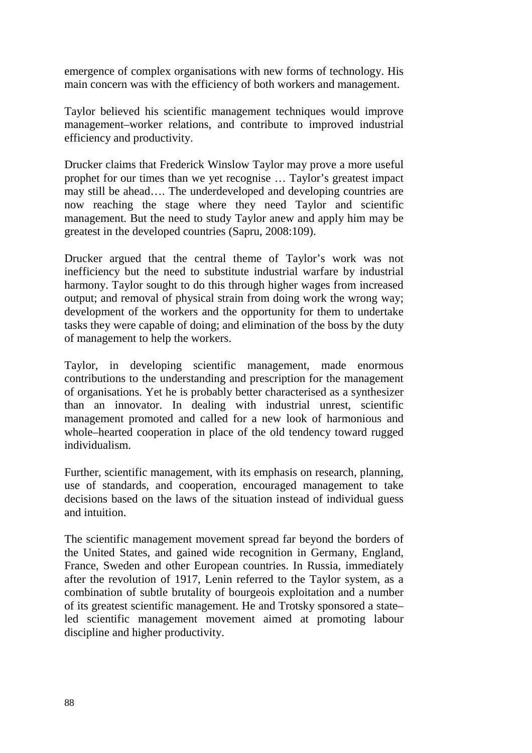emergence of complex organisations with new forms of technology. His main concern was with the efficiency of both workers and management.

Taylor believed his scientific management techniques would improve management–worker relations, and contribute to improved industrial efficiency and productivity.

Drucker claims that Frederick Winslow Taylor may prove a more useful prophet for our times than we yet recognise … Taylor's greatest impact may still be ahead…. The underdeveloped and developing countries are now reaching the stage where they need Taylor and scientific management. But the need to study Taylor anew and apply him may be greatest in the developed countries (Sapru, 2008:109).

Drucker argued that the central theme of Taylor's work was not inefficiency but the need to substitute industrial warfare by industrial harmony. Taylor sought to do this through higher wages from increased output; and removal of physical strain from doing work the wrong way; development of the workers and the opportunity for them to undertake tasks they were capable of doing; and elimination of the boss by the duty of management to help the workers.

Taylor, in developing scientific management, made enormous contributions to the understanding and prescription for the management of organisations. Yet he is probably better characterised as a synthesizer than an innovator. In dealing with industrial unrest, scientific management promoted and called for a new look of harmonious and whole–hearted cooperation in place of the old tendency toward rugged individualism.

Further, scientific management, with its emphasis on research, planning, use of standards, and cooperation, encouraged management to take decisions based on the laws of the situation instead of individual guess and intuition.

The scientific management movement spread far beyond the borders of the United States, and gained wide recognition in Germany, England, France, Sweden and other European countries. In Russia, immediately after the revolution of 1917, Lenin referred to the Taylor system, as a combination of subtle brutality of bourgeois exploitation and a number of its greatest scientific management. He and Trotsky sponsored a state– led scientific management movement aimed at promoting labour discipline and higher productivity.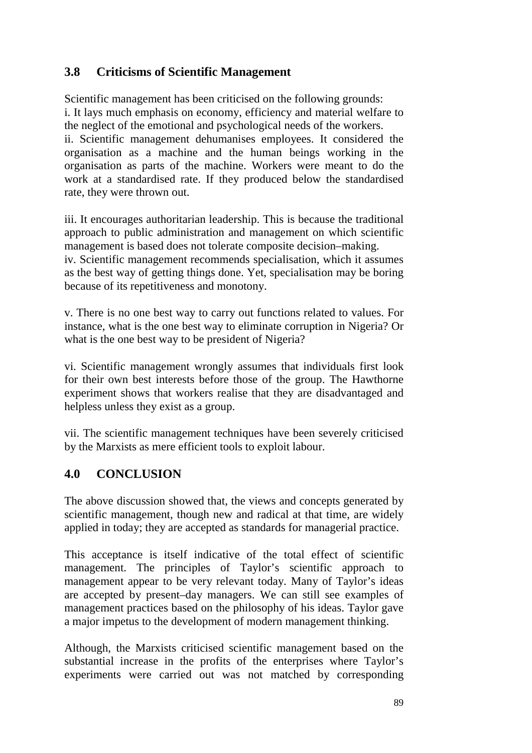### **3.8 Criticisms of Scientific Management**

Scientific management has been criticised on the following grounds: i. It lays much emphasis on economy, efficiency and material welfare to the neglect of the emotional and psychological needs of the workers. ii. Scientific management dehumanises employees. It considered the organisation as a machine and the human beings working in the organisation as parts of the machine. Workers were meant to do the work at a standardised rate. If they produced below the standardised rate, they were thrown out.

iii. It encourages authoritarian leadership. This is because the traditional approach to public administration and management on which scientific management is based does not tolerate composite decision–making.

iv. Scientific management recommends specialisation, which it assumes as the best way of getting things done. Yet, specialisation may be boring because of its repetitiveness and monotony.

v. There is no one best way to carry out functions related to values. For instance, what is the one best way to eliminate corruption in Nigeria? Or what is the one best way to be president of Nigeria?

vi. Scientific management wrongly assumes that individuals first look for their own best interests before those of the group. The Hawthorne experiment shows that workers realise that they are disadvantaged and helpless unless they exist as a group.

vii. The scientific management techniques have been severely criticised by the Marxists as mere efficient tools to exploit labour.

# **4.0 CONCLUSION**

The above discussion showed that, the views and concepts generated by scientific management, though new and radical at that time, are widely applied in today; they are accepted as standards for managerial practice.

This acceptance is itself indicative of the total effect of scientific management. The principles of Taylor's scientific approach to management appear to be very relevant today. Many of Taylor's ideas are accepted by present–day managers. We can still see examples of management practices based on the philosophy of his ideas. Taylor gave a major impetus to the development of modern management thinking.

Although, the Marxists criticised scientific management based on the substantial increase in the profits of the enterprises where Taylor's experiments were carried out was not matched by corresponding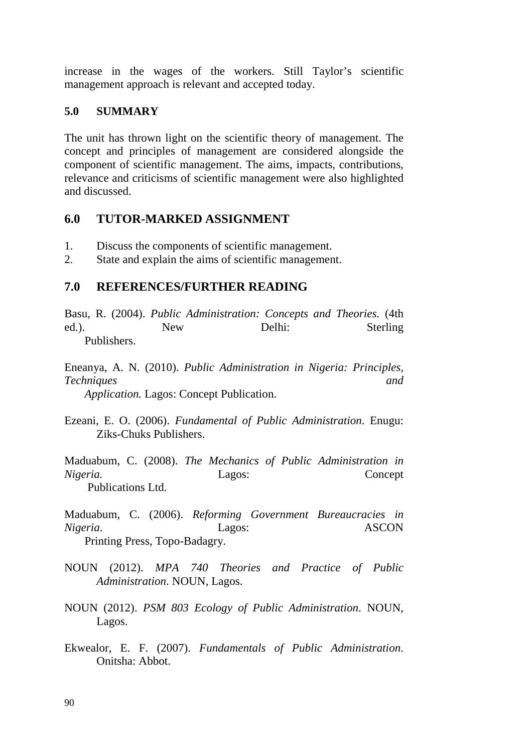increase in the wages of the workers. Still Taylor's scientific management approach is relevant and accepted today.

#### **5.0 SUMMARY**

The unit has thrown light on the scientific theory of management. The concept and principles of management are considered alongside the component of scientific management. The aims, impacts, contributions, relevance and criticisms of scientific management were also highlighted and discussed.

### **6.0 TUTOR-MARKED ASSIGNMENT**

- 1. Discuss the components of scientific management.
- 2. State and explain the aims of scientific management.

### **7.0 REFERENCES/FURTHER READING**

Basu, R. (2004). *Public Administration: Concepts and Theories.* (4th ed.). New Delhi: Sterling Publishers.

Eneanya, A. N. (2010). *Public Administration in Nigeria: Principles, Techniques and Application.* Lagos: Concept Publication.

Ezeani, E. O. (2006). *Fundamental of Public Administration*. Enugu: Ziks-Chuks Publishers.

Maduabum, C. (2008). *The Mechanics of Public Administration in Nigeria.* Lagos: Concept Publications Ltd.

Maduabum, C. (2006). *Reforming Government Bureaucracies in Nigeria*. Lagos: ASCON Printing Press, Topo-Badagry.

- NOUN (2012). *MPA 740 Theories and Practice of Public Administration*. NOUN, Lagos.
- NOUN (2012). *PSM 803 Ecology of Public Administration*. NOUN, Lagos.
- Ekwealor, E. F. (2007). *Fundamentals of Public Administration*. Onitsha: Abbot.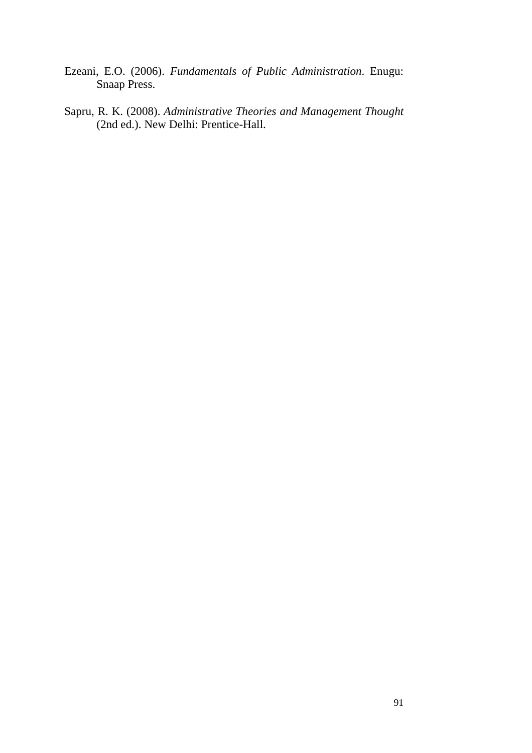- Ezeani, E.O. (2006). *Fundamentals of Public Administration*. Enugu: Snaap Press.
- Sapru, R. K. (2008). *Administrative Theories and Management Thought*  (2nd ed.). New Delhi: Prentice-Hall.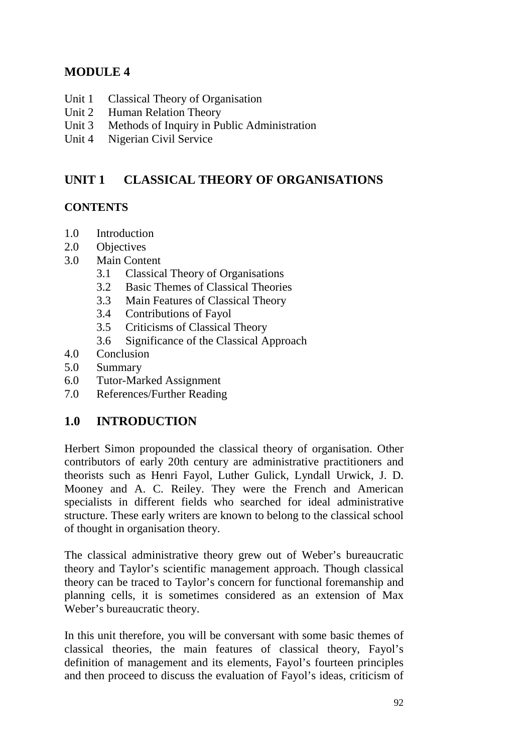# **MODULE 4**

- Unit 1 Classical Theory of Organisation
- Unit 2 Human Relation Theory
- Unit 3 Methods of Inquiry in Public Administration
- Unit 4 Nigerian Civil Service

# **UNIT 1 CLASSICAL THEORY OF ORGANISATIONS**

#### **CONTENTS**

- 1.0 Introduction
- 2.0 Objectives
- 3.0 Main Content
	- 3.1 Classical Theory of Organisations
	- 3.2 Basic Themes of Classical Theories
	- 3.3 Main Features of Classical Theory
	- 3.4 Contributions of Fayol
	- 3.5 Criticisms of Classical Theory
	- 3.6 Significance of the Classical Approach
- 4.0 Conclusion
- 5.0 Summary
- 6.0 Tutor-Marked Assignment
- 7.0 References/Further Reading

### **1.0 INTRODUCTION**

Herbert Simon propounded the classical theory of organisation. Other contributors of early 20th century are administrative practitioners and theorists such as Henri Fayol, Luther Gulick, Lyndall Urwick, J. D. Mooney and A. C. Reiley. They were the French and American specialists in different fields who searched for ideal administrative structure. These early writers are known to belong to the classical school of thought in organisation theory.

The classical administrative theory grew out of Weber's bureaucratic theory and Taylor's scientific management approach. Though classical theory can be traced to Taylor's concern for functional foremanship and planning cells, it is sometimes considered as an extension of Max Weber's bureaucratic theory.

In this unit therefore, you will be conversant with some basic themes of classical theories, the main features of classical theory, Fayol's definition of management and its elements, Fayol's fourteen principles and then proceed to discuss the evaluation of Fayol's ideas, criticism of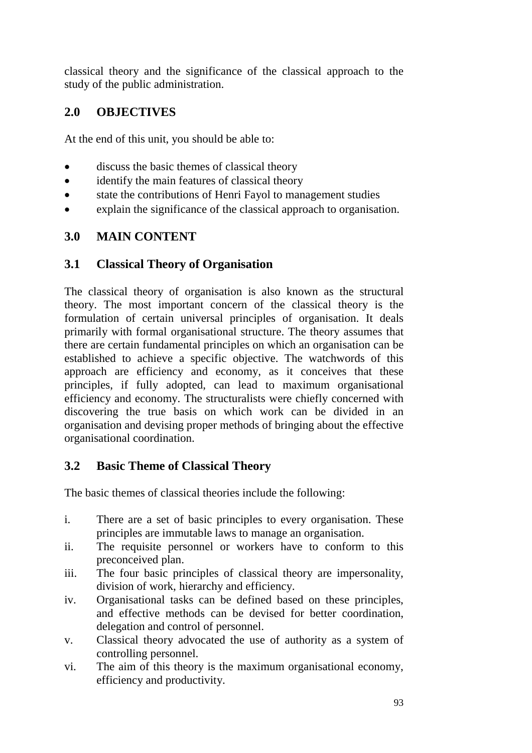classical theory and the significance of the classical approach to the study of the public administration.

# **2.0 OBJECTIVES**

At the end of this unit, you should be able to:

- discuss the basic themes of classical theory
- identify the main features of classical theory
- state the contributions of Henri Fayol to management studies
- explain the significance of the classical approach to organisation.

### **3.0 MAIN CONTENT**

### **3.1 Classical Theory of Organisation**

The classical theory of organisation is also known as the structural theory. The most important concern of the classical theory is the formulation of certain universal principles of organisation. It deals primarily with formal organisational structure. The theory assumes that there are certain fundamental principles on which an organisation can be established to achieve a specific objective. The watchwords of this approach are efficiency and economy, as it conceives that these principles, if fully adopted, can lead to maximum organisational efficiency and economy. The structuralists were chiefly concerned with discovering the true basis on which work can be divided in an organisation and devising proper methods of bringing about the effective organisational coordination.

# **3.2 Basic Theme of Classical Theory**

The basic themes of classical theories include the following:

- i. There are a set of basic principles to every organisation. These principles are immutable laws to manage an organisation.
- ii. The requisite personnel or workers have to conform to this preconceived plan.
- iii. The four basic principles of classical theory are impersonality, division of work, hierarchy and efficiency.
- iv. Organisational tasks can be defined based on these principles, and effective methods can be devised for better coordination, delegation and control of personnel.
- v. Classical theory advocated the use of authority as a system of controlling personnel.
- vi. The aim of this theory is the maximum organisational economy, efficiency and productivity.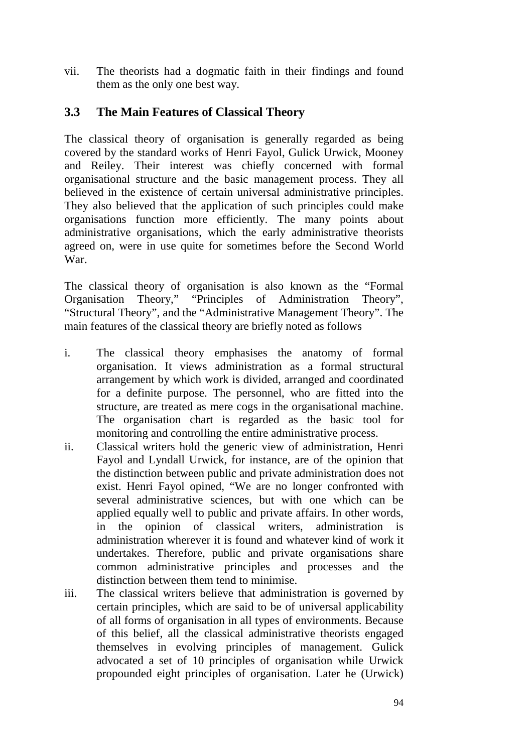vii. The theorists had a dogmatic faith in their findings and found them as the only one best way.

### **3.3 The Main Features of Classical Theory**

The classical theory of organisation is generally regarded as being covered by the standard works of Henri Fayol, Gulick Urwick, Mooney and Reiley. Their interest was chiefly concerned with formal organisational structure and the basic management process. They all believed in the existence of certain universal administrative principles. They also believed that the application of such principles could make organisations function more efficiently. The many points about administrative organisations, which the early administrative theorists agreed on, were in use quite for sometimes before the Second World War.

The classical theory of organisation is also known as the "Formal Organisation Theory," "Principles of Administration Theory", "Structural Theory", and the "Administrative Management Theory". The main features of the classical theory are briefly noted as follows

- i. The classical theory emphasises the anatomy of formal organisation. It views administration as a formal structural arrangement by which work is divided, arranged and coordinated for a definite purpose. The personnel, who are fitted into the structure, are treated as mere cogs in the organisational machine. The organisation chart is regarded as the basic tool for monitoring and controlling the entire administrative process.
- ii. Classical writers hold the generic view of administration, Henri Fayol and Lyndall Urwick, for instance, are of the opinion that the distinction between public and private administration does not exist. Henri Fayol opined, "We are no longer confronted with several administrative sciences, but with one which can be applied equally well to public and private affairs. In other words, in the opinion of classical writers, administration is administration wherever it is found and whatever kind of work it undertakes. Therefore, public and private organisations share common administrative principles and processes and the distinction between them tend to minimise.
- iii. The classical writers believe that administration is governed by certain principles, which are said to be of universal applicability of all forms of organisation in all types of environments. Because of this belief, all the classical administrative theorists engaged themselves in evolving principles of management. Gulick advocated a set of 10 principles of organisation while Urwick propounded eight principles of organisation. Later he (Urwick)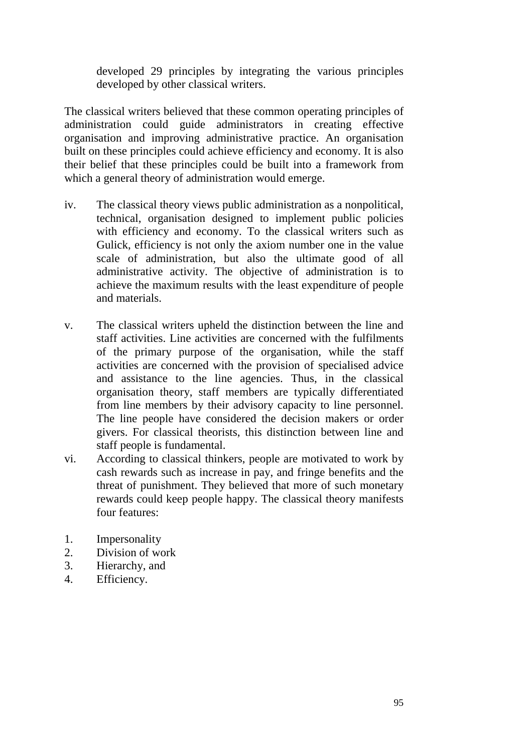developed 29 principles by integrating the various principles developed by other classical writers.

The classical writers believed that these common operating principles of administration could guide administrators in creating effective organisation and improving administrative practice. An organisation built on these principles could achieve efficiency and economy. It is also their belief that these principles could be built into a framework from which a general theory of administration would emerge.

- iv. The classical theory views public administration as a nonpolitical, technical, organisation designed to implement public policies with efficiency and economy. To the classical writers such as Gulick, efficiency is not only the axiom number one in the value scale of administration, but also the ultimate good of all administrative activity. The objective of administration is to achieve the maximum results with the least expenditure of people and materials.
- v. The classical writers upheld the distinction between the line and staff activities. Line activities are concerned with the fulfilments of the primary purpose of the organisation, while the staff activities are concerned with the provision of specialised advice and assistance to the line agencies. Thus, in the classical organisation theory, staff members are typically differentiated from line members by their advisory capacity to line personnel. The line people have considered the decision makers or order givers. For classical theorists, this distinction between line and staff people is fundamental.
- vi. According to classical thinkers, people are motivated to work by cash rewards such as increase in pay, and fringe benefits and the threat of punishment. They believed that more of such monetary rewards could keep people happy. The classical theory manifests four features:
- 1. Impersonality
- 2. Division of work
- 3. Hierarchy, and
- 4. Efficiency.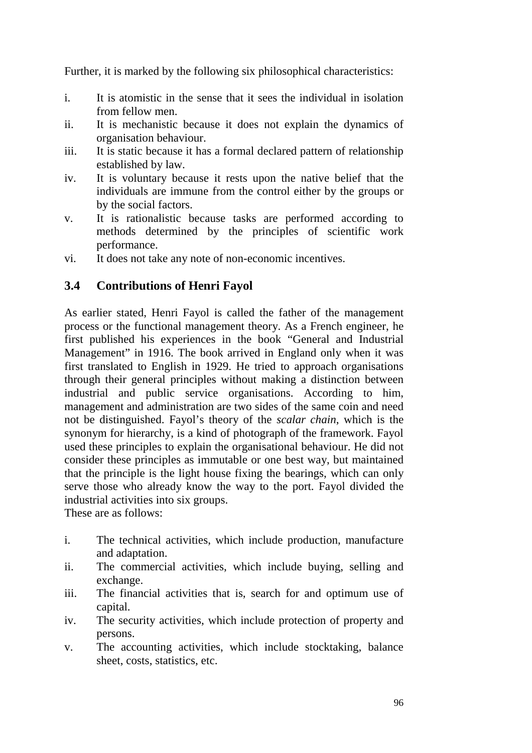Further, it is marked by the following six philosophical characteristics:

- i. It is atomistic in the sense that it sees the individual in isolation from fellow men.
- ii. It is mechanistic because it does not explain the dynamics of organisation behaviour.
- iii. It is static because it has a formal declared pattern of relationship established by law.
- iv. It is voluntary because it rests upon the native belief that the individuals are immune from the control either by the groups or by the social factors.
- v. It is rationalistic because tasks are performed according to methods determined by the principles of scientific work performance.
- vi. It does not take any note of non-economic incentives.

### **3.4 Contributions of Henri Fayol**

As earlier stated, Henri Fayol is called the father of the management process or the functional management theory. As a French engineer, he first published his experiences in the book "General and Industrial Management" in 1916. The book arrived in England only when it was first translated to English in 1929. He tried to approach organisations through their general principles without making a distinction between industrial and public service organisations. According to him, management and administration are two sides of the same coin and need not be distinguished. Fayol's theory of the *scalar chain*, which is the synonym for hierarchy, is a kind of photograph of the framework. Fayol used these principles to explain the organisational behaviour. He did not consider these principles as immutable or one best way, but maintained that the principle is the light house fixing the bearings, which can only serve those who already know the way to the port. Fayol divided the industrial activities into six groups.

These are as follows:

- i. The technical activities, which include production, manufacture and adaptation.
- ii. The commercial activities, which include buying, selling and exchange.
- iii. The financial activities that is, search for and optimum use of capital.
- iv. The security activities, which include protection of property and persons.
- v. The accounting activities, which include stocktaking, balance sheet, costs, statistics, etc.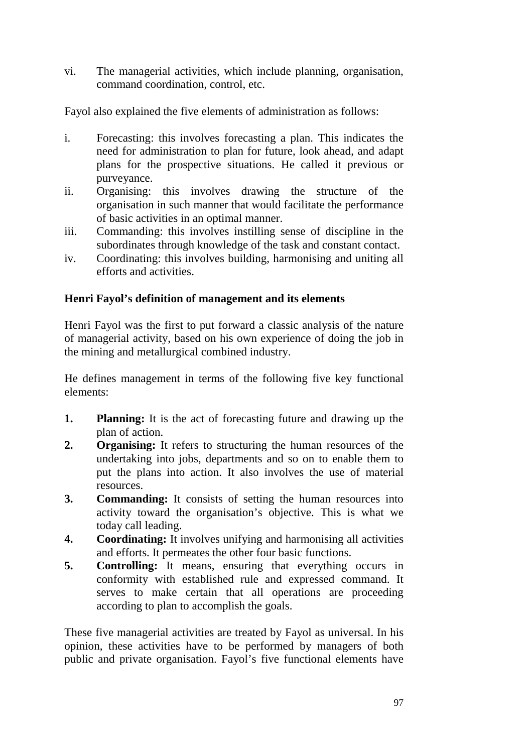vi. The managerial activities, which include planning, organisation, command coordination, control, etc.

Fayol also explained the five elements of administration as follows:

- i. Forecasting: this involves forecasting a plan. This indicates the need for administration to plan for future, look ahead, and adapt plans for the prospective situations. He called it previous or purveyance.
- ii. Organising: this involves drawing the structure of the organisation in such manner that would facilitate the performance of basic activities in an optimal manner.
- iii. Commanding: this involves instilling sense of discipline in the subordinates through knowledge of the task and constant contact.
- iv. Coordinating: this involves building, harmonising and uniting all efforts and activities.

#### **Henri Fayol's definition of management and its elements**

Henri Fayol was the first to put forward a classic analysis of the nature of managerial activity, based on his own experience of doing the job in the mining and metallurgical combined industry.

He defines management in terms of the following five key functional elements:

- **1. Planning:** It is the act of forecasting future and drawing up the plan of action.
- **2. Organising:** It refers to structuring the human resources of the undertaking into jobs, departments and so on to enable them to put the plans into action. It also involves the use of material resources.
- **3.** Commanding: It consists of setting the human resources into activity toward the organisation's objective. This is what we today call leading.
- **4. Coordinating:** It involves unifying and harmonising all activities and efforts. It permeates the other four basic functions.
- **5.** Controlling: It means, ensuring that everything occurs in conformity with established rule and expressed command. It serves to make certain that all operations are proceeding according to plan to accomplish the goals.

These five managerial activities are treated by Fayol as universal. In his opinion, these activities have to be performed by managers of both public and private organisation. Fayol's five functional elements have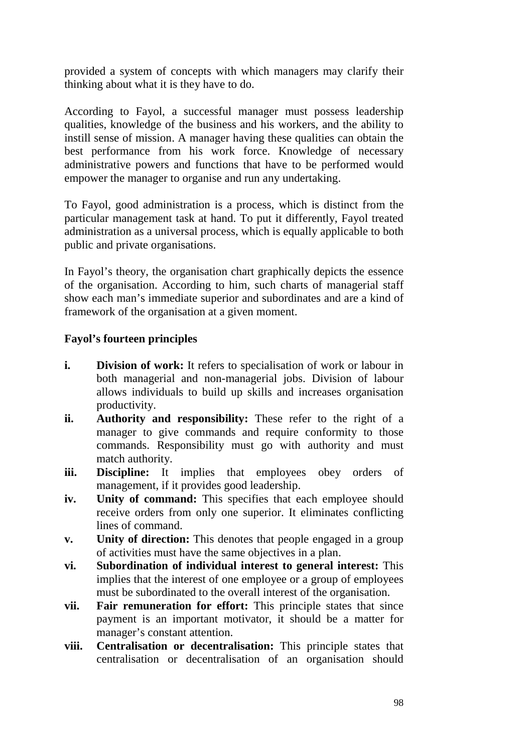provided a system of concepts with which managers may clarify their thinking about what it is they have to do.

According to Fayol, a successful manager must possess leadership qualities, knowledge of the business and his workers, and the ability to instill sense of mission. A manager having these qualities can obtain the best performance from his work force. Knowledge of necessary administrative powers and functions that have to be performed would empower the manager to organise and run any undertaking.

To Fayol, good administration is a process, which is distinct from the particular management task at hand. To put it differently, Fayol treated administration as a universal process, which is equally applicable to both public and private organisations.

In Fayol's theory, the organisation chart graphically depicts the essence of the organisation. According to him, such charts of managerial staff show each man's immediate superior and subordinates and are a kind of framework of the organisation at a given moment.

#### **Fayol's fourteen principles**

- **i.** Division of work: It refers to specialisation of work or labour in both managerial and non-managerial jobs. Division of labour allows individuals to build up skills and increases organisation productivity.
- **ii.** Authority and responsibility: These refer to the right of a manager to give commands and require conformity to those commands. Responsibility must go with authority and must match authority.
- **iii.** Discipline: It implies that employees obey orders of management, if it provides good leadership.
- **iv.** Unity of command: This specifies that each employee should receive orders from only one superior. It eliminates conflicting lines of command.
- **v.** Unity of direction: This denotes that people engaged in a group of activities must have the same objectives in a plan.
- **vi. Subordination of individual interest to general interest:** This implies that the interest of one employee or a group of employees must be subordinated to the overall interest of the organisation.
- **vii. Fair remuneration for effort:** This principle states that since payment is an important motivator, it should be a matter for manager's constant attention.
- **viii. Centralisation or decentralisation:** This principle states that centralisation or decentralisation of an organisation should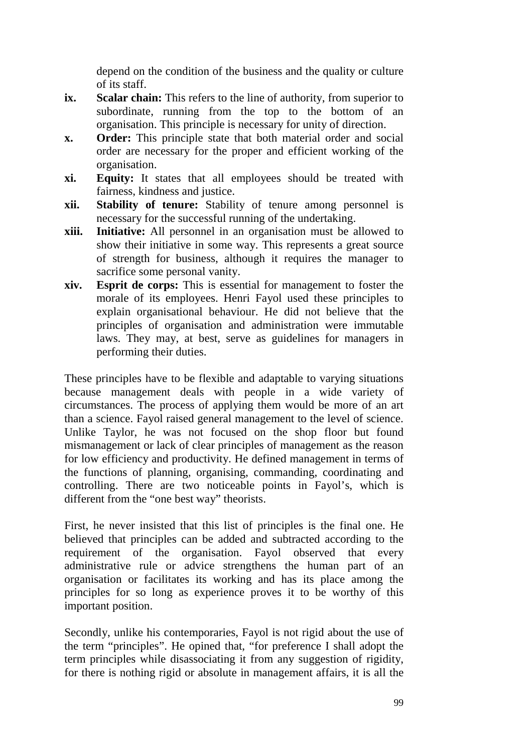depend on the condition of the business and the quality or culture of its staff.

- **ix.** Scalar chain: This refers to the line of authority, from superior to subordinate, running from the top to the bottom of an organisation. This principle is necessary for unity of direction.
- **x. Order:** This principle state that both material order and social order are necessary for the proper and efficient working of the organisation.
- **xi. Equity:** It states that all employees should be treated with fairness, kindness and justice.
- **xii. Stability of tenure:** Stability of tenure among personnel is necessary for the successful running of the undertaking.
- **xiii. Initiative:** All personnel in an organisation must be allowed to show their initiative in some way. This represents a great source of strength for business, although it requires the manager to sacrifice some personal vanity.
- **xiv. Esprit de corps:** This is essential for management to foster the morale of its employees. Henri Fayol used these principles to explain organisational behaviour. He did not believe that the principles of organisation and administration were immutable laws. They may, at best, serve as guidelines for managers in performing their duties.

These principles have to be flexible and adaptable to varying situations because management deals with people in a wide variety of circumstances. The process of applying them would be more of an art than a science. Fayol raised general management to the level of science. Unlike Taylor, he was not focused on the shop floor but found mismanagement or lack of clear principles of management as the reason for low efficiency and productivity. He defined management in terms of the functions of planning, organising, commanding, coordinating and controlling. There are two noticeable points in Fayol's, which is different from the "one best way" theorists.

First, he never insisted that this list of principles is the final one. He believed that principles can be added and subtracted according to the requirement of the organisation. Fayol observed that every administrative rule or advice strengthens the human part of an organisation or facilitates its working and has its place among the principles for so long as experience proves it to be worthy of this important position.

Secondly, unlike his contemporaries, Fayol is not rigid about the use of the term "principles". He opined that, "for preference I shall adopt the term principles while disassociating it from any suggestion of rigidity, for there is nothing rigid or absolute in management affairs, it is all the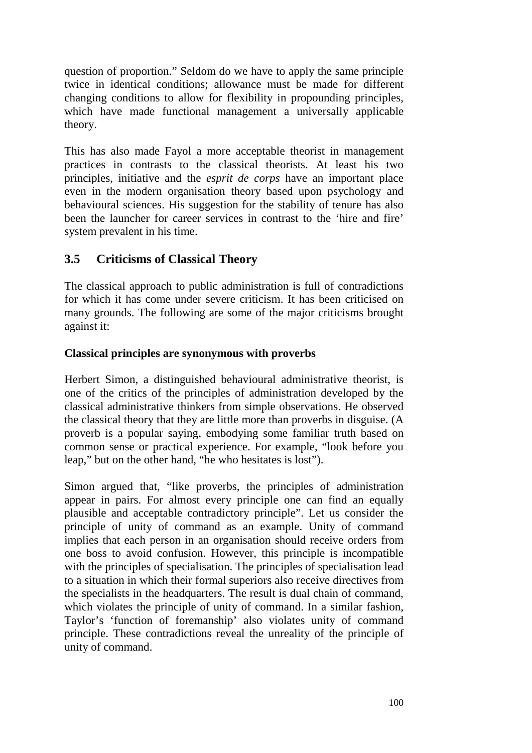question of proportion." Seldom do we have to apply the same principle twice in identical conditions; allowance must be made for different changing conditions to allow for flexibility in propounding principles, which have made functional management a universally applicable theory.

This has also made Fayol a more acceptable theorist in management practices in contrasts to the classical theorists. At least his two principles, initiative and the *esprit de corps* have an important place even in the modern organisation theory based upon psychology and behavioural sciences. His suggestion for the stability of tenure has also been the launcher for career services in contrast to the 'hire and fire' system prevalent in his time.

## **3.5 Criticisms of Classical Theory**

The classical approach to public administration is full of contradictions for which it has come under severe criticism. It has been criticised on many grounds. The following are some of the major criticisms brought against it:

#### **Classical principles are synonymous with proverbs**

Herbert Simon, a distinguished behavioural administrative theorist, is one of the critics of the principles of administration developed by the classical administrative thinkers from simple observations. He observed the classical theory that they are little more than proverbs in disguise. (A proverb is a popular saying, embodying some familiar truth based on common sense or practical experience. For example, "look before you leap," but on the other hand, "he who hesitates is lost").

Simon argued that, "like proverbs, the principles of administration appear in pairs. For almost every principle one can find an equally plausible and acceptable contradictory principle". Let us consider the principle of unity of command as an example. Unity of command implies that each person in an organisation should receive orders from one boss to avoid confusion. However, this principle is incompatible with the principles of specialisation. The principles of specialisation lead to a situation in which their formal superiors also receive directives from the specialists in the headquarters. The result is dual chain of command, which violates the principle of unity of command. In a similar fashion, Taylor's 'function of foremanship' also violates unity of command principle. These contradictions reveal the unreality of the principle of unity of command.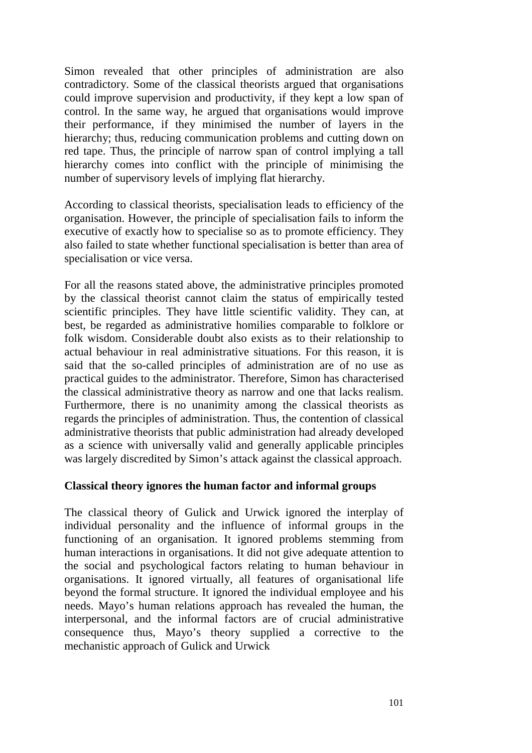Simon revealed that other principles of administration are also contradictory. Some of the classical theorists argued that organisations could improve supervision and productivity, if they kept a low span of control. In the same way, he argued that organisations would improve their performance, if they minimised the number of layers in the hierarchy; thus, reducing communication problems and cutting down on red tape. Thus, the principle of narrow span of control implying a tall hierarchy comes into conflict with the principle of minimising the number of supervisory levels of implying flat hierarchy.

According to classical theorists, specialisation leads to efficiency of the organisation. However, the principle of specialisation fails to inform the executive of exactly how to specialise so as to promote efficiency. They also failed to state whether functional specialisation is better than area of specialisation or vice versa.

For all the reasons stated above, the administrative principles promoted by the classical theorist cannot claim the status of empirically tested scientific principles. They have little scientific validity. They can, at best, be regarded as administrative homilies comparable to folklore or folk wisdom. Considerable doubt also exists as to their relationship to actual behaviour in real administrative situations. For this reason, it is said that the so-called principles of administration are of no use as practical guides to the administrator. Therefore, Simon has characterised the classical administrative theory as narrow and one that lacks realism. Furthermore, there is no unanimity among the classical theorists as regards the principles of administration. Thus, the contention of classical administrative theorists that public administration had already developed as a science with universally valid and generally applicable principles was largely discredited by Simon's attack against the classical approach.

#### **Classical theory ignores the human factor and informal groups**

The classical theory of Gulick and Urwick ignored the interplay of individual personality and the influence of informal groups in the functioning of an organisation. It ignored problems stemming from human interactions in organisations. It did not give adequate attention to the social and psychological factors relating to human behaviour in organisations. It ignored virtually, all features of organisational life beyond the formal structure. It ignored the individual employee and his needs. Mayo's human relations approach has revealed the human, the interpersonal, and the informal factors are of crucial administrative consequence thus, Mayo's theory supplied a corrective to the mechanistic approach of Gulick and Urwick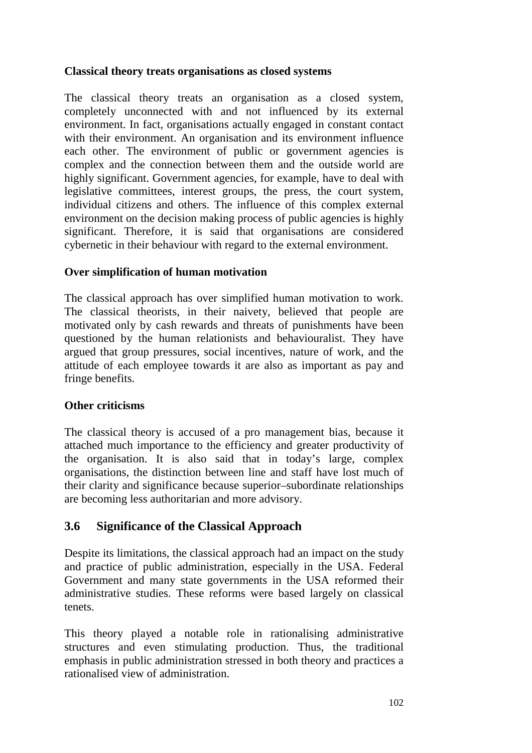#### **Classical theory treats organisations as closed systems**

The classical theory treats an organisation as a closed system, completely unconnected with and not influenced by its external environment. In fact, organisations actually engaged in constant contact with their environment. An organisation and its environment influence each other. The environment of public or government agencies is complex and the connection between them and the outside world are highly significant. Government agencies, for example, have to deal with legislative committees, interest groups, the press, the court system, individual citizens and others. The influence of this complex external environment on the decision making process of public agencies is highly significant. Therefore, it is said that organisations are considered cybernetic in their behaviour with regard to the external environment.

#### **Over simplification of human motivation**

The classical approach has over simplified human motivation to work. The classical theorists, in their naivety, believed that people are motivated only by cash rewards and threats of punishments have been questioned by the human relationists and behaviouralist. They have argued that group pressures, social incentives, nature of work, and the attitude of each employee towards it are also as important as pay and fringe benefits.

#### **Other criticisms**

The classical theory is accused of a pro management bias, because it attached much importance to the efficiency and greater productivity of the organisation. It is also said that in today's large, complex organisations, the distinction between line and staff have lost much of their clarity and significance because superior–subordinate relationships are becoming less authoritarian and more advisory.

## **3.6 Significance of the Classical Approach**

Despite its limitations, the classical approach had an impact on the study and practice of public administration, especially in the USA. Federal Government and many state governments in the USA reformed their administrative studies. These reforms were based largely on classical tenets.

This theory played a notable role in rationalising administrative structures and even stimulating production. Thus, the traditional emphasis in public administration stressed in both theory and practices a rationalised view of administration.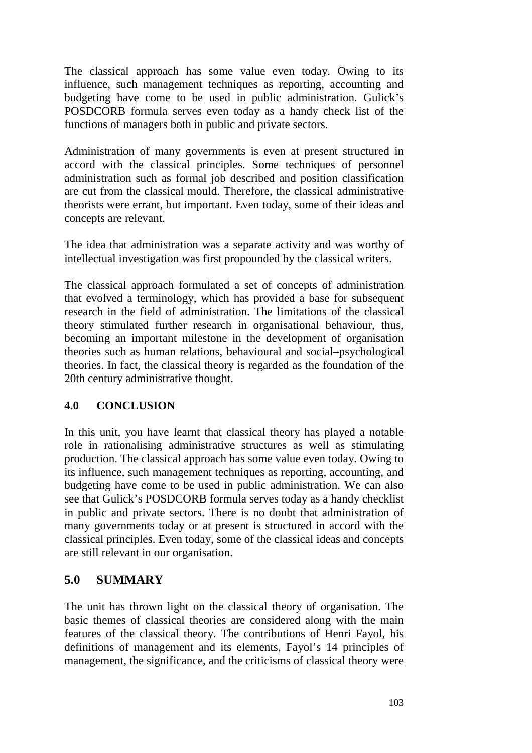The classical approach has some value even today. Owing to its influence, such management techniques as reporting, accounting and budgeting have come to be used in public administration. Gulick's POSDCORB formula serves even today as a handy check list of the functions of managers both in public and private sectors.

Administration of many governments is even at present structured in accord with the classical principles. Some techniques of personnel administration such as formal job described and position classification are cut from the classical mould. Therefore, the classical administrative theorists were errant, but important. Even today, some of their ideas and concepts are relevant.

The idea that administration was a separate activity and was worthy of intellectual investigation was first propounded by the classical writers.

The classical approach formulated a set of concepts of administration that evolved a terminology, which has provided a base for subsequent research in the field of administration. The limitations of the classical theory stimulated further research in organisational behaviour, thus, becoming an important milestone in the development of organisation theories such as human relations, behavioural and social–psychological theories. In fact, the classical theory is regarded as the foundation of the 20th century administrative thought.

#### **4.0 CONCLUSION**

In this unit, you have learnt that classical theory has played a notable role in rationalising administrative structures as well as stimulating production. The classical approach has some value even today. Owing to its influence, such management techniques as reporting, accounting, and budgeting have come to be used in public administration. We can also see that Gulick's POSDCORB formula serves today as a handy checklist in public and private sectors. There is no doubt that administration of many governments today or at present is structured in accord with the classical principles. Even today, some of the classical ideas and concepts are still relevant in our organisation.

## **5.0 SUMMARY**

The unit has thrown light on the classical theory of organisation. The basic themes of classical theories are considered along with the main features of the classical theory. The contributions of Henri Fayol, his definitions of management and its elements, Fayol's 14 principles of management, the significance, and the criticisms of classical theory were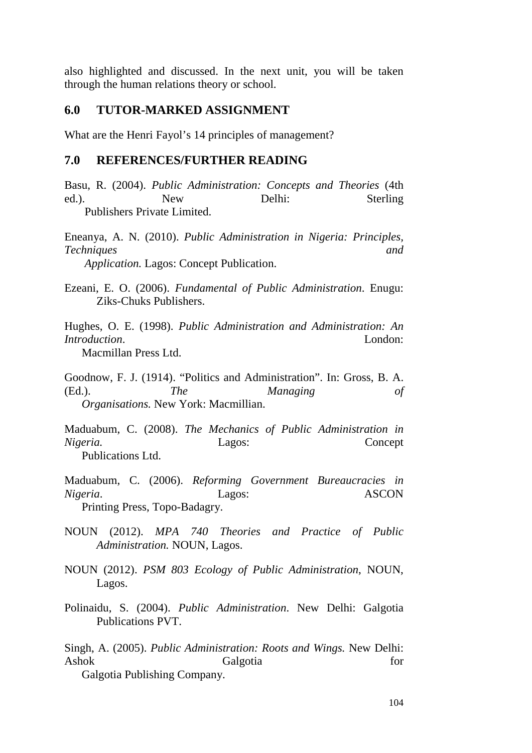also highlighted and discussed. In the next unit, you will be taken through the human relations theory or school.

#### **6.0 TUTOR-MARKED ASSIGNMENT**

What are the Henri Fayol's 14 principles of management?

#### **7.0 REFERENCES/FURTHER READING**

Basu, R. (2004). *Public Administration: Concepts and Theories* (4th ed.). New Delhi: Sterling Publishers Private Limited.

Eneanya, A. N. (2010). *Public Administration in Nigeria: Principles, Techniques and Application.* Lagos: Concept Publication.

Ezeani, E. O. (2006). *Fundamental of Public Administration*. Enugu: Ziks-Chuks Publishers.

Hughes, O. E. (1998). *Public Administration and Administration: An Introduction*. London:

Macmillan Press Ltd.

Goodnow, F. J. (1914). "Politics and Administration". In: Gross, B. A. (Ed.). *The Managing of Organisations.* New York: Macmillian.

Maduabum, C. (2008). *The Mechanics of Public Administration in Nigeria.* Lagos: Concept Publications Ltd.

Maduabum, C. (2006). *Reforming Government Bureaucracies in Nigeria*. Lagos: ASCON Printing Press, Topo-Badagry.

- NOUN (2012). *MPA 740 Theories and Practice of Public Administration.* NOUN, Lagos.
- NOUN (2012). *PSM 803 Ecology of Public Administration*, NOUN, Lagos.
- Polinaidu, S. (2004). *Public Administration*. New Delhi: Galgotia Publications PVT.

Singh, A. (2005). *Public Administration: Roots and Wings.* New Delhi: Ashok Galgotia for Galgotia Publishing Company.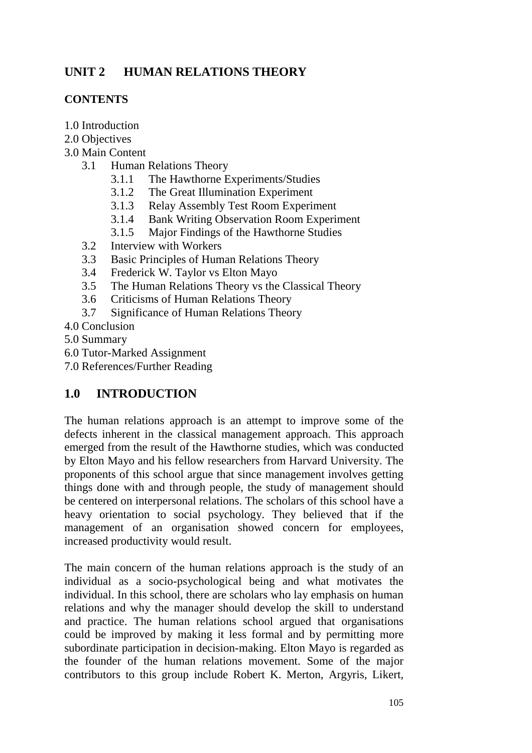# **UNIT 2 HUMAN RELATIONS THEORY**

#### **CONTENTS**

- 1.0 Introduction
- 2.0 Objectives
- 3.0 Main Content
	- 3.1 Human Relations Theory
		- 3.1.1 The Hawthorne Experiments/Studies
		- 3.1.2 The Great Illumination Experiment
		- 3.1.3 Relay Assembly Test Room Experiment
		- 3.1.4 Bank Writing Observation Room Experiment
		- 3.1.5 Major Findings of the Hawthorne Studies
	- 3.2 Interview with Workers
	- 3.3 Basic Principles of Human Relations Theory
	- 3.4 Frederick W. Taylor vs Elton Mayo
	- 3.5 The Human Relations Theory vs the Classical Theory
	- 3.6 Criticisms of Human Relations Theory
	- 3.7 Significance of Human Relations Theory
- 4.0 Conclusion
- 5.0 Summary
- 6.0 Tutor-Marked Assignment
- 7.0 References/Further Reading

## **1.0 INTRODUCTION**

The human relations approach is an attempt to improve some of the defects inherent in the classical management approach. This approach emerged from the result of the Hawthorne studies, which was conducted by Elton Mayo and his fellow researchers from Harvard University. The proponents of this school argue that since management involves getting things done with and through people, the study of management should be centered on interpersonal relations. The scholars of this school have a heavy orientation to social psychology. They believed that if the management of an organisation showed concern for employees, increased productivity would result.

The main concern of the human relations approach is the study of an individual as a socio-psychological being and what motivates the individual. In this school, there are scholars who lay emphasis on human relations and why the manager should develop the skill to understand and practice. The human relations school argued that organisations could be improved by making it less formal and by permitting more subordinate participation in decision-making. Elton Mayo is regarded as the founder of the human relations movement. Some of the major contributors to this group include Robert K. Merton, Argyris, Likert,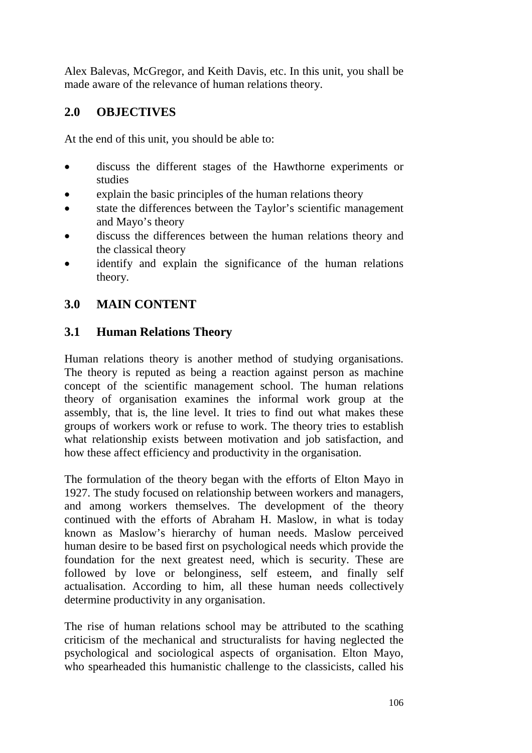Alex Balevas, McGregor, and Keith Davis, etc. In this unit, you shall be made aware of the relevance of human relations theory.

## **2.0 OBJECTIVES**

At the end of this unit, you should be able to:

- discuss the different stages of the Hawthorne experiments or studies
- explain the basic principles of the human relations theory
- state the differences between the Taylor's scientific management and Mayo's theory
- discuss the differences between the human relations theory and the classical theory
- identify and explain the significance of the human relations theory.

# **3.0 MAIN CONTENT**

## **3.1 Human Relations Theory**

Human relations theory is another method of studying organisations. The theory is reputed as being a reaction against person as machine concept of the scientific management school. The human relations theory of organisation examines the informal work group at the assembly, that is, the line level. It tries to find out what makes these groups of workers work or refuse to work. The theory tries to establish what relationship exists between motivation and job satisfaction, and how these affect efficiency and productivity in the organisation.

The formulation of the theory began with the efforts of Elton Mayo in 1927. The study focused on relationship between workers and managers, and among workers themselves. The development of the theory continued with the efforts of Abraham H. Maslow, in what is today known as Maslow's hierarchy of human needs. Maslow perceived human desire to be based first on psychological needs which provide the foundation for the next greatest need, which is security. These are followed by love or belonginess, self esteem, and finally self actualisation. According to him, all these human needs collectively determine productivity in any organisation.

The rise of human relations school may be attributed to the scathing criticism of the mechanical and structuralists for having neglected the psychological and sociological aspects of organisation. Elton Mayo, who spearheaded this humanistic challenge to the classicists, called his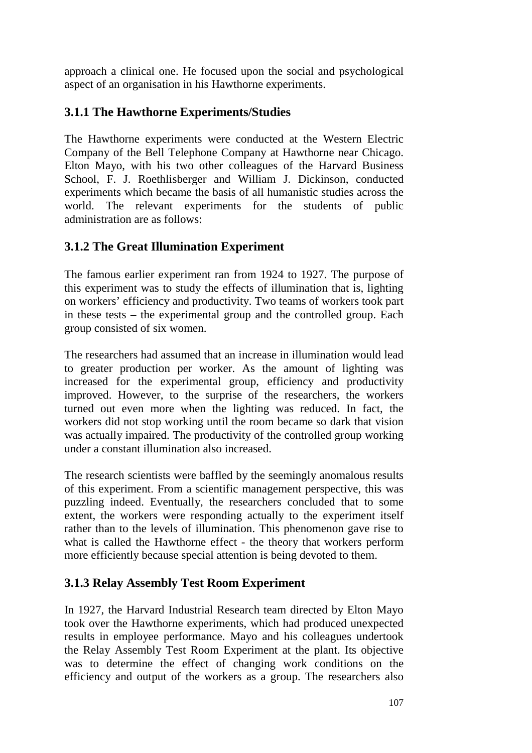approach a clinical one. He focused upon the social and psychological aspect of an organisation in his Hawthorne experiments.

# **3.1.1 The Hawthorne Experiments/Studies**

The Hawthorne experiments were conducted at the Western Electric Company of the Bell Telephone Company at Hawthorne near Chicago. Elton Mayo, with his two other colleagues of the Harvard Business School, F. J. Roethlisberger and William J. Dickinson, conducted experiments which became the basis of all humanistic studies across the world. The relevant experiments for the students of public administration are as follows:

# **3.1.2 The Great Illumination Experiment**

The famous earlier experiment ran from 1924 to 1927. The purpose of this experiment was to study the effects of illumination that is, lighting on workers' efficiency and productivity. Two teams of workers took part in these tests – the experimental group and the controlled group. Each group consisted of six women.

The researchers had assumed that an increase in illumination would lead to greater production per worker. As the amount of lighting was increased for the experimental group, efficiency and productivity improved. However, to the surprise of the researchers, the workers turned out even more when the lighting was reduced. In fact, the workers did not stop working until the room became so dark that vision was actually impaired. The productivity of the controlled group working under a constant illumination also increased.

The research scientists were baffled by the seemingly anomalous results of this experiment. From a scientific management perspective, this was puzzling indeed. Eventually, the researchers concluded that to some extent, the workers were responding actually to the experiment itself rather than to the levels of illumination. This phenomenon gave rise to what is called the Hawthorne effect - the theory that workers perform more efficiently because special attention is being devoted to them.

## **3.1.3 Relay Assembly Test Room Experiment**

In 1927, the Harvard Industrial Research team directed by Elton Mayo took over the Hawthorne experiments, which had produced unexpected results in employee performance. Mayo and his colleagues undertook the Relay Assembly Test Room Experiment at the plant. Its objective was to determine the effect of changing work conditions on the efficiency and output of the workers as a group. The researchers also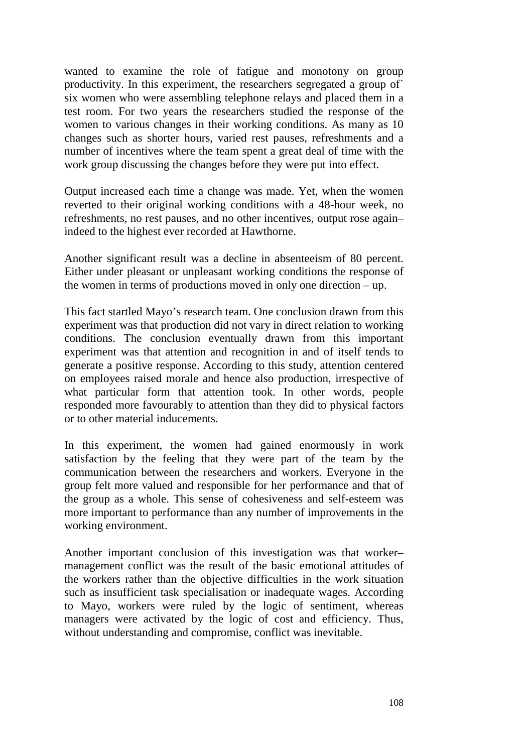wanted to examine the role of fatigue and monotony on group productivity. In this experiment, the researchers segregated a group of` six women who were assembling telephone relays and placed them in a test room. For two years the researchers studied the response of the women to various changes in their working conditions. As many as 10 changes such as shorter hours, varied rest pauses, refreshments and a number of incentives where the team spent a great deal of time with the work group discussing the changes before they were put into effect.

Output increased each time a change was made. Yet, when the women reverted to their original working conditions with a 48-hour week, no refreshments, no rest pauses, and no other incentives, output rose again– indeed to the highest ever recorded at Hawthorne.

Another significant result was a decline in absenteeism of 80 percent. Either under pleasant or unpleasant working conditions the response of the women in terms of productions moved in only one direction – up.

This fact startled Mayo's research team. One conclusion drawn from this experiment was that production did not vary in direct relation to working conditions. The conclusion eventually drawn from this important experiment was that attention and recognition in and of itself tends to generate a positive response. According to this study, attention centered on employees raised morale and hence also production, irrespective of what particular form that attention took. In other words, people responded more favourably to attention than they did to physical factors or to other material inducements.

In this experiment, the women had gained enormously in work satisfaction by the feeling that they were part of the team by the communication between the researchers and workers. Everyone in the group felt more valued and responsible for her performance and that of the group as a whole. This sense of cohesiveness and self-esteem was more important to performance than any number of improvements in the working environment.

Another important conclusion of this investigation was that worker– management conflict was the result of the basic emotional attitudes of the workers rather than the objective difficulties in the work situation such as insufficient task specialisation or inadequate wages. According to Mayo, workers were ruled by the logic of sentiment, whereas managers were activated by the logic of cost and efficiency. Thus, without understanding and compromise, conflict was inevitable.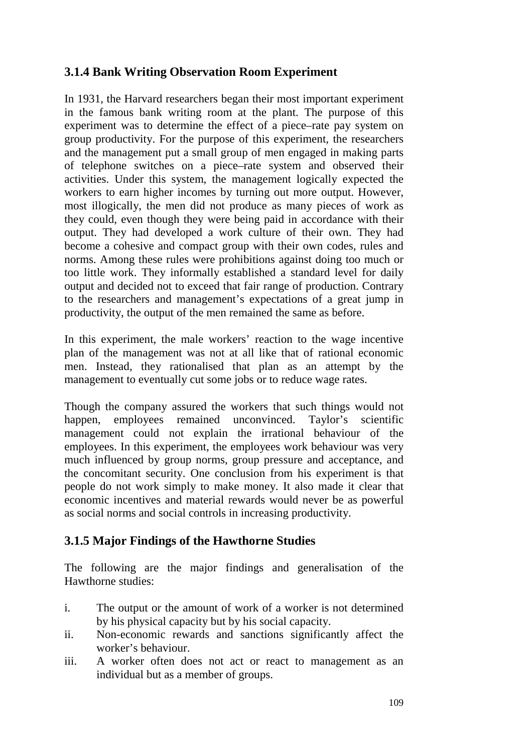## **3.1.4 Bank Writing Observation Room Experiment**

In 1931, the Harvard researchers began their most important experiment in the famous bank writing room at the plant. The purpose of this experiment was to determine the effect of a piece–rate pay system on group productivity. For the purpose of this experiment, the researchers and the management put a small group of men engaged in making parts of telephone switches on a piece–rate system and observed their activities. Under this system, the management logically expected the workers to earn higher incomes by turning out more output. However, most illogically, the men did not produce as many pieces of work as they could, even though they were being paid in accordance with their output. They had developed a work culture of their own. They had become a cohesive and compact group with their own codes, rules and norms. Among these rules were prohibitions against doing too much or too little work. They informally established a standard level for daily output and decided not to exceed that fair range of production. Contrary to the researchers and management's expectations of a great jump in productivity, the output of the men remained the same as before.

In this experiment, the male workers' reaction to the wage incentive plan of the management was not at all like that of rational economic men. Instead, they rationalised that plan as an attempt by the management to eventually cut some jobs or to reduce wage rates.

Though the company assured the workers that such things would not happen, employees remained unconvinced. Taylor's scientific management could not explain the irrational behaviour of the employees. In this experiment, the employees work behaviour was very much influenced by group norms, group pressure and acceptance, and the concomitant security. One conclusion from his experiment is that people do not work simply to make money. It also made it clear that economic incentives and material rewards would never be as powerful as social norms and social controls in increasing productivity.

## **3.1.5 Major Findings of the Hawthorne Studies**

The following are the major findings and generalisation of the Hawthorne studies:

- i. The output or the amount of work of a worker is not determined by his physical capacity but by his social capacity.
- ii. Non-economic rewards and sanctions significantly affect the worker's behaviour.
- iii. A worker often does not act or react to management as an individual but as a member of groups.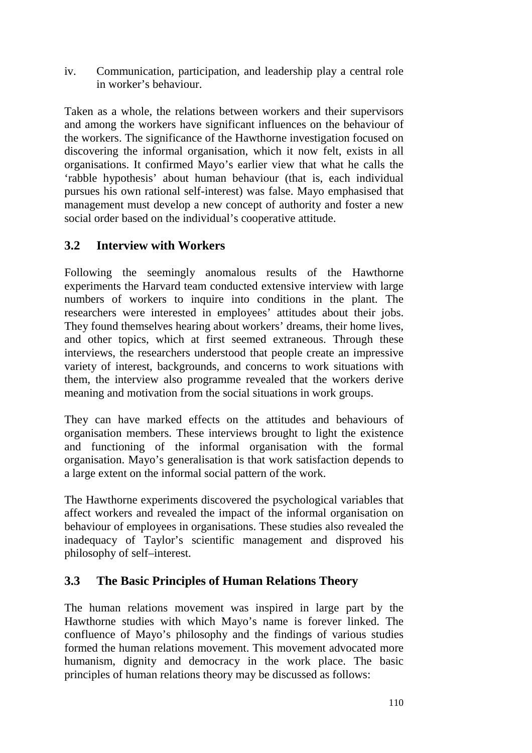iv. Communication, participation, and leadership play a central role in worker's behaviour.

Taken as a whole, the relations between workers and their supervisors and among the workers have significant influences on the behaviour of the workers. The significance of the Hawthorne investigation focused on discovering the informal organisation, which it now felt, exists in all organisations. It confirmed Mayo's earlier view that what he calls the 'rabble hypothesis' about human behaviour (that is, each individual pursues his own rational self-interest) was false. Mayo emphasised that management must develop a new concept of authority and foster a new social order based on the individual's cooperative attitude.

## **3.2 Interview with Workers**

Following the seemingly anomalous results of the Hawthorne experiments the Harvard team conducted extensive interview with large numbers of workers to inquire into conditions in the plant. The researchers were interested in employees' attitudes about their jobs. They found themselves hearing about workers' dreams, their home lives, and other topics, which at first seemed extraneous. Through these interviews, the researchers understood that people create an impressive variety of interest, backgrounds, and concerns to work situations with them, the interview also programme revealed that the workers derive meaning and motivation from the social situations in work groups.

They can have marked effects on the attitudes and behaviours of organisation members. These interviews brought to light the existence and functioning of the informal organisation with the formal organisation. Mayo's generalisation is that work satisfaction depends to a large extent on the informal social pattern of the work.

The Hawthorne experiments discovered the psychological variables that affect workers and revealed the impact of the informal organisation on behaviour of employees in organisations. These studies also revealed the inadequacy of Taylor's scientific management and disproved his philosophy of self–interest.

## **3.3 The Basic Principles of Human Relations Theory**

The human relations movement was inspired in large part by the Hawthorne studies with which Mayo's name is forever linked. The confluence of Mayo's philosophy and the findings of various studies formed the human relations movement. This movement advocated more humanism, dignity and democracy in the work place. The basic principles of human relations theory may be discussed as follows: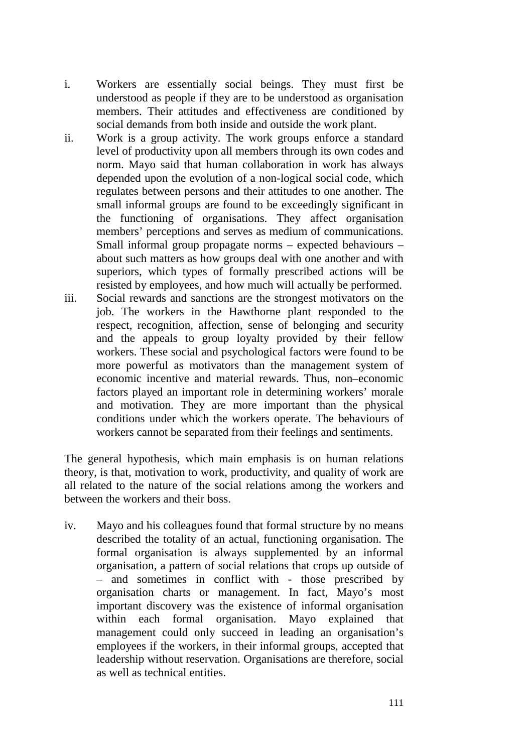- i. Workers are essentially social beings. They must first be understood as people if they are to be understood as organisation members. Their attitudes and effectiveness are conditioned by social demands from both inside and outside the work plant.
- ii. Work is a group activity. The work groups enforce a standard level of productivity upon all members through its own codes and norm. Mayo said that human collaboration in work has always depended upon the evolution of a non-logical social code, which regulates between persons and their attitudes to one another. The small informal groups are found to be exceedingly significant in the functioning of organisations. They affect organisation members' perceptions and serves as medium of communications. Small informal group propagate norms – expected behaviours – about such matters as how groups deal with one another and with superiors, which types of formally prescribed actions will be resisted by employees, and how much will actually be performed.
- iii. Social rewards and sanctions are the strongest motivators on the job. The workers in the Hawthorne plant responded to the respect, recognition, affection, sense of belonging and security and the appeals to group loyalty provided by their fellow workers. These social and psychological factors were found to be more powerful as motivators than the management system of economic incentive and material rewards. Thus, non–economic factors played an important role in determining workers' morale and motivation. They are more important than the physical conditions under which the workers operate. The behaviours of workers cannot be separated from their feelings and sentiments.

The general hypothesis, which main emphasis is on human relations theory, is that, motivation to work, productivity, and quality of work are all related to the nature of the social relations among the workers and between the workers and their boss.

iv. Mayo and his colleagues found that formal structure by no means described the totality of an actual, functioning organisation. The formal organisation is always supplemented by an informal organisation, a pattern of social relations that crops up outside of – and sometimes in conflict with - those prescribed by organisation charts or management. In fact, Mayo's most important discovery was the existence of informal organisation within each formal organisation. Mayo explained that management could only succeed in leading an organisation's employees if the workers, in their informal groups, accepted that leadership without reservation. Organisations are therefore, social as well as technical entities.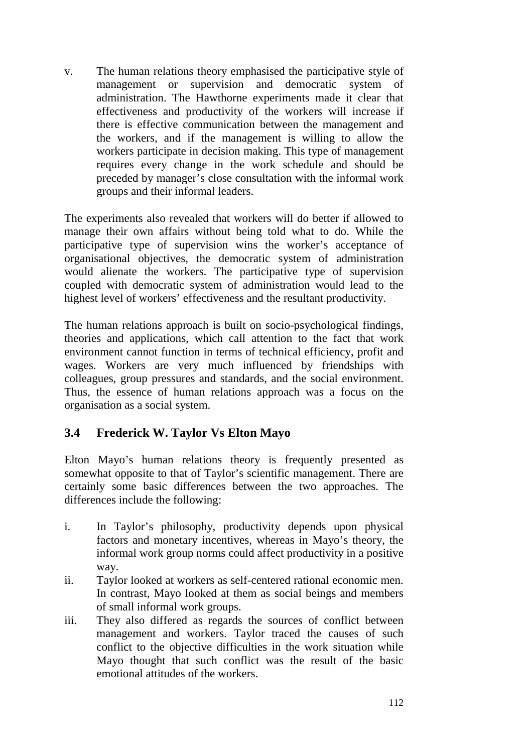v. The human relations theory emphasised the participative style of management or supervision and democratic system of administration. The Hawthorne experiments made it clear that effectiveness and productivity of the workers will increase if there is effective communication between the management and the workers, and if the management is willing to allow the workers participate in decision making. This type of management requires every change in the work schedule and should be preceded by manager's close consultation with the informal work groups and their informal leaders.

The experiments also revealed that workers will do better if allowed to manage their own affairs without being told what to do. While the participative type of supervision wins the worker's acceptance of organisational objectives, the democratic system of administration would alienate the workers. The participative type of supervision coupled with democratic system of administration would lead to the highest level of workers' effectiveness and the resultant productivity.

The human relations approach is built on socio-psychological findings, theories and applications, which call attention to the fact that work environment cannot function in terms of technical efficiency, profit and wages. Workers are very much influenced by friendships with colleagues, group pressures and standards, and the social environment. Thus, the essence of human relations approach was a focus on the organisation as a social system.

## **3.4 Frederick W. Taylor Vs Elton Mayo**

Elton Mayo's human relations theory is frequently presented as somewhat opposite to that of Taylor's scientific management. There are certainly some basic differences between the two approaches. The differences include the following:

- i. In Taylor's philosophy, productivity depends upon physical factors and monetary incentives, whereas in Mayo's theory, the informal work group norms could affect productivity in a positive way.
- ii. Taylor looked at workers as self-centered rational economic men. In contrast, Mayo looked at them as social beings and members of small informal work groups.
- iii. They also differed as regards the sources of conflict between management and workers. Taylor traced the causes of such conflict to the objective difficulties in the work situation while Mayo thought that such conflict was the result of the basic emotional attitudes of the workers.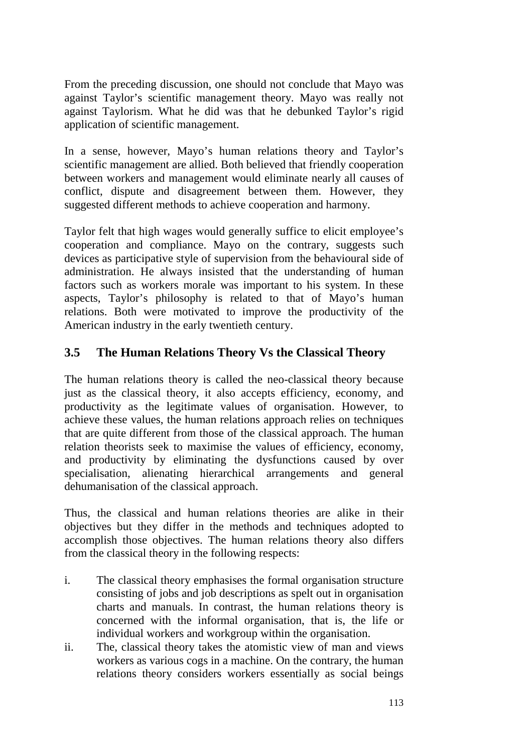From the preceding discussion, one should not conclude that Mayo was against Taylor's scientific management theory. Mayo was really not against Taylorism. What he did was that he debunked Taylor's rigid application of scientific management.

In a sense, however, Mayo's human relations theory and Taylor's scientific management are allied. Both believed that friendly cooperation between workers and management would eliminate nearly all causes of conflict, dispute and disagreement between them. However, they suggested different methods to achieve cooperation and harmony.

Taylor felt that high wages would generally suffice to elicit employee's cooperation and compliance. Mayo on the contrary, suggests such devices as participative style of supervision from the behavioural side of administration. He always insisted that the understanding of human factors such as workers morale was important to his system. In these aspects, Taylor's philosophy is related to that of Mayo's human relations. Both were motivated to improve the productivity of the American industry in the early twentieth century.

## **3.5 The Human Relations Theory Vs the Classical Theory**

The human relations theory is called the neo-classical theory because just as the classical theory, it also accepts efficiency, economy, and productivity as the legitimate values of organisation. However, to achieve these values, the human relations approach relies on techniques that are quite different from those of the classical approach. The human relation theorists seek to maximise the values of efficiency, economy, and productivity by eliminating the dysfunctions caused by over specialisation, alienating hierarchical arrangements and general dehumanisation of the classical approach.

Thus, the classical and human relations theories are alike in their objectives but they differ in the methods and techniques adopted to accomplish those objectives. The human relations theory also differs from the classical theory in the following respects:

- i. The classical theory emphasises the formal organisation structure consisting of jobs and job descriptions as spelt out in organisation charts and manuals. In contrast, the human relations theory is concerned with the informal organisation, that is, the life or individual workers and workgroup within the organisation.
- ii. The, classical theory takes the atomistic view of man and views workers as various cogs in a machine. On the contrary, the human relations theory considers workers essentially as social beings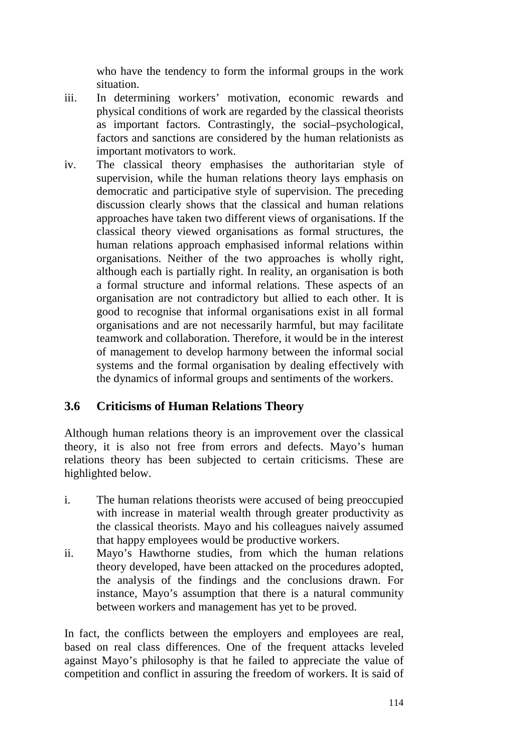who have the tendency to form the informal groups in the work situation.

- iii. In determining workers' motivation, economic rewards and physical conditions of work are regarded by the classical theorists as important factors. Contrastingly, the social–psychological, factors and sanctions are considered by the human relationists as important motivators to work.
- iv. The classical theory emphasises the authoritarian style of supervision, while the human relations theory lays emphasis on democratic and participative style of supervision. The preceding discussion clearly shows that the classical and human relations approaches have taken two different views of organisations. If the classical theory viewed organisations as formal structures, the human relations approach emphasised informal relations within organisations. Neither of the two approaches is wholly right, although each is partially right. In reality, an organisation is both a formal structure and informal relations. These aspects of an organisation are not contradictory but allied to each other. It is good to recognise that informal organisations exist in all formal organisations and are not necessarily harmful, but may facilitate teamwork and collaboration. Therefore, it would be in the interest of management to develop harmony between the informal social systems and the formal organisation by dealing effectively with the dynamics of informal groups and sentiments of the workers.

## **3.6 Criticisms of Human Relations Theory**

Although human relations theory is an improvement over the classical theory, it is also not free from errors and defects. Mayo's human relations theory has been subjected to certain criticisms. These are highlighted below.

- i. The human relations theorists were accused of being preoccupied with increase in material wealth through greater productivity as the classical theorists. Mayo and his colleagues naively assumed that happy employees would be productive workers.
- ii. Mayo's Hawthorne studies, from which the human relations theory developed, have been attacked on the procedures adopted, the analysis of the findings and the conclusions drawn. For instance, Mayo's assumption that there is a natural community between workers and management has yet to be proved.

In fact, the conflicts between the employers and employees are real, based on real class differences. One of the frequent attacks leveled against Mayo's philosophy is that he failed to appreciate the value of competition and conflict in assuring the freedom of workers. It is said of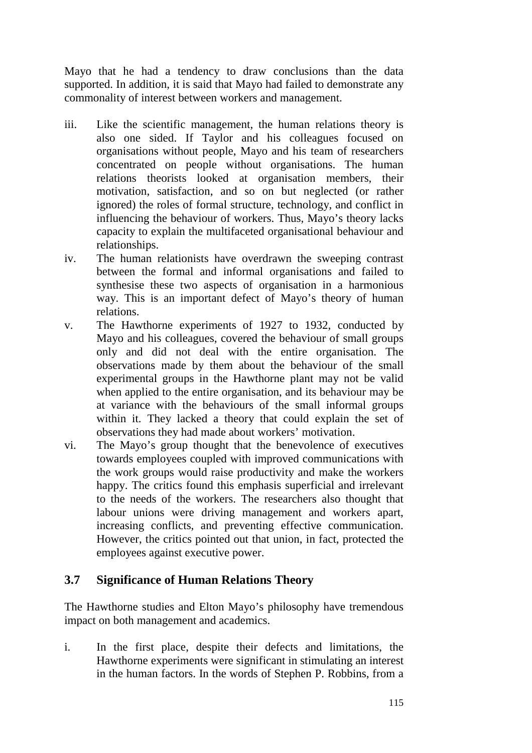Mayo that he had a tendency to draw conclusions than the data supported. In addition, it is said that Mayo had failed to demonstrate any commonality of interest between workers and management.

- iii. Like the scientific management, the human relations theory is also one sided. If Taylor and his colleagues focused on organisations without people, Mayo and his team of researchers concentrated on people without organisations. The human relations theorists looked at organisation members, their motivation, satisfaction, and so on but neglected (or rather ignored) the roles of formal structure, technology, and conflict in influencing the behaviour of workers. Thus, Mayo's theory lacks capacity to explain the multifaceted organisational behaviour and relationships.
- iv. The human relationists have overdrawn the sweeping contrast between the formal and informal organisations and failed to synthesise these two aspects of organisation in a harmonious way. This is an important defect of Mayo's theory of human relations.
- v. The Hawthorne experiments of 1927 to 1932, conducted by Mayo and his colleagues, covered the behaviour of small groups only and did not deal with the entire organisation. The observations made by them about the behaviour of the small experimental groups in the Hawthorne plant may not be valid when applied to the entire organisation, and its behaviour may be at variance with the behaviours of the small informal groups within it. They lacked a theory that could explain the set of observations they had made about workers' motivation.
- vi. The Mayo's group thought that the benevolence of executives towards employees coupled with improved communications with the work groups would raise productivity and make the workers happy. The critics found this emphasis superficial and irrelevant to the needs of the workers. The researchers also thought that labour unions were driving management and workers apart, increasing conflicts, and preventing effective communication. However, the critics pointed out that union, in fact, protected the employees against executive power.

## **3.7 Significance of Human Relations Theory**

The Hawthorne studies and Elton Mayo's philosophy have tremendous impact on both management and academics.

i. In the first place, despite their defects and limitations, the Hawthorne experiments were significant in stimulating an interest in the human factors. In the words of Stephen P. Robbins, from a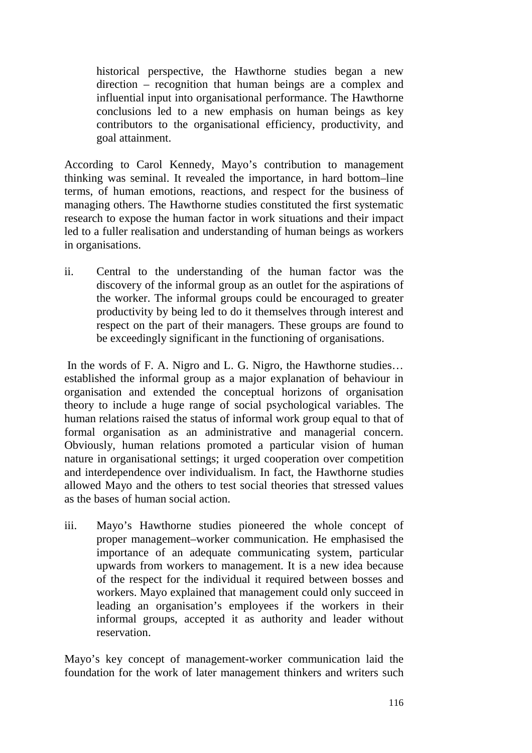historical perspective, the Hawthorne studies began a new direction – recognition that human beings are a complex and influential input into organisational performance. The Hawthorne conclusions led to a new emphasis on human beings as key contributors to the organisational efficiency, productivity, and goal attainment.

According to Carol Kennedy, Mayo's contribution to management thinking was seminal. It revealed the importance, in hard bottom–line terms, of human emotions, reactions, and respect for the business of managing others. The Hawthorne studies constituted the first systematic research to expose the human factor in work situations and their impact led to a fuller realisation and understanding of human beings as workers in organisations.

ii. Central to the understanding of the human factor was the discovery of the informal group as an outlet for the aspirations of the worker. The informal groups could be encouraged to greater productivity by being led to do it themselves through interest and respect on the part of their managers. These groups are found to be exceedingly significant in the functioning of organisations.

In the words of F. A. Nigro and L. G. Nigro, the Hawthorne studies... established the informal group as a major explanation of behaviour in organisation and extended the conceptual horizons of organisation theory to include a huge range of social psychological variables. The human relations raised the status of informal work group equal to that of formal organisation as an administrative and managerial concern. Obviously, human relations promoted a particular vision of human nature in organisational settings; it urged cooperation over competition and interdependence over individualism. In fact, the Hawthorne studies allowed Mayo and the others to test social theories that stressed values as the bases of human social action.

iii. Mayo's Hawthorne studies pioneered the whole concept of proper management–worker communication. He emphasised the importance of an adequate communicating system, particular upwards from workers to management. It is a new idea because of the respect for the individual it required between bosses and workers. Mayo explained that management could only succeed in leading an organisation's employees if the workers in their informal groups, accepted it as authority and leader without reservation.

Mayo's key concept of management-worker communication laid the foundation for the work of later management thinkers and writers such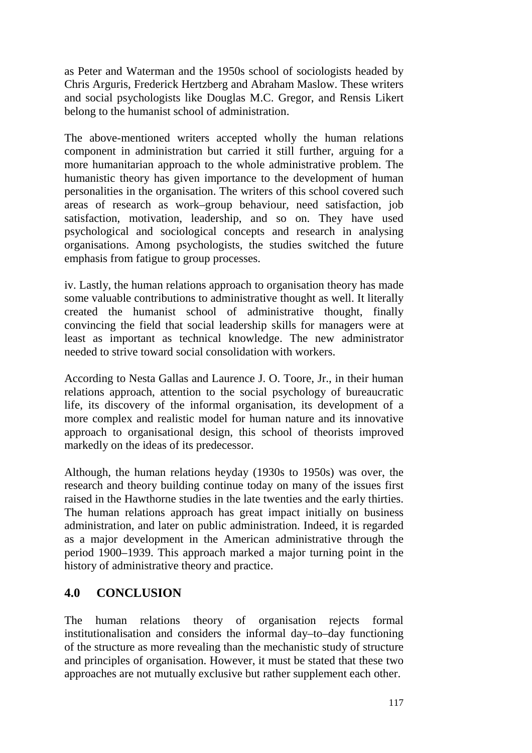as Peter and Waterman and the 1950s school of sociologists headed by Chris Arguris, Frederick Hertzberg and Abraham Maslow. These writers and social psychologists like Douglas M.C. Gregor, and Rensis Likert belong to the humanist school of administration.

The above-mentioned writers accepted wholly the human relations component in administration but carried it still further, arguing for a more humanitarian approach to the whole administrative problem. The humanistic theory has given importance to the development of human personalities in the organisation. The writers of this school covered such areas of research as work–group behaviour, need satisfaction, job satisfaction, motivation, leadership, and so on. They have used psychological and sociological concepts and research in analysing organisations. Among psychologists, the studies switched the future emphasis from fatigue to group processes.

iv. Lastly, the human relations approach to organisation theory has made some valuable contributions to administrative thought as well. It literally created the humanist school of administrative thought, finally convincing the field that social leadership skills for managers were at least as important as technical knowledge. The new administrator needed to strive toward social consolidation with workers.

According to Nesta Gallas and Laurence J. O. Toore, Jr., in their human relations approach, attention to the social psychology of bureaucratic life, its discovery of the informal organisation, its development of a more complex and realistic model for human nature and its innovative approach to organisational design, this school of theorists improved markedly on the ideas of its predecessor.

Although, the human relations heyday (1930s to 1950s) was over, the research and theory building continue today on many of the issues first raised in the Hawthorne studies in the late twenties and the early thirties. The human relations approach has great impact initially on business administration, and later on public administration. Indeed, it is regarded as a major development in the American administrative through the period 1900–1939. This approach marked a major turning point in the history of administrative theory and practice.

## **4.0 CONCLUSION**

The human relations theory of organisation rejects formal institutionalisation and considers the informal day–to–day functioning of the structure as more revealing than the mechanistic study of structure and principles of organisation. However, it must be stated that these two approaches are not mutually exclusive but rather supplement each other.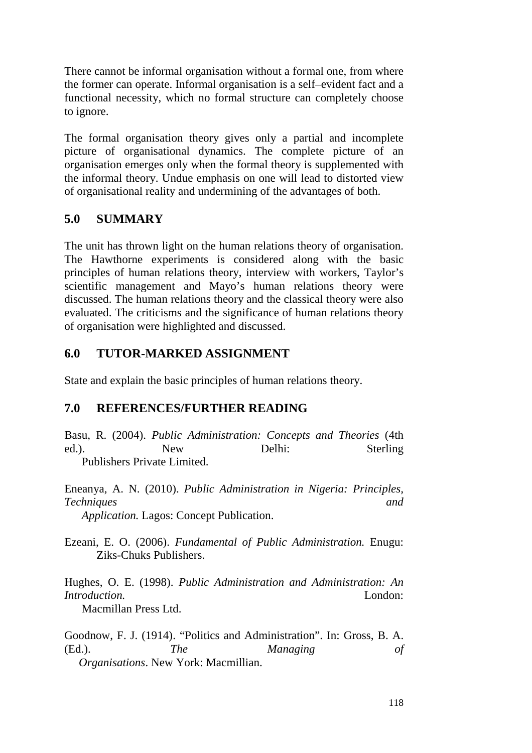There cannot be informal organisation without a formal one, from where the former can operate. Informal organisation is a self–evident fact and a functional necessity, which no formal structure can completely choose to ignore.

The formal organisation theory gives only a partial and incomplete picture of organisational dynamics. The complete picture of an organisation emerges only when the formal theory is supplemented with the informal theory. Undue emphasis on one will lead to distorted view of organisational reality and undermining of the advantages of both.

## **5.0 SUMMARY**

The unit has thrown light on the human relations theory of organisation. The Hawthorne experiments is considered along with the basic principles of human relations theory, interview with workers, Taylor's scientific management and Mayo's human relations theory were discussed. The human relations theory and the classical theory were also evaluated. The criticisms and the significance of human relations theory of organisation were highlighted and discussed.

#### **6.0 TUTOR-MARKED ASSIGNMENT**

State and explain the basic principles of human relations theory.

#### **7.0 REFERENCES/FURTHER READING**

Basu, R. (2004). *Public Administration: Concepts and Theories* (4th ed.). New Delhi: Sterling Publishers Private Limited.

Eneanya, A. N. (2010). *Public Administration in Nigeria: Principles, Techniques and* 

 *Application.* Lagos: Concept Publication.

Ezeani, E. O. (2006). *Fundamental of Public Administration.* Enugu: Ziks-Chuks Publishers.

Hughes, O. E. (1998). *Public Administration and Administration: An Introduction.* London:

Macmillan Press Ltd.

Goodnow, F. J. (1914). "Politics and Administration". In: Gross, B. A. (Ed.). *The Managing of Organisations*. New York: Macmillian.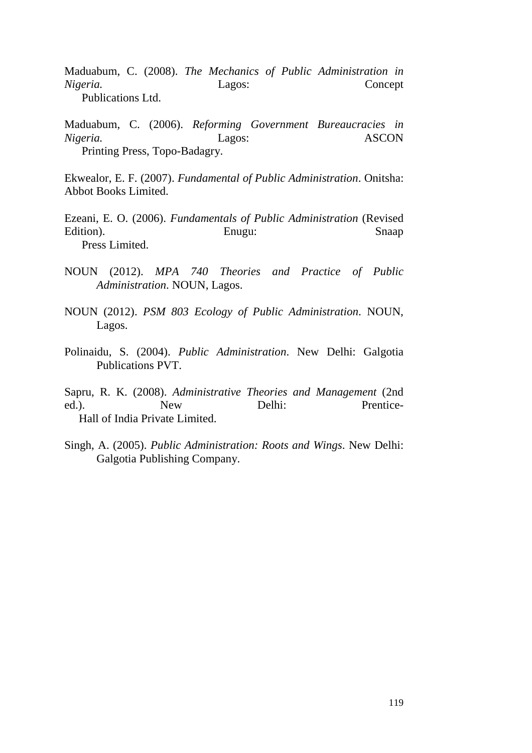Maduabum, C. (2008). *The Mechanics of Public Administration in Nigeria.* Lagos: Concept Publications Ltd.

Maduabum, C. (2006). *Reforming Government Bureaucracies in Nigeria.* Lagos: ASCON Printing Press, Topo-Badagry.

Ekwealor, E. F. (2007). *Fundamental of Public Administration*. Onitsha: Abbot Books Limited.

Ezeani, E. O. (2006). *Fundamentals of Public Administration* (Revised Edition). Enugu: Snaap Press Limited.

- NOUN (2012). *MPA 740 Theories and Practice of Public Administration*. NOUN, Lagos.
- NOUN (2012). *PSM 803 Ecology of Public Administration*. NOUN, Lagos.
- Polinaidu, S. (2004). *Public Administration*. New Delhi: Galgotia Publications PVT.

Sapru, R. K. (2008). *Administrative Theories and Management* (2nd ed.). New Delhi: Prentice-Hall of India Private Limited.

Singh, A. (2005). *Public Administration: Roots and Wings*. New Delhi: Galgotia Publishing Company.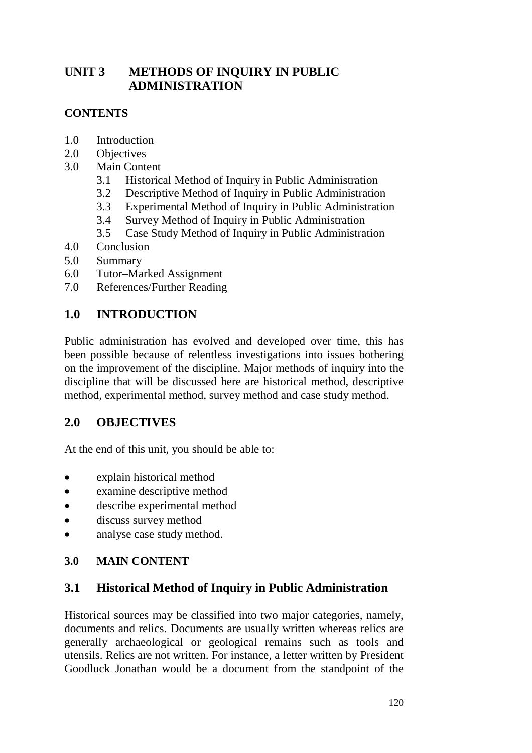# **UNIT 3 METHODS OF INQUIRY IN PUBLIC ADMINISTRATION**

## **CONTENTS**

- 1.0 Introduction
- 2.0 Objectives
- 3.0 Main Content
	- 3.1 Historical Method of Inquiry in Public Administration
	- 3.2 Descriptive Method of Inquiry in Public Administration
	- 3.3 Experimental Method of Inquiry in Public Administration
	- 3.4 Survey Method of Inquiry in Public Administration
	- 3.5 Case Study Method of Inquiry in Public Administration
- 4.0 Conclusion
- 5.0 Summary
- 6.0 Tutor–Marked Assignment
- 7.0 References/Further Reading

## **1.0 INTRODUCTION**

Public administration has evolved and developed over time, this has been possible because of relentless investigations into issues bothering on the improvement of the discipline. Major methods of inquiry into the discipline that will be discussed here are historical method, descriptive method, experimental method, survey method and case study method.

## **2.0 OBJECTIVES**

At the end of this unit, you should be able to:

- explain historical method
- examine descriptive method
- describe experimental method
- discuss survey method
- analyse case study method.

## **3.0 MAIN CONTENT**

## **3.1 Historical Method of Inquiry in Public Administration**

Historical sources may be classified into two major categories, namely, documents and relics. Documents are usually written whereas relics are generally archaeological or geological remains such as tools and utensils. Relics are not written. For instance, a letter written by President Goodluck Jonathan would be a document from the standpoint of the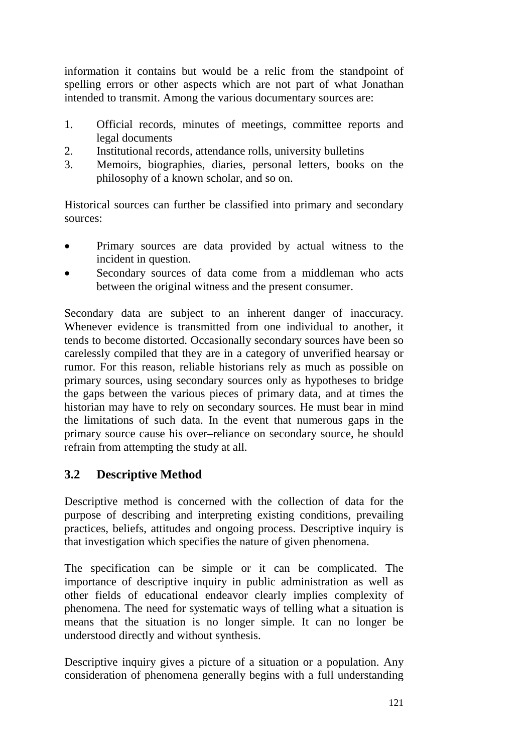information it contains but would be a relic from the standpoint of spelling errors or other aspects which are not part of what Jonathan intended to transmit. Among the various documentary sources are:

- 1. Official records, minutes of meetings, committee reports and legal documents
- 2. Institutional records, attendance rolls, university bulletins
- 3. Memoirs, biographies, diaries, personal letters, books on the philosophy of a known scholar, and so on.

Historical sources can further be classified into primary and secondary sources:

- Primary sources are data provided by actual witness to the incident in question.
- Secondary sources of data come from a middleman who acts between the original witness and the present consumer.

Secondary data are subject to an inherent danger of inaccuracy. Whenever evidence is transmitted from one individual to another, it tends to become distorted. Occasionally secondary sources have been so carelessly compiled that they are in a category of unverified hearsay or rumor. For this reason, reliable historians rely as much as possible on primary sources, using secondary sources only as hypotheses to bridge the gaps between the various pieces of primary data, and at times the historian may have to rely on secondary sources. He must bear in mind the limitations of such data. In the event that numerous gaps in the primary source cause his over–reliance on secondary source, he should refrain from attempting the study at all.

## **3.2 Descriptive Method**

Descriptive method is concerned with the collection of data for the purpose of describing and interpreting existing conditions, prevailing practices, beliefs, attitudes and ongoing process. Descriptive inquiry is that investigation which specifies the nature of given phenomena.

The specification can be simple or it can be complicated. The importance of descriptive inquiry in public administration as well as other fields of educational endeavor clearly implies complexity of phenomena. The need for systematic ways of telling what a situation is means that the situation is no longer simple. It can no longer be understood directly and without synthesis.

Descriptive inquiry gives a picture of a situation or a population. Any consideration of phenomena generally begins with a full understanding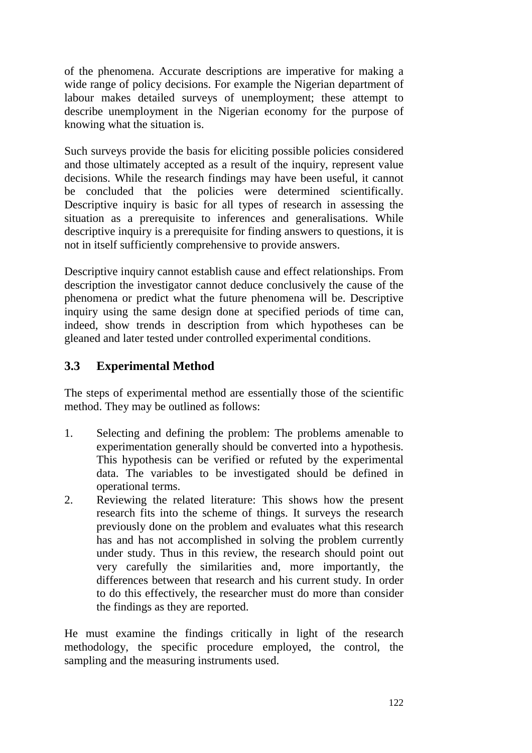of the phenomena. Accurate descriptions are imperative for making a wide range of policy decisions. For example the Nigerian department of labour makes detailed surveys of unemployment; these attempt to describe unemployment in the Nigerian economy for the purpose of knowing what the situation is.

Such surveys provide the basis for eliciting possible policies considered and those ultimately accepted as a result of the inquiry, represent value decisions. While the research findings may have been useful, it cannot be concluded that the policies were determined scientifically. Descriptive inquiry is basic for all types of research in assessing the situation as a prerequisite to inferences and generalisations. While descriptive inquiry is a prerequisite for finding answers to questions, it is not in itself sufficiently comprehensive to provide answers.

Descriptive inquiry cannot establish cause and effect relationships. From description the investigator cannot deduce conclusively the cause of the phenomena or predict what the future phenomena will be. Descriptive inquiry using the same design done at specified periods of time can, indeed, show trends in description from which hypotheses can be gleaned and later tested under controlled experimental conditions.

## **3.3 Experimental Method**

The steps of experimental method are essentially those of the scientific method. They may be outlined as follows:

- 1. Selecting and defining the problem: The problems amenable to experimentation generally should be converted into a hypothesis. This hypothesis can be verified or refuted by the experimental data. The variables to be investigated should be defined in operational terms.
- 2. Reviewing the related literature: This shows how the present research fits into the scheme of things. It surveys the research previously done on the problem and evaluates what this research has and has not accomplished in solving the problem currently under study. Thus in this review, the research should point out very carefully the similarities and, more importantly, the differences between that research and his current study. In order to do this effectively, the researcher must do more than consider the findings as they are reported.

He must examine the findings critically in light of the research methodology, the specific procedure employed, the control, the sampling and the measuring instruments used.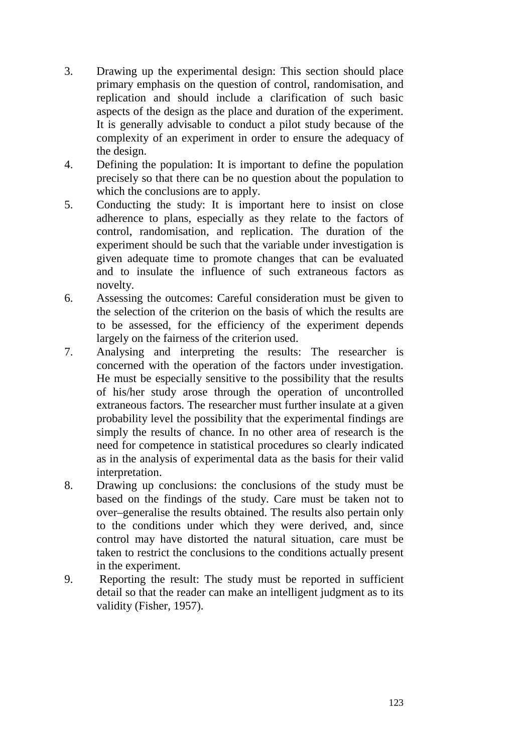- 3. Drawing up the experimental design: This section should place primary emphasis on the question of control, randomisation, and replication and should include a clarification of such basic aspects of the design as the place and duration of the experiment. It is generally advisable to conduct a pilot study because of the complexity of an experiment in order to ensure the adequacy of the design.
- 4. Defining the population: It is important to define the population precisely so that there can be no question about the population to which the conclusions are to apply.
- 5. Conducting the study: It is important here to insist on close adherence to plans, especially as they relate to the factors of control, randomisation, and replication. The duration of the experiment should be such that the variable under investigation is given adequate time to promote changes that can be evaluated and to insulate the influence of such extraneous factors as novelty.
- 6. Assessing the outcomes: Careful consideration must be given to the selection of the criterion on the basis of which the results are to be assessed, for the efficiency of the experiment depends largely on the fairness of the criterion used.
- 7. Analysing and interpreting the results: The researcher is concerned with the operation of the factors under investigation. He must be especially sensitive to the possibility that the results of his/her study arose through the operation of uncontrolled extraneous factors. The researcher must further insulate at a given probability level the possibility that the experimental findings are simply the results of chance. In no other area of research is the need for competence in statistical procedures so clearly indicated as in the analysis of experimental data as the basis for their valid interpretation.
- 8. Drawing up conclusions: the conclusions of the study must be based on the findings of the study. Care must be taken not to over–generalise the results obtained. The results also pertain only to the conditions under which they were derived, and, since control may have distorted the natural situation, care must be taken to restrict the conclusions to the conditions actually present in the experiment.
- 9. Reporting the result: The study must be reported in sufficient detail so that the reader can make an intelligent judgment as to its validity (Fisher, 1957).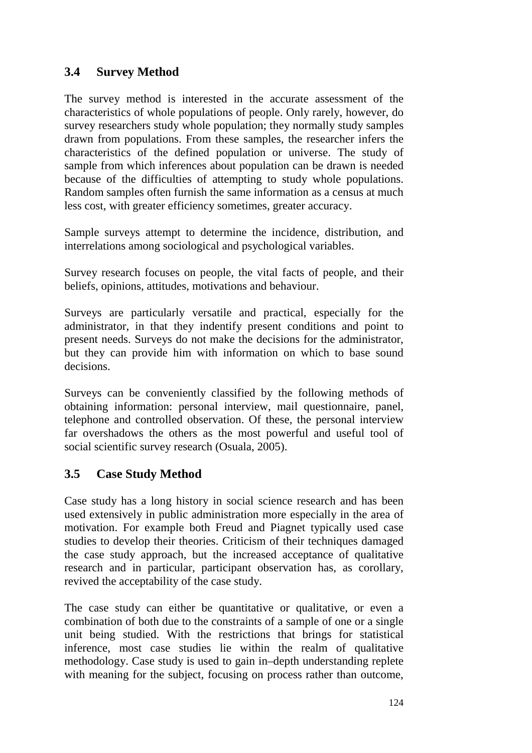## **3.4 Survey Method**

The survey method is interested in the accurate assessment of the characteristics of whole populations of people. Only rarely, however, do survey researchers study whole population; they normally study samples drawn from populations. From these samples, the researcher infers the characteristics of the defined population or universe. The study of sample from which inferences about population can be drawn is needed because of the difficulties of attempting to study whole populations. Random samples often furnish the same information as a census at much less cost, with greater efficiency sometimes, greater accuracy.

Sample surveys attempt to determine the incidence, distribution, and interrelations among sociological and psychological variables.

Survey research focuses on people, the vital facts of people, and their beliefs, opinions, attitudes, motivations and behaviour.

Surveys are particularly versatile and practical, especially for the administrator, in that they indentify present conditions and point to present needs. Surveys do not make the decisions for the administrator, but they can provide him with information on which to base sound decisions.

Surveys can be conveniently classified by the following methods of obtaining information: personal interview, mail questionnaire, panel, telephone and controlled observation. Of these, the personal interview far overshadows the others as the most powerful and useful tool of social scientific survey research (Osuala, 2005).

## **3.5 Case Study Method**

Case study has a long history in social science research and has been used extensively in public administration more especially in the area of motivation. For example both Freud and Piagnet typically used case studies to develop their theories. Criticism of their techniques damaged the case study approach, but the increased acceptance of qualitative research and in particular, participant observation has, as corollary, revived the acceptability of the case study.

The case study can either be quantitative or qualitative, or even a combination of both due to the constraints of a sample of one or a single unit being studied. With the restrictions that brings for statistical inference, most case studies lie within the realm of qualitative methodology. Case study is used to gain in–depth understanding replete with meaning for the subject, focusing on process rather than outcome,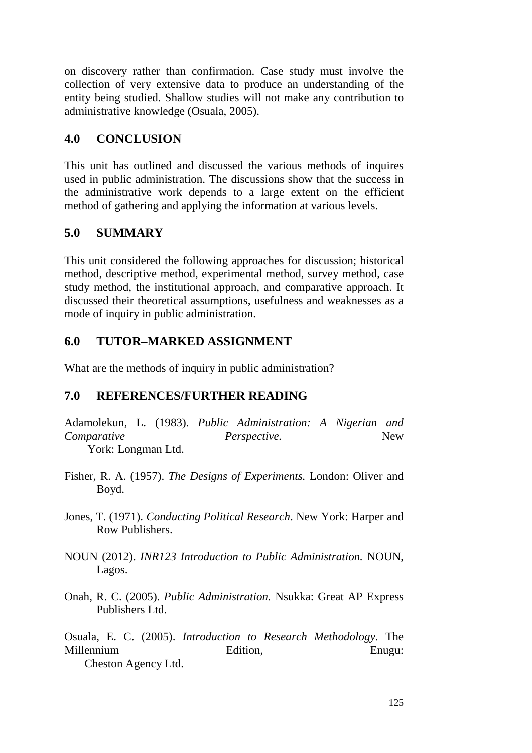on discovery rather than confirmation. Case study must involve the collection of very extensive data to produce an understanding of the entity being studied. Shallow studies will not make any contribution to administrative knowledge (Osuala, 2005).

## **4.0 CONCLUSION**

This unit has outlined and discussed the various methods of inquires used in public administration. The discussions show that the success in the administrative work depends to a large extent on the efficient method of gathering and applying the information at various levels.

## **5.0 SUMMARY**

This unit considered the following approaches for discussion; historical method, descriptive method, experimental method, survey method, case study method, the institutional approach, and comparative approach. It discussed their theoretical assumptions, usefulness and weaknesses as a mode of inquiry in public administration.

# **6.0 TUTOR–MARKED ASSIGNMENT**

What are the methods of inquiry in public administration?

# **7.0 REFERENCES/FURTHER READING**

Adamolekun, L. (1983). *Public Administration: A Nigerian and Comparative Perspective.* New York: Longman Ltd.

- Fisher, R. A. (1957). *The Designs of Experiments.* London: Oliver and Boyd.
- Jones, T. (1971). *Conducting Political Research*. New York: Harper and Row Publishers.
- NOUN (2012). *INR123 Introduction to Public Administration.* NOUN, Lagos.
- Onah, R. C. (2005). *Public Administration.* Nsukka: Great AP Express Publishers Ltd.

Osuala, E. C. (2005). *Introduction to Research Methodology.* The Millennium Edition, Enugu: Cheston Agency Ltd.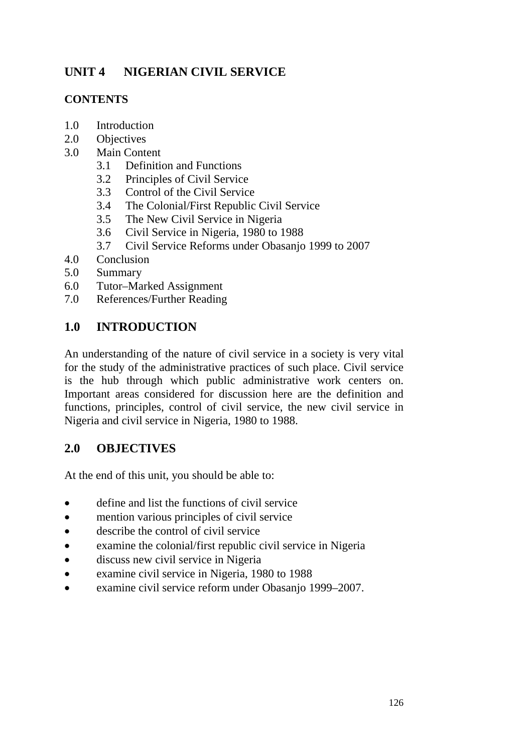# **UNIT 4 NIGERIAN CIVIL SERVICE**

## **CONTENTS**

- 1.0 Introduction
- 2.0 Objectives
- 3.0 Main Content
	- 3.1 Definition and Functions
	- 3.2 Principles of Civil Service
	- 3.3 Control of the Civil Service
	- 3.4 The Colonial/First Republic Civil Service
	- 3.5 The New Civil Service in Nigeria
	- 3.6 Civil Service in Nigeria, 1980 to 1988
	- 3.7 Civil Service Reforms under Obasanjo 1999 to 2007
- 4.0 Conclusion
- 5.0 Summary
- 6.0 Tutor–Marked Assignment
- 7.0 References/Further Reading

## **1.0 INTRODUCTION**

An understanding of the nature of civil service in a society is very vital for the study of the administrative practices of such place. Civil service is the hub through which public administrative work centers on. Important areas considered for discussion here are the definition and functions, principles, control of civil service, the new civil service in Nigeria and civil service in Nigeria, 1980 to 1988.

## **2.0 OBJECTIVES**

At the end of this unit, you should be able to:

- define and list the functions of civil service
- mention various principles of civil service
- describe the control of civil service
- examine the colonial/first republic civil service in Nigeria
- discuss new civil service in Nigeria
- examine civil service in Nigeria, 1980 to 1988
- examine civil service reform under Obasanjo 1999–2007.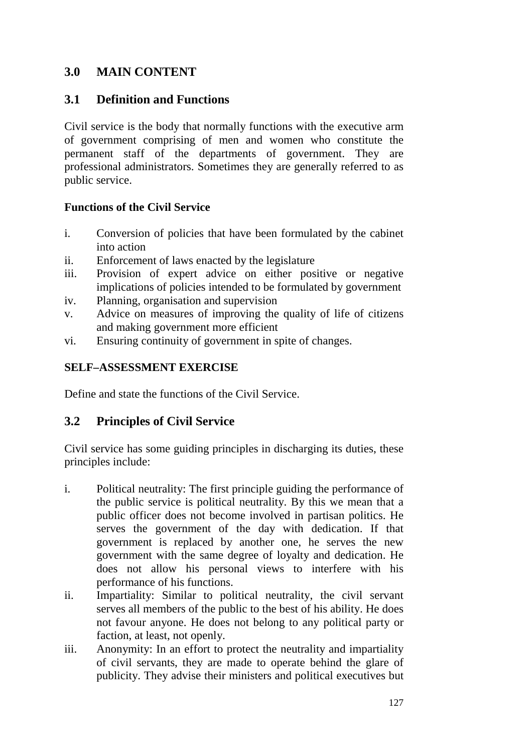## **3.0 MAIN CONTENT**

## **3.1 Definition and Functions**

Civil service is the body that normally functions with the executive arm of government comprising of men and women who constitute the permanent staff of the departments of government. They are professional administrators. Sometimes they are generally referred to as public service.

## **Functions of the Civil Service**

- i. Conversion of policies that have been formulated by the cabinet into action
- ii. Enforcement of laws enacted by the legislature
- iii. Provision of expert advice on either positive or negative implications of policies intended to be formulated by government
- iv. Planning, organisation and supervision
- v. Advice on measures of improving the quality of life of citizens and making government more efficient
- vi. Ensuring continuity of government in spite of changes.

## **SELF–ASSESSMENT EXERCISE**

Define and state the functions of the Civil Service.

## **3.2 Principles of Civil Service**

Civil service has some guiding principles in discharging its duties, these principles include:

- i. Political neutrality: The first principle guiding the performance of the public service is political neutrality. By this we mean that a public officer does not become involved in partisan politics. He serves the government of the day with dedication. If that government is replaced by another one, he serves the new government with the same degree of loyalty and dedication. He does not allow his personal views to interfere with his performance of his functions.
- ii. Impartiality: Similar to political neutrality, the civil servant serves all members of the public to the best of his ability. He does not favour anyone. He does not belong to any political party or faction, at least, not openly.
- iii. Anonymity: In an effort to protect the neutrality and impartiality of civil servants, they are made to operate behind the glare of publicity. They advise their ministers and political executives but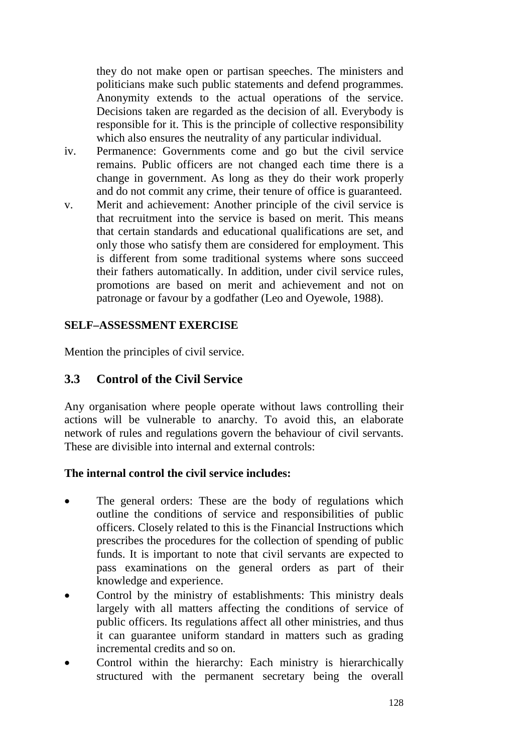they do not make open or partisan speeches. The ministers and politicians make such public statements and defend programmes. Anonymity extends to the actual operations of the service. Decisions taken are regarded as the decision of all. Everybody is responsible for it. This is the principle of collective responsibility which also ensures the neutrality of any particular individual.

- iv. Permanence: Governments come and go but the civil service remains. Public officers are not changed each time there is a change in government. As long as they do their work properly and do not commit any crime, their tenure of office is guaranteed.
- v. Merit and achievement: Another principle of the civil service is that recruitment into the service is based on merit. This means that certain standards and educational qualifications are set, and only those who satisfy them are considered for employment. This is different from some traditional systems where sons succeed their fathers automatically. In addition, under civil service rules, promotions are based on merit and achievement and not on patronage or favour by a godfather (Leo and Oyewole, 1988).

#### **SELF–ASSESSMENT EXERCISE**

Mention the principles of civil service.

## **3.3 Control of the Civil Service**

Any organisation where people operate without laws controlling their actions will be vulnerable to anarchy. To avoid this, an elaborate network of rules and regulations govern the behaviour of civil servants. These are divisible into internal and external controls:

#### **The internal control the civil service includes:**

- The general orders: These are the body of regulations which outline the conditions of service and responsibilities of public officers. Closely related to this is the Financial Instructions which prescribes the procedures for the collection of spending of public funds. It is important to note that civil servants are expected to pass examinations on the general orders as part of their knowledge and experience.
- Control by the ministry of establishments: This ministry deals largely with all matters affecting the conditions of service of public officers. Its regulations affect all other ministries, and thus it can guarantee uniform standard in matters such as grading incremental credits and so on.
- Control within the hierarchy: Each ministry is hierarchically structured with the permanent secretary being the overall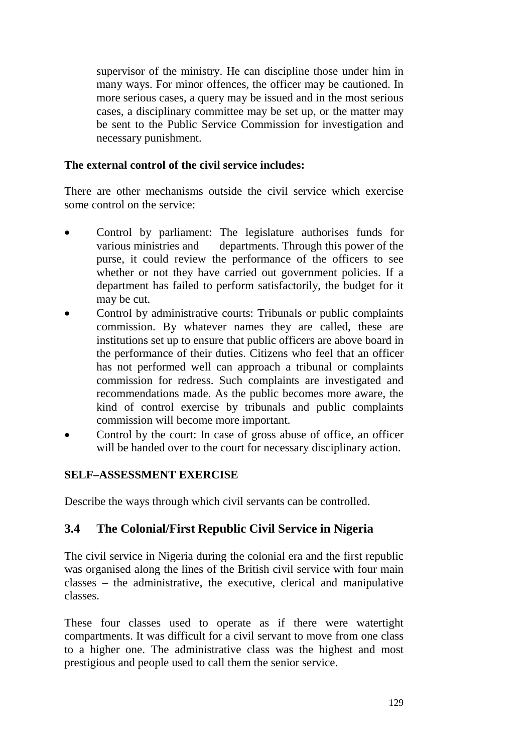supervisor of the ministry. He can discipline those under him in many ways. For minor offences, the officer may be cautioned. In more serious cases, a query may be issued and in the most serious cases, a disciplinary committee may be set up, or the matter may be sent to the Public Service Commission for investigation and necessary punishment.

#### **The external control of the civil service includes:**

There are other mechanisms outside the civil service which exercise some control on the service:

- Control by parliament: The legislature authorises funds for various ministries and departments. Through this power of the purse, it could review the performance of the officers to see whether or not they have carried out government policies. If a department has failed to perform satisfactorily, the budget for it may be cut.
- Control by administrative courts: Tribunals or public complaints commission. By whatever names they are called, these are institutions set up to ensure that public officers are above board in the performance of their duties. Citizens who feel that an officer has not performed well can approach a tribunal or complaints commission for redress. Such complaints are investigated and recommendations made. As the public becomes more aware, the kind of control exercise by tribunals and public complaints commission will become more important.
- Control by the court: In case of gross abuse of office, an officer will be handed over to the court for necessary disciplinary action.

#### **SELF–ASSESSMENT EXERCISE**

Describe the ways through which civil servants can be controlled.

#### **3.4 The Colonial/First Republic Civil Service in Nigeria**

The civil service in Nigeria during the colonial era and the first republic was organised along the lines of the British civil service with four main classes – the administrative, the executive, clerical and manipulative classes.

These four classes used to operate as if there were watertight compartments. It was difficult for a civil servant to move from one class to a higher one. The administrative class was the highest and most prestigious and people used to call them the senior service.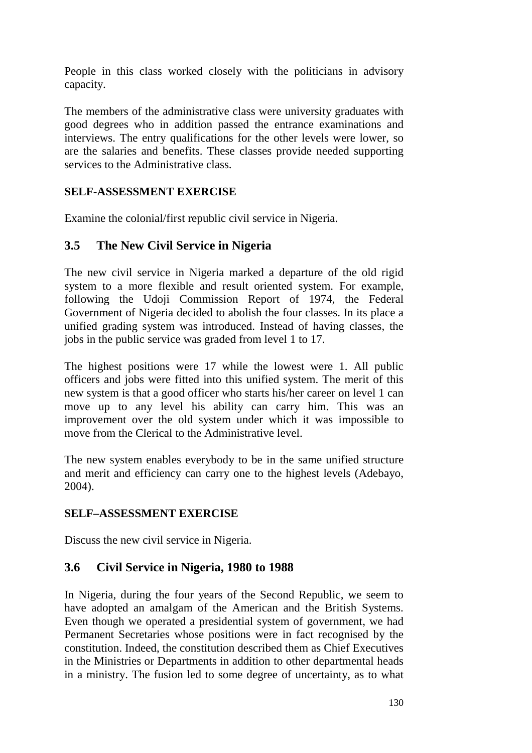People in this class worked closely with the politicians in advisory capacity.

The members of the administrative class were university graduates with good degrees who in addition passed the entrance examinations and interviews. The entry qualifications for the other levels were lower, so are the salaries and benefits. These classes provide needed supporting services to the Administrative class.

## **SELF-ASSESSMENT EXERCISE**

Examine the colonial/first republic civil service in Nigeria.

## **3.5 The New Civil Service in Nigeria**

The new civil service in Nigeria marked a departure of the old rigid system to a more flexible and result oriented system. For example, following the Udoji Commission Report of 1974, the Federal Government of Nigeria decided to abolish the four classes. In its place a unified grading system was introduced. Instead of having classes, the jobs in the public service was graded from level 1 to 17.

The highest positions were 17 while the lowest were 1. All public officers and jobs were fitted into this unified system. The merit of this new system is that a good officer who starts his/her career on level 1 can move up to any level his ability can carry him. This was an improvement over the old system under which it was impossible to move from the Clerical to the Administrative level.

The new system enables everybody to be in the same unified structure and merit and efficiency can carry one to the highest levels (Adebayo, 2004).

## **SELF–ASSESSMENT EXERCISE**

Discuss the new civil service in Nigeria.

## **3.6 Civil Service in Nigeria, 1980 to 1988**

In Nigeria, during the four years of the Second Republic, we seem to have adopted an amalgam of the American and the British Systems. Even though we operated a presidential system of government, we had Permanent Secretaries whose positions were in fact recognised by the constitution. Indeed, the constitution described them as Chief Executives in the Ministries or Departments in addition to other departmental heads in a ministry. The fusion led to some degree of uncertainty, as to what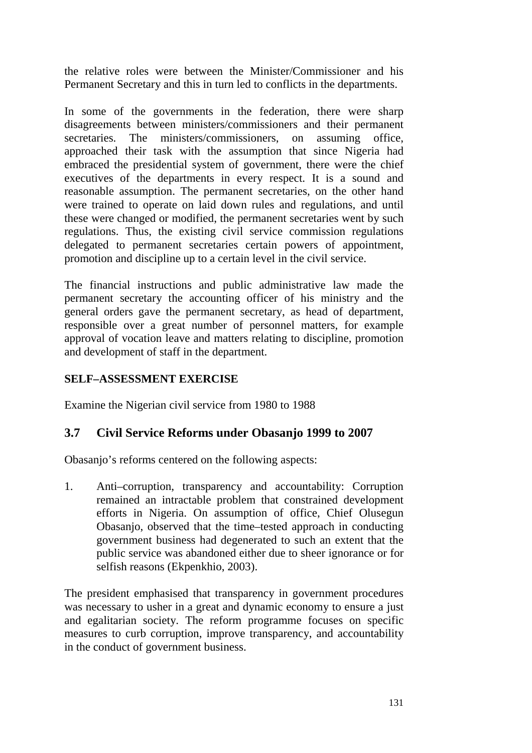the relative roles were between the Minister/Commissioner and his Permanent Secretary and this in turn led to conflicts in the departments.

In some of the governments in the federation, there were sharp disagreements between ministers/commissioners and their permanent secretaries. The ministers/commissioners, on assuming office, approached their task with the assumption that since Nigeria had embraced the presidential system of government, there were the chief executives of the departments in every respect. It is a sound and reasonable assumption. The permanent secretaries, on the other hand were trained to operate on laid down rules and regulations, and until these were changed or modified, the permanent secretaries went by such regulations. Thus, the existing civil service commission regulations delegated to permanent secretaries certain powers of appointment, promotion and discipline up to a certain level in the civil service.

The financial instructions and public administrative law made the permanent secretary the accounting officer of his ministry and the general orders gave the permanent secretary, as head of department, responsible over a great number of personnel matters, for example approval of vocation leave and matters relating to discipline, promotion and development of staff in the department.

## **SELF–ASSESSMENT EXERCISE**

Examine the Nigerian civil service from 1980 to 1988

## **3.7 Civil Service Reforms under Obasanjo 1999 to 2007**

Obasanjo's reforms centered on the following aspects:

1. Anti–corruption, transparency and accountability: Corruption remained an intractable problem that constrained development efforts in Nigeria. On assumption of office, Chief Olusegun Obasanjo, observed that the time–tested approach in conducting government business had degenerated to such an extent that the public service was abandoned either due to sheer ignorance or for selfish reasons (Ekpenkhio, 2003).

The president emphasised that transparency in government procedures was necessary to usher in a great and dynamic economy to ensure a just and egalitarian society. The reform programme focuses on specific measures to curb corruption, improve transparency, and accountability in the conduct of government business.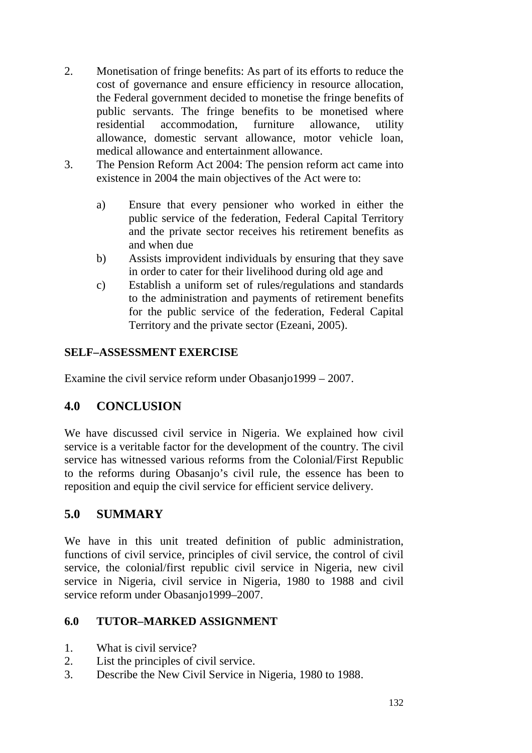- 2. Monetisation of fringe benefits: As part of its efforts to reduce the cost of governance and ensure efficiency in resource allocation, the Federal government decided to monetise the fringe benefits of public servants. The fringe benefits to be monetised where residential accommodation, furniture allowance, utility allowance, domestic servant allowance, motor vehicle loan, medical allowance and entertainment allowance.
- 3. The Pension Reform Act 2004: The pension reform act came into existence in 2004 the main objectives of the Act were to:
	- a) Ensure that every pensioner who worked in either the public service of the federation, Federal Capital Territory and the private sector receives his retirement benefits as and when due
	- b) Assists improvident individuals by ensuring that they save in order to cater for their livelihood during old age and
	- c) Establish a uniform set of rules/regulations and standards to the administration and payments of retirement benefits for the public service of the federation, Federal Capital Territory and the private sector (Ezeani, 2005).

#### **SELF–ASSESSMENT EXERCISE**

Examine the civil service reform under Obasanjo1999 – 2007.

## **4.0 CONCLUSION**

We have discussed civil service in Nigeria. We explained how civil service is a veritable factor for the development of the country. The civil service has witnessed various reforms from the Colonial/First Republic to the reforms during Obasanjo's civil rule, the essence has been to reposition and equip the civil service for efficient service delivery.

## **5.0 SUMMARY**

We have in this unit treated definition of public administration, functions of civil service, principles of civil service, the control of civil service, the colonial/first republic civil service in Nigeria, new civil service in Nigeria, civil service in Nigeria, 1980 to 1988 and civil service reform under Obasanjo1999–2007.

#### **6.0 TUTOR–MARKED ASSIGNMENT**

- 1. What is civil service?
- 2. List the principles of civil service.
- 3. Describe the New Civil Service in Nigeria, 1980 to 1988.